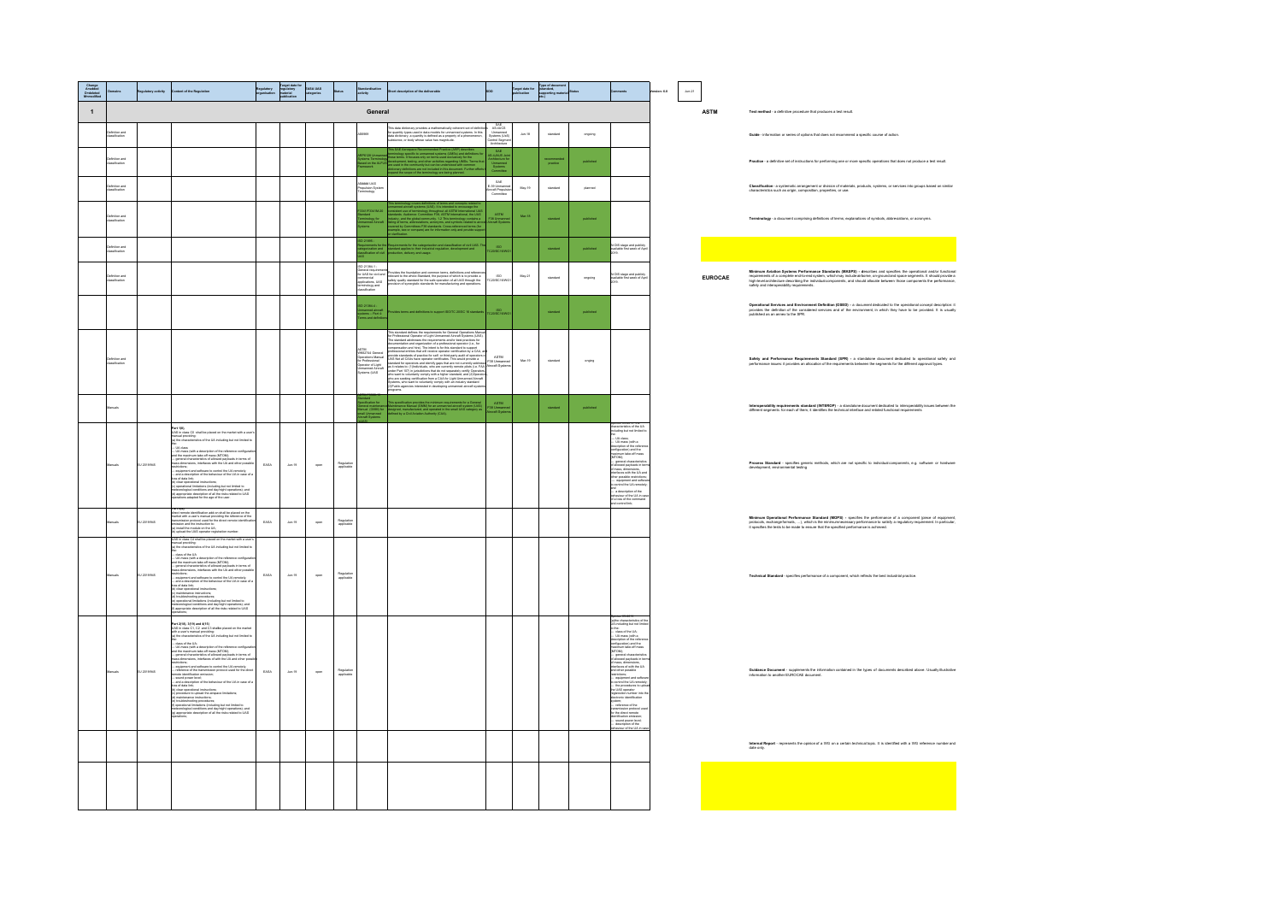| Change<br>A=added<br>D=deleted<br>M=modified |                                        | gulatory activity | tent of the Regulation                                                                                                                                                                                                                                                                                                                                                                                                                                                                                                                                                                                                                                                                                                                                                                                                                                                                                                                                                                                                                                                                     | Regulatory<br>organisation | Target date for<br>regulatory<br>material<br>publication | EASA UAS<br>categories | Status                   | Standardisation<br>activity                                                                                                       | <b>Short description of the deliverable</b>                                                                                                                                                                                                                                                                                                                                       | spo                                                                          | Target date for<br>publication | Type of document<br>(standard,<br>supporting materi<br>etc.) |           | ents                                                                                                                                                                                                                                                                                                                                                                                                                                       | Jamian: 6.0 | $346-21$ |             |
|----------------------------------------------|----------------------------------------|-------------------|--------------------------------------------------------------------------------------------------------------------------------------------------------------------------------------------------------------------------------------------------------------------------------------------------------------------------------------------------------------------------------------------------------------------------------------------------------------------------------------------------------------------------------------------------------------------------------------------------------------------------------------------------------------------------------------------------------------------------------------------------------------------------------------------------------------------------------------------------------------------------------------------------------------------------------------------------------------------------------------------------------------------------------------------------------------------------------------------|----------------------------|----------------------------------------------------------|------------------------|--------------------------|-----------------------------------------------------------------------------------------------------------------------------------|-----------------------------------------------------------------------------------------------------------------------------------------------------------------------------------------------------------------------------------------------------------------------------------------------------------------------------------------------------------------------------------|------------------------------------------------------------------------------|--------------------------------|--------------------------------------------------------------|-----------|--------------------------------------------------------------------------------------------------------------------------------------------------------------------------------------------------------------------------------------------------------------------------------------------------------------------------------------------------------------------------------------------------------------------------------------------|-------------|----------|-------------|
| $\mathbf 1$                                  |                                        |                   |                                                                                                                                                                                                                                                                                                                                                                                                                                                                                                                                                                                                                                                                                                                                                                                                                                                                                                                                                                                                                                                                                            |                            |                                                          |                        |                          | General                                                                                                                           |                                                                                                                                                                                                                                                                                                                                                                                   |                                                                              |                                |                                                              |           |                                                                                                                                                                                                                                                                                                                                                                                                                                            |             |          | <b>ASTM</b> |
|                                              | efinition and<br>assification          |                   |                                                                                                                                                                                                                                                                                                                                                                                                                                                                                                                                                                                                                                                                                                                                                                                                                                                                                                                                                                                                                                                                                            |                            |                                                          |                        |                          |                                                                                                                                   | $This data dictionary provides a mathematically coherent set of derivatives S\rightarrow \text{LCS} for quantity types used in data models in terms of system. In this.    University goes used in data models in terms of systems (LoS) where \{1,2\} is a parameter,  2. In this solution can be proposed of a phenomenon,  2. In this case, or book shows values has mappeds.$ |                                                                              | Jan-18                         | standard                                                     | ongoing   |                                                                                                                                                                                                                                                                                                                                                                                                                                            |             |          |             |
|                                              | Jefinition and<br>Jassification        |                   |                                                                                                                                                                                                                                                                                                                                                                                                                                                                                                                                                                                                                                                                                                                                                                                                                                                                                                                                                                                                                                                                                            |                            |                                                          |                        |                          | P6126 Unmare<br>sterns Terminoli<br>sed on the ALFI<br>mework                                                                     | nt, testing, and other acti<br>The community but can b<br>mary desintoons are not<br>not the scope of the ferr                                                                                                                                                                                                                                                                    | SAE<br>AS-41AUS Join<br>Architecture for<br>Urmanned<br>Systems<br>Committee |                                | ecommend<br>practice                                         |           |                                                                                                                                                                                                                                                                                                                                                                                                                                            |             |          |             |
|                                              | efinition and<br>lassification         |                   |                                                                                                                                                                                                                                                                                                                                                                                                                                                                                                                                                                                                                                                                                                                                                                                                                                                                                                                                                                                                                                                                                            |                            |                                                          |                        |                          | <i><b>Girees LIAS</b></i><br>hopulaion Syste<br>eminology                                                                         |                                                                                                                                                                                                                                                                                                                                                                                   | SAE<br>E-39 Unmann<br>Aircraft Propuls<br>Committee                          | $Map-12$                       |                                                              | planned   |                                                                                                                                                                                                                                                                                                                                                                                                                                            |             |          |             |
|                                              | Definition and<br>dassification        |                   |                                                                                                                                                                                                                                                                                                                                                                                                                                                                                                                                                                                                                                                                                                                                                                                                                                                                                                                                                                                                                                                                                            |                            |                                                          |                        |                          | 334173341M-20<br>landard<br>eminology for<br>eminology for<br>yalema                                                              | This imminicing covers definitions of learns and concepts related<br>comments also at any learning (LAC) is in the richel is encommented by<br>considering and derivating (MCQ) the relationship concepts that the<br>interaction. And                                                                                                                                            | ASTM<br>F38 Unman<br>Aircraft Syste                                          | $M_{\rm H\odot}$ 18            | standard                                                     | published |                                                                                                                                                                                                                                                                                                                                                                                                                                            |             |          |             |
|                                              | efinition and<br>Issuitination         |                   |                                                                                                                                                                                                                                                                                                                                                                                                                                                                                                                                                                                                                                                                                                                                                                                                                                                                                                                                                                                                                                                                                            |                            |                                                          |                        |                          | O 21855 -<br>Iquiremente for E<br>igorization and<br>isflication of civi                                                          | equirements for the categorization and classification of civil UAS. T<br>anderd applies to their industrial regulation, development and<br>coluction, delivery and usage.                                                                                                                                                                                                         |                                                                              |                                | stard                                                        |           | At DIS stage and publicly<br>available first week of Apr<br>2019.                                                                                                                                                                                                                                                                                                                                                                          |             |          |             |
|                                              | <b>Jefinition</b> and<br>Jassification |                   |                                                                                                                                                                                                                                                                                                                                                                                                                                                                                                                                                                                                                                                                                                                                                                                                                                                                                                                                                                                                                                                                                            |                            |                                                          |                        |                          | 021384-1-<br>General requirement<br>for UAS for civil and<br>commercial<br>applications, UAS<br>ferminology and<br>classification | Provides the foundation and common terms, definitions and reference<br>relevant to the whole Standard, the purpose of which is to provide a<br>safety quality standard for the safe operation of all UAS through the<br>provision of sy                                                                                                                                           | BO<br>C20SC16WG                                                              | $May-21$                       | standard                                                     | ongoing   | At DIS stage and publicly<br>available fint week of April<br>$rac{1}{1019}$                                                                                                                                                                                                                                                                                                                                                                |             |          | EURO        |
|                                              |                                        |                   |                                                                                                                                                                                                                                                                                                                                                                                                                                                                                                                                                                                                                                                                                                                                                                                                                                                                                                                                                                                                                                                                                            |                            |                                                          |                        |                          | IO 21384-4 -<br>hronned aircraft<br>ystern -- Part 4:<br>erms and definiti                                                        | ts and definitions to support ISO/TC 20/SC 16 sta                                                                                                                                                                                                                                                                                                                                 | <b>BO</b><br>COOSC16W                                                        |                                | standard                                                     | published |                                                                                                                                                                                                                                                                                                                                                                                                                                            |             |          |             |
|                                              | Definition and<br>dassification        |                   |                                                                                                                                                                                                                                                                                                                                                                                                                                                                                                                                                                                                                                                                                                                                                                                                                                                                                                                                                                                                                                                                                            |                            |                                                          |                        |                          | ASTM<br>W62744 General<br>Operations Manual<br>for Professional<br>Operator of Light<br>Unmanuad Alexaft<br>Systems (UAS          |                                                                                                                                                                                                                                                                                                                                                                                   | -<br>ASTM<br>F38 Unmanned<br>Aircraft Systems                                | $Map-19$                       | standard                                                     | orging    |                                                                                                                                                                                                                                                                                                                                                                                                                                            |             |          |             |
|                                              | .<br>Nati                              |                   |                                                                                                                                                                                                                                                                                                                                                                                                                                                                                                                                                                                                                                                                                                                                                                                                                                                                                                                                                                                                                                                                                            |                            |                                                          |                        |                          |                                                                                                                                   | is specification provides the minimum requirements for a General<br>intervance Manual (CAMA) for an unmanned aircraft system (UAS)<br>signed, manufactured, and operated in the small UAS category as<br>fined by a Civil Aviation Auth                                                                                                                                           | ASTM<br>F38 Urmans<br>Aircraft Syste                                         |                                |                                                              |           |                                                                                                                                                                                                                                                                                                                                                                                                                                            |             |          |             |
|                                              | Annunts                                | EU 2019/945       | Part 1(B),<br>UAS in class CO shall be placed on the market with a user'<br>manual providing:<br>[a) the characteristics of the UA including but not limited to<br>(w) the same about the state<br>of the state of the subsection of the state and configuration<br>$-$ Like Cassas (a) and the state of the state of the state of the state<br>$-$ good of the state of the state of the state of the st                                                                                                                                                                                                                                                                                                                                                                                                                                                                                                                                                                                                                                                                                  | EASA                       | $Ann-19$                                                 | open                   | Regulation<br>applicable |                                                                                                                                   |                                                                                                                                                                                                                                                                                                                                                                                   |                                                                              |                                |                                                              |           | characteristics of the UA<br>Including but not limited to<br>the:<br>incusing pur not invients to<br>meet the distribution of the reference<br>configuration) and the meteorology<br>configuration) and the meteorology<br>configuration is belowed manufacturing<br>$\alpha$ process of means contractions<br>of allowed<br>and<br>-- a description of the<br>behaviour of the CIA in ca<br>of a loss of the command<br>and control link; |             |          |             |
|                                              | usts                                   | 2019/045          | <b>PER LEFS:</b> $\frac{1}{2}$<br>circuit is stated in the stated on state and the placed on the crucket with a user's research providing the information of the<br>research stated with the state of the climate is desired in the stated i                                                                                                                                                                                                                                                                                                                                                                                                                                                                                                                                                                                                                                                                                                                                                                                                                                               | EASA                       | $Am-19$                                                  | open                   | Regulation<br>applicable |                                                                                                                                   |                                                                                                                                                                                                                                                                                                                                                                                   |                                                                              |                                |                                                              |           |                                                                                                                                                                                                                                                                                                                                                                                                                                            |             |          |             |
|                                              | .<br>saata                             | EU 2019/945       | .<br>IAS in class C4 shall be placed on the market with a user<br>manual providing:<br>(a) the characteristics of the UA including but not limited to<br>(a) the domain<br>function of the UA method of the other configuration of the state<br>$\frac{1}{2}$ and the UA method of the UA method of the UA method of the<br>$\frac{1}{2}$ and the UA method of the UA method of the UA method of the<br>$\$                                                                                                                                                                                                                                                                                                                                                                                                                                                                                                                                                                                                                                                                                | EASA                       | $_{\rm{Am-19}}$                                          | open                   | Regulation<br>applicable |                                                                                                                                   |                                                                                                                                                                                                                                                                                                                                                                                   |                                                                              |                                |                                                              |           |                                                                                                                                                                                                                                                                                                                                                                                                                                            |             |          |             |
|                                              |                                        | ELJ 2019/945      | Part 2(18), 3(19) and 4(15)<br>UAS in class C1, C2 and C3 shalbe placed on the market<br>with a user's manual providing:<br>(a) the characteristics of the UA including but not limited to<br>$\mu_1$<br>$\cdots$ (Mercure of the UA;<br>$-$ UA mean (with a discrete)<br>for the maximum laba-off means (MTGM);<br>$-$ general characteristics of allowed payloads in learns of<br>mean dimensions, interfaces of with the UA and other possi<br>$\begin{minipage}[t]{. \begin{tabular}{ c c c c c c } \hline \multicolumn{2}{ c }{\textbf{m}}{\textbf{m}} & \multicolumn{2}{ c }{\textbf{m}} & \multicolumn{2}{ c }{\textbf{m}} & \multicolumn{2}{ c }{\textbf{m}} & \multicolumn{2}{ c }{\textbf{m}} & \multicolumn{2}{ c }{\textbf{m}} & \multicolumn{2}{ c }{\textbf{m}} & \multicolumn{2}{ c }{\textbf{m}} & \multicolumn{2}{ c }{\textbf{m}} & \multicolumn{2}{ c }{\textbf{m}} & \$<br>www.www.www.newsons (including but not limited to<br>meleorological conditions and day/hight operations); and<br>(g) appropriate description of all the risks related to UAS<br>operations; | EASA                       | $_{\rm{Am-19}}$                                          | open                   | Regulation<br>applicable |                                                                                                                                   |                                                                                                                                                                                                                                                                                                                                                                                   |                                                                              |                                |                                                              |           | Opinion 05-2019<br>(a)the characteristics of the<br>UA including but not limited<br>$\rho_{\rm F}$ on the radial platform of the basis of the second state in the second state of the second continues of the reference basis of the reference in the second continues of the reference of the second proposed of the<br><sub>,</sub> nterr;<br>- mference of the                                                                          |             |          |             |
|                                              |                                        |                   |                                                                                                                                                                                                                                                                                                                                                                                                                                                                                                                                                                                                                                                                                                                                                                                                                                                                                                                                                                                                                                                                                            |                            |                                                          |                        |                          |                                                                                                                                   |                                                                                                                                                                                                                                                                                                                                                                                   |                                                                              |                                |                                                              |           |                                                                                                                                                                                                                                                                                                                                                                                                                                            |             |          |             |
|                                              |                                        |                   |                                                                                                                                                                                                                                                                                                                                                                                                                                                                                                                                                                                                                                                                                                                                                                                                                                                                                                                                                                                                                                                                                            |                            |                                                          |                        |                          |                                                                                                                                   |                                                                                                                                                                                                                                                                                                                                                                                   |                                                                              |                                |                                                              |           |                                                                                                                                                                                                                                                                                                                                                                                                                                            |             |          |             |

**ASTM** Test method - a definitive procedure that produces a test result.

**Guide** - information or series of options that does not recommend a specific course of action.

Practice - a definitive set of instructions for performing one or more specific operations that does not produce a test result.

**Classification - a systematic arrangement or division of materials, products, systems, or services into groups based on similar<br>characteristics such as origin, composition, properties, or use.** 

**Terminology** - a document comprising definitions of terms; explanations of symbols, abbreviations, or acronyms.

**EUROCAE** Minimum Aviation Systems Performance Standards (MASPS) - describes and specifies the operational andor functional<br>requirements of a complete end-to-end system, which may include airborne, on-ground and space segments. It s

Operational Services and Environment Definition (OSED) - a document dedicated to the operational concept description: it<br>provides the definition of the considered services and of the environment, in which they have to be p

## Safety and Performance Requirements Standard (SPR) - a standalone document dedicated to operational safety and<br>performance issues: it provides an allocation of the requirements between the segments for the different approv

Interoperability requirements standard (INTEROP) - a standalone document dedicated to interoperability issues between the<br>different segments: for each of them, it identifies the technical interface and related functional r

**Process Standard** - specifies generic methods, which are not specific to individual components, e.g. software or hardware development, environmental testing

Minimum Operational Performance Standard (MOPS) - specifies the performance of a component (piece of equipment,<br>protocole, exchange/comate, ...), which is the minimumnecessary performance to satisfy a regulatory requiremen

**Technical Standard** - specifies performance of a component, which reflects the best industrial practice.

**Guidance Document** - supplements the information contained in the types of documents described above. Usually illustrative information to another EUROCAE document.

**Internal <b>Report** - represents the opinion of a WG on a certain technical topic. It is identified with a WG reference number and<br>date only.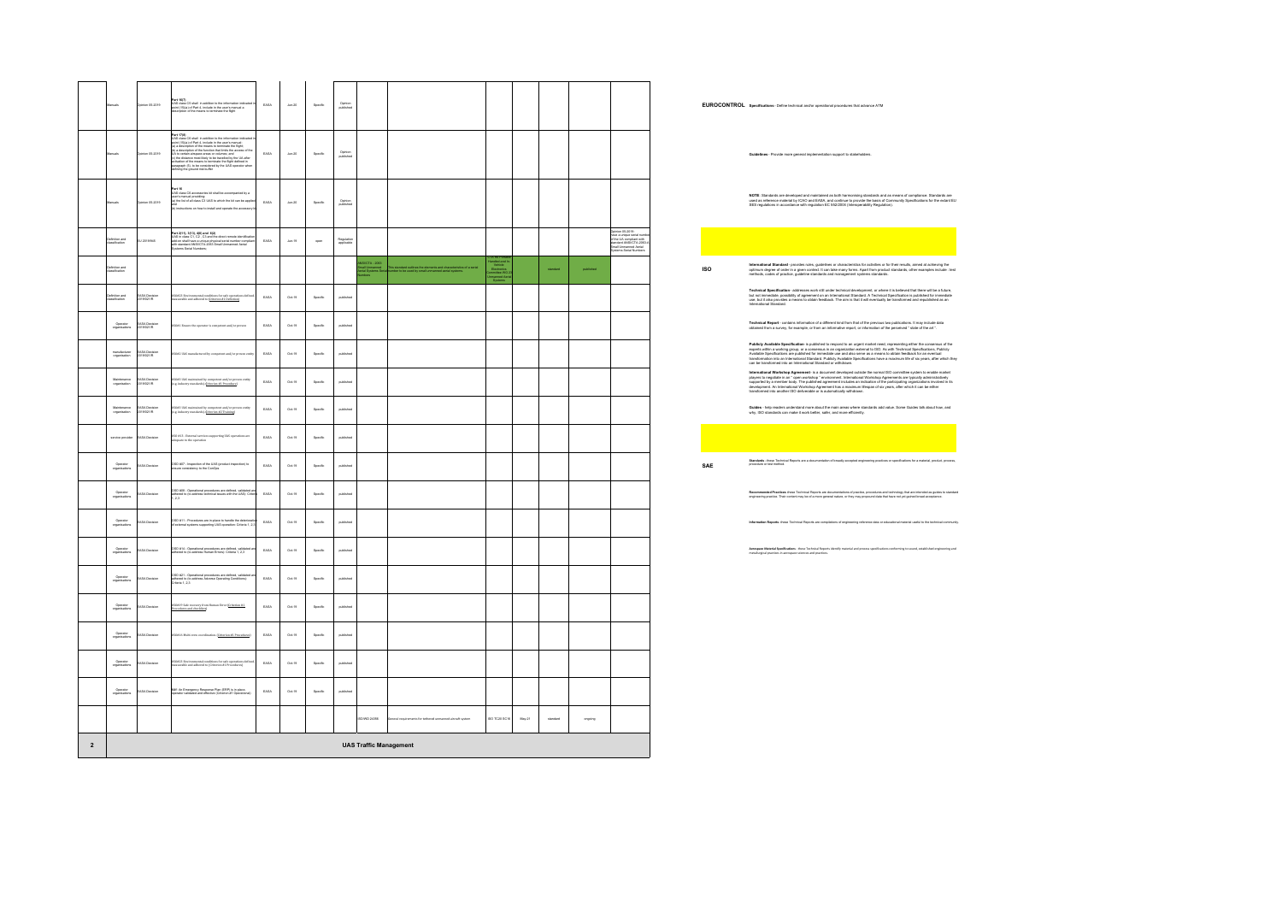| $\mathbf{2}$ |                                  |                              |                                                                                                                                                                                                                                                                                                                                                                                                                |      |                 |          |                         | <b>UAS Traffic Management</b>    |                                                                                                          |             |          |          |         |                                                                                                                                                      |            |                                                                                                                                                                                                                                                                                                                                                                   |
|--------------|----------------------------------|------------------------------|----------------------------------------------------------------------------------------------------------------------------------------------------------------------------------------------------------------------------------------------------------------------------------------------------------------------------------------------------------------------------------------------------------------|------|-----------------|----------|-------------------------|----------------------------------|----------------------------------------------------------------------------------------------------------|-------------|----------|----------|---------|------------------------------------------------------------------------------------------------------------------------------------------------------|------------|-------------------------------------------------------------------------------------------------------------------------------------------------------------------------------------------------------------------------------------------------------------------------------------------------------------------------------------------------------------------|
|              |                                  |                              |                                                                                                                                                                                                                                                                                                                                                                                                                |      |                 |          |                         | <b>ID 24356</b>                  | s for tethered unmanned aircraft system                                                                  | 50 TC20 5C1 | $Map-21$ | standard | ongoing |                                                                                                                                                      |            |                                                                                                                                                                                                                                                                                                                                                                   |
|              | Operator<br>organisations        | SA Decision                  | M#1 An Emergency Response Plan (ERP) is in place,<br>operator validated and effective (Criterion #1 Operatio                                                                                                                                                                                                                                                                                                   | EASA | $Qc3-19$        | Specific | publisher               |                                  |                                                                                                          |             |          |          |         |                                                                                                                                                      |            |                                                                                                                                                                                                                                                                                                                                                                   |
|              | Operator<br>organizations        | SA Decision                  | 3#23 Eav<br>Environmental conditions for safe operations deli:<br>ble and adhered to (Criterion #1 Procedures)                                                                                                                                                                                                                                                                                                 | EASA | Q <sub>19</sub> | Specific |                         |                                  |                                                                                                          |             |          |          |         |                                                                                                                                                      |            |                                                                                                                                                                                                                                                                                                                                                                   |
|              | Operator<br>organisations        | <b>SA Decision</b>           | #16 Multi crew coordination. (Criterion #1 Procedures                                                                                                                                                                                                                                                                                                                                                          | EASA | Oct-19          | Specific | publisher               |                                  |                                                                                                          |             |          |          |         |                                                                                                                                                      |            |                                                                                                                                                                                                                                                                                                                                                                   |
|              | Operator<br>organisations        | SA Decision                  | 119 Safe recovery from Human Error ( <u>Criterion #1.</u><br>educes and checklists)                                                                                                                                                                                                                                                                                                                            | EASA | Oct-19          | Spectic  | publisher               |                                  |                                                                                                          |             |          |          |         |                                                                                                                                                      |            |                                                                                                                                                                                                                                                                                                                                                                   |
|              | Operator<br>roanisations         | <b>SA Decision</b>           | (50.421 - Operational procedures are defined, valid:<br>chered to (to address Adverse Operating Conditions<br>riteria 1, 2,3                                                                                                                                                                                                                                                                                   | EASA | $Qc3-19$        | Specific | publisher               |                                  |                                                                                                          |             |          |          |         |                                                                                                                                                      |            |                                                                                                                                                                                                                                                                                                                                                                   |
|              | Operator<br>arganisations        | coision AZA                  | OSO #14 - Operational procedures are defined, validat<br>adhered to (to address Human Emors): Criteria 1, 2,3                                                                                                                                                                                                                                                                                                  | EASA | $O(d-19)$       | Specific | publisher               |                                  |                                                                                                          |             |          |          |         |                                                                                                                                                      |            | Aerospace Material Specifications - these Technical Reports identify material and process specifications conforming to sound, established engineering ans<br>metallurgical practices in aerospace sciences and practices.                                                                                                                                         |
|              | Operator<br>Thenlasticina        | <b>SA Decision</b>           | .<br>20 #11 - Procedures are in-place to handle the deteriorative<br>external systems supporting UAS operation: Criteria 1, 2,                                                                                                                                                                                                                                                                                 | EASA | Oct-19          | Specto   |                         |                                  |                                                                                                          |             |          |          |         |                                                                                                                                                      |            | mation Reports -these Technical Reports are complisions of engineering reference data or educational material useful to the technical commun                                                                                                                                                                                                                      |
|              | Operator<br>organizations        | <b>SA Decision</b>           | OSO #38 - Operational procedures are defined, validated an<br>adhered to (to address technical issues with the UAS): Criter<br>1, 2,3                                                                                                                                                                                                                                                                          | EASA | $Qc3-19$        | Specific | publisher               |                                  |                                                                                                          |             |          |          |         |                                                                                                                                                      |            | Recommended Practices these Technical Reports are documentations of practice, procedures and technology that are intended as guides to stands<br>engineering practice. Their content may be of a more general nature, or they may                                                                                                                                 |
|              | Operator<br>arganisations        | SA Decision                  | OSO #07 - Inspection of the UAS (product inspection) to<br>ensure consistency to the ConOps                                                                                                                                                                                                                                                                                                                    | EASA | Oct-19          | Specto   |                         |                                  |                                                                                                          |             |          |          |         |                                                                                                                                                      | SAE        | <b>Standards</b> - these Technical Reports are a documerbition of broadly accepted engineering practices or specifications for a material, product, process<br>procedure or lest method.                                                                                                                                                                          |
|              | entos provides                   | <b>SA Decision</b>           | 050 #13 - External services supporting UAS operations are<br>pate to the operation                                                                                                                                                                                                                                                                                                                             | EASA | Oct-19          | Specific | publisher               |                                  |                                                                                                          |             |          |          |         |                                                                                                                                                      |            |                                                                                                                                                                                                                                                                                                                                                                   |
|              | Maintenance<br>organisation      | IASA Decision<br>019/02 1/R  | 103 UAS maintained by competent and/or pro<br>, industry standards), <u>Criterion 02 Training</u> )                                                                                                                                                                                                                                                                                                            | EASA | Oct-19          | Specto   | publishe                |                                  |                                                                                                          |             |          |          |         |                                                                                                                                                      |            | Quides - help readers understand more about the main areas where standards add value. Some Quides talk about how, and<br>why, ISO standards can make it work better, safer, and more efficiently.                                                                                                                                                                 |
|              | Maintenance<br>organisation      | iSA Decisi<br>1902 UR        | .<br>100 UAS maintained by competent and/or p<br>1. industry standards). <u>Criterion</u> #1 Procedu                                                                                                                                                                                                                                                                                                           | EASA | $Qc3-19$        | Specific | publisher               |                                  |                                                                                                          |             |          |          |         |                                                                                                                                                      |            | International Workshop Agreement. Is a document developed outside the normal ISO committee system to enable market<br>players to negotials in an' o-pow verkeling "environment" International Workshop Agreements are typody admi                                                                                                                                 |
|              | manufacturer<br>organisation     | EASA Decision<br>2019/02 1/R | #2 UAS manuf<br>text and/or prever                                                                                                                                                                                                                                                                                                                                                                             | EASA | Oct-19          | Specific | publisher               |                                  |                                                                                                          |             |          |          |         |                                                                                                                                                      |            | Publicly Available Specification- is published to respond to an urgent market need, representing either the conse<br>sus of the<br>soperts with a working group, or a consense in an createration external to fill As anth Technological Sectionary, Photograph and Associated and Associated Associated Associated Associated Associated Associated Associated A |
|              | Operator<br>organizations        | ISA Decisio<br>1902 VR       | 00#1 Ensure the operator is competent and/or proven                                                                                                                                                                                                                                                                                                                                                            | EASA | Oct-19          | Specific | published               |                                  |                                                                                                          |             |          |          |         |                                                                                                                                                      |            | Technical Report- contains information of a different kind from that of the previous two publications. It may include data<br>obtained from a survey, for example, or from an informative report, or information of the perceived                                                                                                                                 |
|              | finition and<br>astTcation       | 45A Decision<br>219/02 1/R   | 023 Esvi<br>stal conditions for safe operations<br>utable and adhered to Criterion #1 Defintion?                                                                                                                                                                                                                                                                                                               | EASA | Oct-19          | Specific | publisher               |                                  |                                                                                                          |             |          |          |         |                                                                                                                                                      |            | Technical Specification, addresses mork all under technical development, or where it is believed that there will be a future.<br>but not immediate, possibility of agreement on an international Standard. A Technical Specificat                                                                                                                                 |
|              | Definition and<br>classification |                              |                                                                                                                                                                                                                                                                                                                                                                                                                |      |                 |          |                         | CTA - 2063<br>a Unma<br>al Sunta | standard outlines the elements and characteristics o<br>ber to be used by small unmanned aerial systems. |             |          |          |         |                                                                                                                                                      | <b>ISO</b> | International Standard-provides rules, guidelines or characteristics for activities or for their results, airmed at achieving the<br>optimum degree of order in a given context. It can take many forms. Apart from product stand                                                                                                                                 |
|              | Inition and<br>aification        | 3019945                      | .<br>Part 2(11), 3(13), 4(8) and 6(2)<br>UAS in class C1, C2 , C3 and the direct remote identific<br>UPS in case (1), CZ , C3 and the orect nemote sometical<br>add-on shall have a unique physical serial number compl<br>with standard ANSLCTA-2003 Small Unmanned Aerial<br>Systems Serial Numbers;                                                                                                         | EASA | $_{\rm{Am-19}}$ | open     | Regulator<br>applicable |                                  |                                                                                                          |             |          |          |         | Opinion 05-2019:<br>Nave a unique serial num<br>of the UA compliant with<br>standard ANSI/CTA-205<br>Small Unmanned Aerial<br>Systems Serial Numbers |            |                                                                                                                                                                                                                                                                                                                                                                   |
|              |                                  | ion 05-2019                  | Part 16<br>UAS class C6 accouncries kit shall be accompanied by a<br>user's manual providing:<br>(a) the lat of all class C3 UAS to which the kit can be appled<br>attactions on how to install and operate the ac-                                                                                                                                                                                            | EASA | Ann20           | Specific | Opinion<br>published    |                                  |                                                                                                          |             |          |          |         |                                                                                                                                                      |            | NOTE: Standards are developed and maintained as both harmonising standards and as means of compliance. Standards are<br>used as reference material by ICAO and EASA, and continue to provide the basis of Community Specification                                                                                                                                 |
|              |                                  | ion 05-2019                  | <b>Part 17(8)</b><br>(1862 dans C6 shall in addition to the information indicated UAS class C6 in<br>point (15(6) of Part 4, include in the user's manual:<br>(b) a description of the means to lemminate the fight;<br>(b) a description of t<br>(1) and users an amount to be maintain the flight defined in<br>paragraph (5), to be considered by the UAS operator while<br>defining the ground risk buffer | EASA | $_{\rm{Am-20}}$ | Specific | Opinion<br>published    |                                  |                                                                                                          |             |          |          |         |                                                                                                                                                      |            | Guidelines - Provide more general implementation support to stakeholders.                                                                                                                                                                                                                                                                                         |
|              |                                  |                              |                                                                                                                                                                                                                                                                                                                                                                                                                |      |                 |          |                         |                                  |                                                                                                          |             |          |          |         |                                                                                                                                                      |            |                                                                                                                                                                                                                                                                                                                                                                   |
|              | ustr                             | inion 05-2019                | Part 16(7)<br>UAS class CS shall in addition to the information inde<br>point (15)(a) of Part 4, include in the user's manual a<br>"nervirilign of the means to terminate the flight                                                                                                                                                                                                                           | EASA | Ann.20          | Specific | Opinion<br>published    |                                  |                                                                                                          |             |          |          |         |                                                                                                                                                      |            | EUROCONTROL Specifications - Define technical and/or operational procedures that advance ATM                                                                                                                                                                                                                                                                      |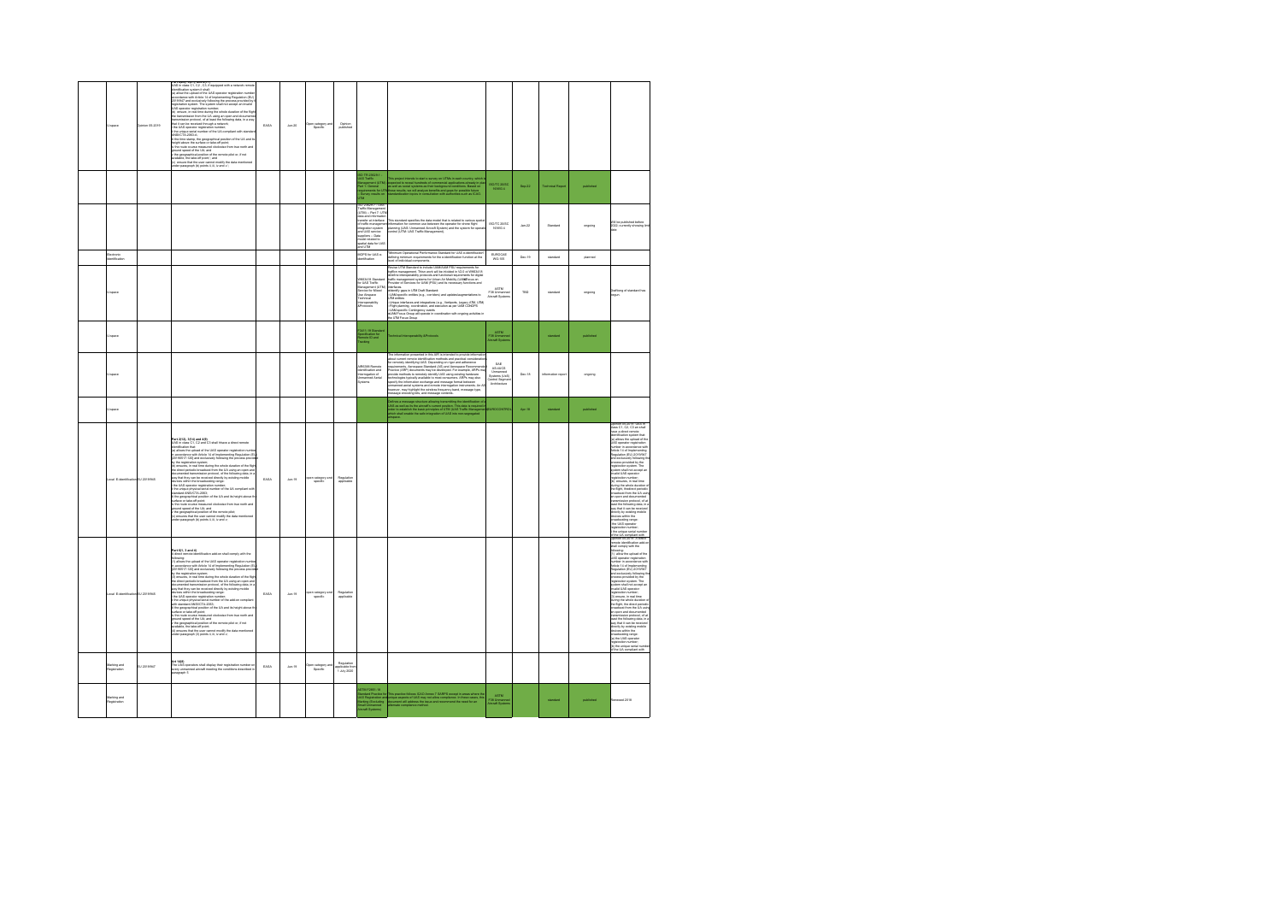| space                            | Spinion 05-2019 | лет ирку, ирку, ини чутту<br> AS in claus C1, C2, C3, T equipped with a network remote<br>denitionalen system it shall:<br>condance with Article 14 of Implementing Regulation rumber<br>condance with Article 14 of Implementing Regulat<br>$\frac{1}{2}$ accounts with Article is del treplementing Propadoron (EU)<br>$\frac{1}{2}$ accounts and Article is delivered by the simple and process provided by the<br>UKS spectral regulation running and in collapse the results of the<br>exanu in announce the geographical position of the UA and I<br>eight above the surface or take-off point;<br>I the route course measured clockwise from true north and<br>then roles course measured clockwise from true north and<br>poin<br>yours appears or the UA; and<br>the geographical position of the remain plot or, if not<br>unilable, the take-off point;"; and<br>c) ensure that the user cannot modify the data mentioned<br>mder paragraph (b) points ii, iii, iv and v.                                                                                                                                                                                 | EASA        | $3m-20$           | n category :<br>Specific  | Opinion<br>cublished                    |                                                                                                                                                                                                                                                                                          |                                                                                                                                                                                                                                                                                                                                                                                                                                                                                                                                                                                                                                                                                              |                                                                                      |             |                    |           |                                                                                                                                                                                                                                                                                                                                                                                                                                                                                                                                                                                                                                                                                                                                                                                                                                                                                                                  |
|----------------------------------|-----------------|----------------------------------------------------------------------------------------------------------------------------------------------------------------------------------------------------------------------------------------------------------------------------------------------------------------------------------------------------------------------------------------------------------------------------------------------------------------------------------------------------------------------------------------------------------------------------------------------------------------------------------------------------------------------------------------------------------------------------------------------------------------------------------------------------------------------------------------------------------------------------------------------------------------------------------------------------------------------------------------------------------------------------------------------------------------------------------------------------------------------------------------------------------------------|-------------|-------------------|---------------------------|-----------------------------------------|------------------------------------------------------------------------------------------------------------------------------------------------------------------------------------------------------------------------------------------------------------------------------------------|----------------------------------------------------------------------------------------------------------------------------------------------------------------------------------------------------------------------------------------------------------------------------------------------------------------------------------------------------------------------------------------------------------------------------------------------------------------------------------------------------------------------------------------------------------------------------------------------------------------------------------------------------------------------------------------------|--------------------------------------------------------------------------------------|-------------|--------------------|-----------|------------------------------------------------------------------------------------------------------------------------------------------------------------------------------------------------------------------------------------------------------------------------------------------------------------------------------------------------------------------------------------------------------------------------------------------------------------------------------------------------------------------------------------------------------------------------------------------------------------------------------------------------------------------------------------------------------------------------------------------------------------------------------------------------------------------------------------------------------------------------------------------------------------------|
|                                  |                 |                                                                                                                                                                                                                                                                                                                                                                                                                                                                                                                                                                                                                                                                                                                                                                                                                                                                                                                                                                                                                                                                                                                                                                      |             |                   |                           |                                         | SO TR 23529-1 -<br>UAS Traffic<br>Ascagement (UTM)<br>Nat 1: General<br>egalements for UT<br>queementa 101 U<br>Survey results on<br>TM                                                                                                                                                  | This project intends to start a survey on UTMs in each country, which<br>expected to invest funding the connectial applications already in product<br>as well as social systems as their background conditions. Based on<br>the constan                                                                                                                                                                                                                                                                                                                                                                                                                                                      | ISO/TC 20/SC                                                                         | $5ep-22$    | Technical Repo     | published |                                                                                                                                                                                                                                                                                                                                                                                                                                                                                                                                                                                                                                                                                                                                                                                                                                                                                                                  |
|                                  |                 |                                                                                                                                                                                                                                                                                                                                                                                                                                                                                                                                                                                                                                                                                                                                                                                                                                                                                                                                                                                                                                                                                                                                                                      |             |                   |                           |                                         | D 23629-7 - UAS<br>affic Managemen<br>$T M \sim \text{Det } T$ LTT<br>(UTM) -- Part 7: UTM<br>data and information<br>transfer at information<br>transfer at information<br>of traffic management<br>suppliers -- Data<br>model related to<br>spatial data for UAS<br>and UTM<br>and UTM | This standard specifies the data model that is related to various spa<br>niformation for common use behaven the operator for drone flight<br>olarning (UAS: Unmanned Abroatt System) and the system for ope<br>control (UTM: UAS Traffi                                                                                                                                                                                                                                                                                                                                                                                                                                                      | ISO/TC 20/SC<br>16/WG 4                                                              | $_{340-22}$ | Standard           | ongoing   | .<br>2022: currently showing l<br>Ada                                                                                                                                                                                                                                                                                                                                                                                                                                                                                                                                                                                                                                                                                                                                                                                                                                                                            |
| ectronic<br>entification         |                 |                                                                                                                                                                                                                                                                                                                                                                                                                                                                                                                                                                                                                                                                                                                                                                                                                                                                                                                                                                                                                                                                                                                                                                      |             |                   |                           |                                         | MOPS for UAS e-<br>entitration                                                                                                                                                                                                                                                           | *Meimum Operational Performance Standard for UAS e-identification<br>defining minimum requirements for the e-identification function at the<br>level of individual components.                                                                                                                                                                                                                                                                                                                                                                                                                                                                                                               | EUROCAE<br>WG-105                                                                    | Dec-19      | standard           | planned   |                                                                                                                                                                                                                                                                                                                                                                                                                                                                                                                                                                                                                                                                                                                                                                                                                                                                                                                  |
| <b>EDISCH</b>                    |                 |                                                                                                                                                                                                                                                                                                                                                                                                                                                                                                                                                                                                                                                                                                                                                                                                                                                                                                                                                                                                                                                                                                                                                                      |             |                   |                           |                                         | KS3418 Standard<br>or UAS Traffic<br>or UAS Traffic<br>Ideoagement (UTM)<br>Service for Mixed<br>Jee Ainspace<br>Fechnical<br>réengerability<br>EProbocols                                                                                                                               | Revise UTM Standard to include UAMAAM PSU requirements for<br>were verwaren verwaren wielen behalt hat die eine deutscheiden von der Schrift und der Schrift und der Schrift und der Schrift und der Schrift und der Schrift und der Schrift und der Schrift und der Schrift und der Schrift<br>terfaces<br>relations<br>+10er8fy.gaps in UTM Draft Standard<br>+UAM-specific methis (e.g., contidos) and updates/augmentations to<br>-UTM entities<br>+Thigas intering, coordination, and execution sa par UAM CONOPS<br>+Thigh planning, coordination,<br>UAM-specific Contingency exents<br>UAM-Focus Group will operate in coordination with ongoing activities in<br>te UTM Focus Group | ASTM<br>F38 Unmanne                                                                  | TED         | standard           | ongoing   | Draftiong of standard has<br>begun.                                                                                                                                                                                                                                                                                                                                                                                                                                                                                                                                                                                                                                                                                                                                                                                                                                                                              |
| <b>Honor</b>                     |                 |                                                                                                                                                                                                                                                                                                                                                                                                                                                                                                                                                                                                                                                                                                                                                                                                                                                                                                                                                                                                                                                                                                                                                                      |             |                   |                           |                                         | pecification fo<br>emote ID and<br>acking                                                                                                                                                                                                                                                | <b>Inical Interconrability &amp;Protocols</b>                                                                                                                                                                                                                                                                                                                                                                                                                                                                                                                                                                                                                                                | ASTM<br>F38 Unmanne<br>Aircraft System                                               |             | standard           | published |                                                                                                                                                                                                                                                                                                                                                                                                                                                                                                                                                                                                                                                                                                                                                                                                                                                                                                                  |
| <b>space</b>                     |                 |                                                                                                                                                                                                                                                                                                                                                                                                                                                                                                                                                                                                                                                                                                                                                                                                                                                                                                                                                                                                                                                                                                                                                                      |             |                   |                           |                                         | DANA PA<br>entification and<br>ramogation of<br>Inmanned Aerial                                                                                                                                                                                                                          | The information presented in this AIR is intended to provide information<br>The information presented in this ARI is interested to provide information and provide a model of the ARI is interested and provided interest in the company of the Department of the Company of the Company of the Company o                                                                                                                                                                                                                                                                                                                                                                                    | AS-4UCS<br>Unmanned<br>Unitative<br>Systems (UsS)<br>Control Segment<br>Architecture | Dec-18      | information report | oncoing   |                                                                                                                                                                                                                                                                                                                                                                                                                                                                                                                                                                                                                                                                                                                                                                                                                                                                                                                  |
| space                            |                 |                                                                                                                                                                                                                                                                                                                                                                                                                                                                                                                                                                                                                                                                                                                                                                                                                                                                                                                                                                                                                                                                                                                                                                      |             |                   |                           |                                         |                                                                                                                                                                                                                                                                                          | efines a message structure allowing transmitting the identification<br>AS as well as its the aircraft's current position. This data is required<br>rise to establish the basic principles of UTA (UAS interface Manager)<br>hich shall                                                                                                                                                                                                                                                                                                                                                                                                                                                       |                                                                                      | Apr-18      | standard           | published |                                                                                                                                                                                                                                                                                                                                                                                                                                                                                                                                                                                                                                                                                                                                                                                                                                                                                                                  |
| cal E-identification EU 2019/945 |                 | fart 2(12), 3(14) and 4(3)<br>IAS in class C1, C2 and C3 shall hhave a drect remote<br>Sentification that:<br>() allows the upload of the UAS operator registration num<br>accordance with Article 14 of Implementing Regulation (EL)<br>0190517-1231 and exclusively following the process provide<br>y the registration system;<br>c) ensures, in real time during the whole duration of the flight<br>(b) ensures, in real firm daring the whole durino of the figs.<br>The direct periodic broadcast from the UA using an open and<br>thourseled transmission periodic, of the following data, the strained<br>discussion of the first of t<br>the route course me<br>.<br>asured clockwise from true north and<br>bes :AU ed to beeck be<br>round speed of the UK, and<br>The geographical position of the remote pilot;<br>c) ensures that the user cannot modify the data m<br>inder paragraph (b) points ii, iii, iv and v;                                                                                                                                                                                                                                  | EASA        | $Ann-19$          | in category a<br>specific | Regulation<br>applicable                |                                                                                                                                                                                                                                                                                          |                                                                                                                                                                                                                                                                                                                                                                                                                                                                                                                                                                                                                                                                                              |                                                                                      |             |                    |           | of the three<br>ب Mich u5-2019: UAS in<br>class C1, C2, C3 an shall<br>have a direct remote<br>dentification system that<br>(a) allows the upload of the<br>(AS operator registration<br>sumber in accordance with<br>number in accordance with<br>Article 14 of Implementing<br>Regulation (EU) 2019/047<br>and exclusively following 1<br>process provided by the<br>registration system. The<br>registration system. The system in the strength are shown to see the system of the system of the during the system of the system of the system of the system of the system of the system of the system of the system are oper<br>ay that it can be receive<br>drectly by existing mobile<br>devices within the<br>broadcasting range:<br>the UAS operator<br>egistration number;<br>the unique serial n                                                                                                       |
| cal E-identification EU 2019/945 |                 | art 6(1, 3 and 4)<br>dification add-on shall comply with the<br>slowing:<br>1) allows the upload of the UAS operator registration num<br>accordance with Article 14 of Implementing Regulation (EL<br>0190517-120] and exclusively following the process provide<br>y the registration system;<br>I) ensures, in real time during the whole duration of the fligh<br>is direct periodic broadcast from the UA using an open a<br>ne areas pendosc antexportemente and we were seen an wave seen and construction problem in the following data, in<br>locurrented transmission protocol, of the following data, in<br>levices within the broadcasting range:<br>the UAS<br>that UAS operator registration marker;<br>it has using a physical secial number of the add-on compliant<br>with standard ANSICTA-2005);<br>it the geographical position of the UA and its height above<br>surface or lake-off point;<br>no t<br>growns sydest of the Link, and<br>in the geographical position of the remote plot or, if not<br>smallable, the take-off point;<br>:4) ensures that the user cannot modify the data mentione<br>inder paragraph (3) points ii, iii, iv and | EASA        | $Ann-19$          | n category :<br>specific  | Regulator<br>applicable                 |                                                                                                                                                                                                                                                                                          |                                                                                                                                                                                                                                                                                                                                                                                                                                                                                                                                                                                                                                                                                              |                                                                                      |             |                    |           | of the UA compliant with<br>Domion 05-2019: A direct<br>.<br>emote identification add-<br>hall comply with the<br>silowing:<br>1) allow the upload of the<br>IAS operator registration<br>smber in accordance with<br>number or moornem<br>Article 14 of Implementing<br>Regulation (EU) 2019/947<br>and exclusively following 1<br>process provided by the<br>epistration system. The<br>system shall not accept as<br>nvalid UAS operator<br>sigistration number;<br>igistration number;<br>5) ensure, in real time<br>(3) ensure, in real time<br>during the whole duration<br>the flight, the direct period<br>broadcast from the UA usi<br>an open and documented<br>transmission protocol, of a<br>least the following data, in<br>way that it can be receiv<br>rectly by existing mo<br>svices within the<br>-ceccasting range:<br>a) the UAS operator<br>.<br>Iglatation number;<br>I) the unique serial |
|                                  |                 | $rt$ 14(0)                                                                                                                                                                                                                                                                                                                                                                                                                                                                                                                                                                                                                                                                                                                                                                                                                                                                                                                                                                                                                                                                                                                                                           |             |                   |                           |                                         |                                                                                                                                                                                                                                                                                          |                                                                                                                                                                                                                                                                                                                                                                                                                                                                                                                                                                                                                                                                                              |                                                                                      |             |                    |           |                                                                                                                                                                                                                                                                                                                                                                                                                                                                                                                                                                                                                                                                                                                                                                                                                                                                                                                  |
| larking and<br>egistration       | 032019047       | ,wy<br>You UAS operators shall display their registration number<br>very unmanned aincraft meeting the conditions described<br>aragraph 5                                                                                                                                                                                                                                                                                                                                                                                                                                                                                                                                                                                                                                                                                                                                                                                                                                                                                                                                                                                                                            | <b>DASA</b> | $_{\text{Am-12}}$ | en category a<br>Specific | regument<br>splicable fro<br>2020 yilda |                                                                                                                                                                                                                                                                                          |                                                                                                                                                                                                                                                                                                                                                                                                                                                                                                                                                                                                                                                                                              |                                                                                      |             |                    |           |                                                                                                                                                                                                                                                                                                                                                                                                                                                                                                                                                                                                                                                                                                                                                                                                                                                                                                                  |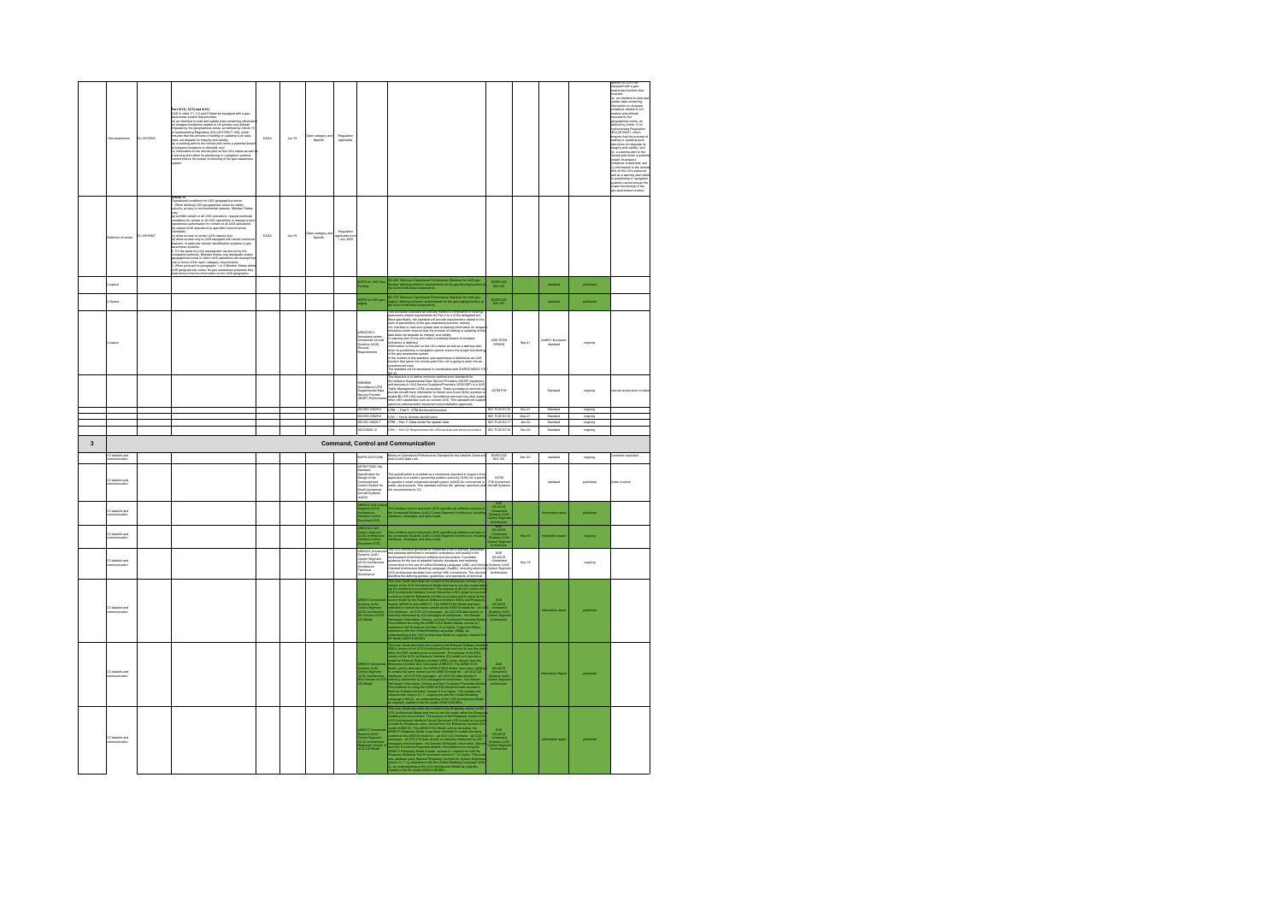|             |                                       |                    |                                                                                                                                                                                                                                                                                                                                                                                                                                                                                                                                                                                                                                                                                                                                                                                                                                                          |      |          |                            |                                         |                                                                                                                                                                                  |                                                                                                                                                                                                                                                                                                                                                                                                                                                                                                                                                                                         |                                                                                                                                                                                                                                                                                                                             |                    |                              |                    | onion 05-2019; be                                                                                                                                                                                                                             |
|-------------|---------------------------------------|--------------------|----------------------------------------------------------------------------------------------------------------------------------------------------------------------------------------------------------------------------------------------------------------------------------------------------------------------------------------------------------------------------------------------------------------------------------------------------------------------------------------------------------------------------------------------------------------------------------------------------------------------------------------------------------------------------------------------------------------------------------------------------------------------------------------------------------------------------------------------------------|------|----------|----------------------------|-----------------------------------------|----------------------------------------------------------------------------------------------------------------------------------------------------------------------------------|-----------------------------------------------------------------------------------------------------------------------------------------------------------------------------------------------------------------------------------------------------------------------------------------------------------------------------------------------------------------------------------------------------------------------------------------------------------------------------------------------------------------------------------------------------------------------------------------|-----------------------------------------------------------------------------------------------------------------------------------------------------------------------------------------------------------------------------------------------------------------------------------------------------------------------------|--------------------|------------------------------|--------------------|-----------------------------------------------------------------------------------------------------------------------------------------------------------------------------------------------------------------------------------------------|
|             | <b>Concerning</b>                     | <b>DJ 2019/945</b> | Plust 2(13), 2(15) and 4(15)<br>and its employee with a good substitute of the space of the space of the space<br>(a) you mission to be space (2) and space of the space of the space of<br>(a) you mission is based and space of the                                                                                                                                                                                                                                                                                                                                                                                                                                                                                                                                                                                                                    | EASA | $Am-19$  | en calegory as<br>Specific | Regulation<br>applicable                |                                                                                                                                                                                  |                                                                                                                                                                                                                                                                                                                                                                                                                                                                                                                                                                                         |                                                                                                                                                                                                                                                                                                                             |                    |                              |                    | or<br>space of the state of the state and the state matrix of<br>the state and the state of the state of the state of<br>the state of the state of the state of the state of<br>$\sim$ state of the state of the state<br>of the state of the |
|             | finition of zones                     | ELJ 2019/947       | irticle 15<br>Speratonal conditions for UAS geographical zones<br>- When defining UAS geographical zones for safety,<br>ecurity, privacy or environmental reasons, Member St<br>603/03), premery to move that the specific<br>constraints contain or all UAS operations, respect particular<br>conditions for certain or all UAS operations or request a pr<br>pperational authorization for certain or all UAS operati<br>itandards;<br>c) allow access to certain UAS classes only;<br>d) allow access only to UAS equipped with certain techni<br>eatures, in particular remote identification systems or ger<br>massima, in printende was consistent and the state of the SC 2.<br>The first particle and the state and the state of the SC 2. The basis of a risk assessment carried out by the<br>geographical zones in which UKS operators are ex | EASA | $Ann-19$ | en category a<br>Specific  | Regula<br>applicable fro<br>1 July 2020 |                                                                                                                                                                                  |                                                                                                                                                                                                                                                                                                                                                                                                                                                                                                                                                                                         |                                                                                                                                                                                                                                                                                                                             |                    |                              |                    |                                                                                                                                                                                                                                               |
|             | space                                 |                    |                                                                                                                                                                                                                                                                                                                                                                                                                                                                                                                                                                                                                                                                                                                                                                                                                                                          |      |          |                            |                                         | OPS for UAS Ge<br>Incing                                                                                                                                                         | -202 "semmum Operatorial<br>Iding" defining minimum requ<br>I level of individual compone                                                                                                                                                                                                                                                                                                                                                                                                                                                                                               | EUROCAL<br>WG-105                                                                                                                                                                                                                                                                                                           |                    | standard                     |                    |                                                                                                                                                                                                                                               |
|             | .<br>Google                           |                    |                                                                                                                                                                                                                                                                                                                                                                                                                                                                                                                                                                                                                                                                                                                                                                                                                                                          |      |          |                            |                                         | OPS for UAS                                                                                                                                                                      | nal Park<br>dard for UAS geo<br>mance Star<br>He for the ce                                                                                                                                                                                                                                                                                                                                                                                                                                                                                                                             | EUROCAL<br>WG-105                                                                                                                                                                                                                                                                                                           |                    |                              |                    |                                                                                                                                                                                                                                               |
|             | -space                                |                    |                                                                                                                                                                                                                                                                                                                                                                                                                                                                                                                                                                                                                                                                                                                                                                                                                                                          |      |          |                            |                                         | iarcapace series -<br>Inmanned Aircraft<br>Iystems (UAS) -<br>Iequirements<br>Iequirements                                                                                       | The contract of the probability of the state of contractors is covered.<br>The contract of the probability of the probability of the probability of<br>the contractors of the post-section in the contractors of the probability<br>of<br>A varreiro galeri to the plot when a potential bounch of aimpace<br>rehitters in defected to the plot of the UKA ankara as well as a varreng alert<br>betweenhole to the plot of the UKA ankara as well as a varrenge after<br>the pap<br>nami<br>sufficients zone.<br>as standard will be developed in coordination with EUROCAEWG !<br>" ** | ASD-STAN<br>DSWG8                                                                                                                                                                                                                                                                                                           | $5$ ep-21          | preEN / Europeae<br>standard | ongoing            |                                                                                                                                                                                                                                               |
|             |                                       |                    |                                                                                                                                                                                                                                                                                                                                                                                                                                                                                                                                                                                                                                                                                                                                                                                                                                                          |      |          |                            |                                         | coaso<br>urveillance UTM<br>kupplemental Data<br>Iervice Provider<br>SDSP) Performanc                                                                                            | ns<br>The objective is to define minimum performance standards for<br>Jurvelliance Supplemental Data Service Providers (ISOSP) equipmen<br>ind services to UAS Service Supplem/Providers (USS/USP) in a UA<br>nte lativosta is unos sarvos suspensar Preme in unosinose pri a unosinose de ministrati enciclo alla contra de<br>rente alla contra la contra del ministro del ministro del preme della contra del ministrati enciclo del preme<br>r                                                                                                                                      | ASTM F38                                                                                                                                                                                                                                                                                                                    |                    | Standard                     | ongoing            | nal review prior to ball                                                                                                                                                                                                                      |
|             |                                       |                    |                                                                                                                                                                                                                                                                                                                                                                                                                                                                                                                                                                                                                                                                                                                                                                                                                                                          |      |          |                            |                                         |                                                                                                                                                                                  | OWD 23629-5 UTM - Part 5: UTM functional structure<br>:<br>OWD 23629-8 UTM - Part & Remote identification                                                                                                                                                                                                                                                                                                                                                                                                                                                                               | ISO TC20 SC16<br>ISO TC20 SC16                                                                                                                                                                                                                                                                                              | Nov-21<br>$May-21$ | Standard<br>Standard         | ongoing<br>ongoing |                                                                                                                                                                                                                                               |
|             |                                       |                    |                                                                                                                                                                                                                                                                                                                                                                                                                                                                                                                                                                                                                                                                                                                                                                                                                                                          |      |          |                            |                                         | 000236297                                                                                                                                                                        | /TM - Part 7: Data model for spatial data                                                                                                                                                                                                                                                                                                                                                                                                                                                                                                                                               | ISO TC20 SC13                                                                                                                                                                                                                                                                                                               | Jap22              | Standard                     | ongoing            |                                                                                                                                                                                                                                               |
|             |                                       |                    |                                                                                                                                                                                                                                                                                                                                                                                                                                                                                                                                                                                                                                                                                                                                                                                                                                                          |      |          |                            |                                         | $0.23629 - 12$                                                                                                                                                                   | .<br>TM - Part 12: Requirements for UTM services and service provident                                                                                                                                                                                                                                                                                                                                                                                                                                                                                                                  | ISO TC20 SC18                                                                                                                                                                                                                                                                                                               | $Now-22$           | <b>Standard</b>              | ongoing            |                                                                                                                                                                                                                                               |
| $\mathbf 3$ |                                       |                    |                                                                                                                                                                                                                                                                                                                                                                                                                                                                                                                                                                                                                                                                                                                                                                                                                                                          |      |          |                            |                                         |                                                                                                                                                                                  |                                                                                                                                                                                                                                                                                                                                                                                                                                                                                                                                                                                         |                                                                                                                                                                                                                                                                                                                             |                    |                              |                    |                                                                                                                                                                                                                                               |
|             |                                       |                    |                                                                                                                                                                                                                                                                                                                                                                                                                                                                                                                                                                                                                                                                                                                                                                                                                                                          |      |          |                            |                                         |                                                                                                                                                                                  | <b>Command, Control and Communication</b>                                                                                                                                                                                                                                                                                                                                                                                                                                                                                                                                               |                                                                                                                                                                                                                                                                                                                             |                    |                              |                    |                                                                                                                                                                                                                                               |
|             | C3 datalink and                       |                    |                                                                                                                                                                                                                                                                                                                                                                                                                                                                                                                                                                                                                                                                                                                                                                                                                                                          |      |          |                            |                                         | <b>ADPS (SATCOM)</b>                                                                                                                                                             |                                                                                                                                                                                                                                                                                                                                                                                                                                                                                                                                                                                         | EUROCAE<br>WG-105                                                                                                                                                                                                                                                                                                           | $Dec-20$           | standard                     | ongoing            | omment resolutio                                                                                                                                                                                                                              |
|             | C3 datalink and<br>communication      |                    |                                                                                                                                                                                                                                                                                                                                                                                                                                                                                                                                                                                                                                                                                                                                                                                                                                                          |      |          |                            |                                         | ASTM F3002-14a<br>ASTM F3002-14a<br>Slanderd<br>Specification for<br>Design of the<br>Command and<br>Control System for<br>Ahcraft Systems<br>Ahcraft Systems<br>Ahcraft Systems | Inimum Operational Performance Stendard for the satellite Comm<br>nd Control Data Link<br>This specification is provided as a consensus standard in support of an<br>optication to a nation's governing avistion authority (GAA) for a permit<br>> optication surnal currenced aircraft system (xLAS) for commercial or<br>skitc                                                                                                                                                                                                                                                        | ASTM<br>F38 Unmanned<br>Aircraft Systems                                                                                                                                                                                                                                                                                    |                    | standard                     | published          | <b>Inder revision</b>                                                                                                                                                                                                                         |
|             | C3 datalink and<br>communication      |                    |                                                                                                                                                                                                                                                                                                                                                                                                                                                                                                                                                                                                                                                                                                                                                                                                                                                          |      |          |                            |                                         | 514 UxS<br>nert (UC                                                                                                                                                              | sia interface control document (ICD) apecifies all software<br>e Unmanned Systems (UxS) Control Segment Architectu<br>terfaces, messages, and data model.                                                                                                                                                                                                                                                                                                                                                                                                                               |                                                                                                                                                                                                                                                                                                                             |                    |                              | <b>cubilisting</b> |                                                                                                                                                                                                                                               |
|             | .<br>C3 datalink and<br>communication |                    |                                                                                                                                                                                                                                                                                                                                                                                                                                                                                                                                                                                                                                                                                                                                                                                                                                                          |      |          |                            |                                         | 15514A UuS<br>nirol Segmer<br>351 Architect<br>ment (ICD)                                                                                                                        | his interface control document (ICD) specifies all software service<br>te Unmanned Systems (UxS) Control Segment Architecture, inc<br>derfaces, messages, and data model.                                                                                                                                                                                                                                                                                                                                                                                                               | $\begin{array}{r} 5\mathrm{AE}\\ \mathrm{A5-4002}\\ \mathrm{Unramed}\\ \mathrm{5ynterra} \ (1\mathrm{ke5})\\ \mathrm{Cortsil} \ \mathrm{Segren}\\ \mathrm{Ardbidecture}\\ \mathrm{A5-4002}\\ \mathrm{Ardbitera} \ (1\mathrm{ke5})\\ \mathrm{5ynterra} \ (1\mathrm{ke5})\\ \mathrm{Cortsil} \ \mathrm{Segren}\\ \end{array}$ | Nov-15             |                              | ongoing            |                                                                                                                                                                                                                                               |
|             | C3 datalink and<br>communication      |                    |                                                                                                                                                                                                                                                                                                                                                                                                                                                                                                                                                                                                                                                                                                                                                                                                                                                          |      |          |                            |                                         | <b>MASS22A Unmanner</b><br>Jystems (UsS)<br>Control Segment<br>UCS) Architecture<br>echnical                                                                                     | The UCS incriming governance comprimes a set of policies, processed in<br>tendent of activities to establish considering and guality in the excellent<br>endopened of activiticiars aristical and documents. It provides<br>induces fo<br>ining policies, gu                                                                                                                                                                                                                                                                                                                            | $\frac{5\text{AE}}{\text{AE-QUGS}}$<br>Comanned<br>Systems (UxS<br>ontrol Segme<br>Architecture                                                                                                                                                                                                                             | Nov-15             |                              | ongoing            |                                                                                                                                                                                                                                               |
|             | C3 datalink and<br>communication      |                    |                                                                                                                                                                                                                                                                                                                                                                                                                                                                                                                                                                                                                                                                                                                                                                                                                                                          |      |          |                            |                                         |                                                                                                                                                                                  | is.<br>the using the AIRES15 EA Me<br>with the Unifed Modeling Langu<br>Ing of the Unifed Modeling Langu<br>Ing of the UCS Architectural Model<br>ISOS (ALANDOD)                                                                                                                                                                                                                                                                                                                                                                                                                        |                                                                                                                                                                                                                                                                                                                             |                    |                              |                    |                                                                                                                                                                                                                                               |
|             | C3 datalink and<br>communication      |                    |                                                                                                                                                                                                                                                                                                                                                                                                                                                                                                                                                                                                                                                                                                                                                                                                                                                          |      |          |                            |                                         | ntrol Segment<br>25) Architectu                                                                                                                                                  | Guide describes the content of the Rations<br>sion of the UCS Architectural Model and h<br>e UCS Architect<br>16 RSA M                                                                                                                                                                                                                                                                                                                                                                                                                                                                  |                                                                                                                                                                                                                                                                                                                             |                    |                              |                    |                                                                                                                                                                                                                                               |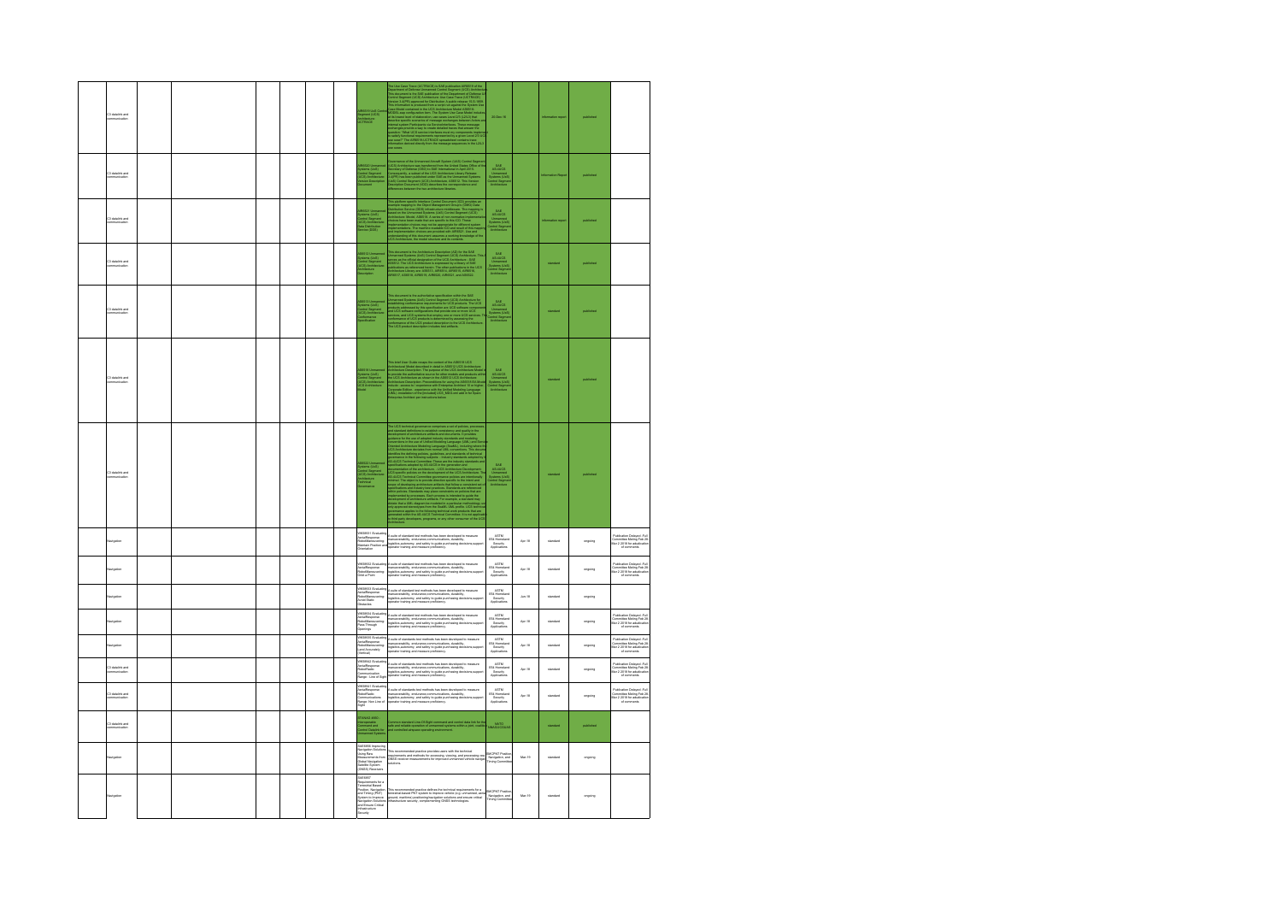| .<br>23 datalink and<br>xemmunication |  |  |  | ISOTA USS U<br>gment (UCS)<br>hilecture:<br>TRACE                                                                                                                                                          | izia i<br>1000126                                                                                                                                                                                                                                                                                                                                                       |                                                                                 |        |          |           |                                                                                                   |
|---------------------------------------|--|--|--|------------------------------------------------------------------------------------------------------------------------------------------------------------------------------------------------------------|-------------------------------------------------------------------------------------------------------------------------------------------------------------------------------------------------------------------------------------------------------------------------------------------------------------------------------------------------------------------------|---------------------------------------------------------------------------------|--------|----------|-----------|---------------------------------------------------------------------------------------------------|
| 23 datalink and<br>communication      |  |  |  |                                                                                                                                                                                                            | the University Aircraft System (UAS) Control of the una transferred from the United States Officers<br>are used (OSO) to SAF International in April 2015<br>mixed of the UCS Architecture Library Research Control of the UCS Archi                                                                                                                                     | SAE<br>AS-4UCS<br>Unmanned<br>Systems (Uch<br>Control Segme<br>Architecture     |        |          |           |                                                                                                   |
| .<br>Childalink and<br>ommunication   |  |  |  |                                                                                                                                                                                                            |                                                                                                                                                                                                                                                                                                                                                                         | SAE<br>AS-4UCS<br>Unmanned<br>Systems (Ux)<br>Control Segme<br>Architecture     |        |          |           |                                                                                                   |
| 13 datalink and                       |  |  |  | šerna (UsS)<br>štol Segme                                                                                                                                                                                  | Sourner! is the reconstant user<br>space (USS) Architecture.<br>annel Systems (USS) Corbol Segment (UCS) Architecture.<br>in as the official designation of the USS Architecture. SAE<br>ultime an referenced herein. The other publicatio                                                                                                                              | SAE<br>AS-4UCS<br>Unmanned<br>Systems (Ux<br>Control Segm                       |        |          |           |                                                                                                   |
| .<br>Didatalink and<br>Venezurinston  |  |  |  |                                                                                                                                                                                                            | ducts. The UCS<br>ta for UCS products. The U<br>on are UCS software comp<br>provide one or more UCS<br>ecilication<br>on a that po<br>of UCS systems that employ one or more<br>or of UCS products is determined by assessed to the UCS product description to the U<br>roduct description includes test artifacts.                                                     | SAE<br>AS-4UCS<br>Unmanned<br>Vetera (Lix<br>onted Segm<br>Anhiberton           |        | dandard  |           |                                                                                                   |
| 23 datalink and<br>vereniminen        |  |  |  | áerna (UsS)<br>sírol Segment<br>15) Architectur                                                                                                                                                            | recaps the content of the A50518 UC1<br>leacribed in detail in A50512 UC5 Arch<br>ion. The purpose of the UC5 Architects<br><br>scription. The purpose of the UCS Architecture<br>uthore as shown in the ASIS12 UCS Architecture as shown in the ASIS12 UCS Architecture<br>scription. Preconditions for using the ASI<br>state in Asian and the final presented and th | SAE<br>AS-6UCS<br>Systems (Ltd<br>Systems (Ltd)<br>Control Segm<br>Architecture |        |          |           |                                                                                                   |
| datalink and<br>nmanication           |  |  |  |                                                                                                                                                                                                            | The UCS technical governance comprises a set of policies, processed in<br>the distributed derivation to establish considered parts in the desired<br>derivation of accidentate artificial and documents. It provides<br>policies for th<br>process<br>y in the<br>sides                                                                                                 | SAE<br>AS-4UCS<br>Unmanned<br>Systems (Uxi<br>Iontrol Segm<br>Architecture      |        |          |           |                                                                                                   |
|                                       |  |  |  | W38931 Evaluat<br>AstalResponse<br>RobofManeuverin<br>nussensmessen<br>Maintain Position a<br>Orientation                                                                                                  | A suite of standard test methods has been developed to measure<br>manuversibility, endurance,communications, durability,<br>ogisitics,autonomy, and safety to guide purchasing decisions,suppor<br>operator training and measure profic                                                                                                                                 | ASTM<br>ES4 Homela<br>Security<br>Applications                                  | Apr-18 | anastasi | ongoing   | Publication Delayed -Full<br>Committee Meting Feb 28<br>Mar 2 2018 for adudication<br>of comments |
|                                       |  |  |  | W38932 Evalua<br>ии <i>звед ш</i> ешава<br>AerialResponse<br>Roboß/aneuvering:<br>Orbit a Point                                                                                                            | .<br>manueverability, endurance,communications, durability,<br>logialics,audonomy, and safety in guide purchasing decisions,supp<br>operator training and measure proficiency.<br>operator training and measure proficiency.                                                                                                                                            | ASTM<br>ES4 Homelan<br>Security<br>Applications                                 | Apr-18 | standard | ongoing   | Publication Delayed -Full<br>Committee Meting Feb 28<br>Mar 2 2018 for adudication<br>of comments |
|                                       |  |  |  | MS8933 Evaluate<br>AntalResponse<br>RobofManeuverit<br>RobofManeuverit<br>Avoid Static<br>Obetacles                                                                                                        | 4 xulla of standard feat melitode has been developed to measure<br>manuvershills), endurance,communications, durability,<br>ogisitics,sudonomy, and safety to guide purchesing decisions,supp<br>operator training and measure proficie                                                                                                                                 | ASTM<br>E54 Homelan<br>Security<br>Applications                                 | Jun-18 | standard | ongoing   |                                                                                                   |
|                                       |  |  |  | WK58934 Evaluate<br>AntalResponse<br>RobofManeuvering:<br>Pass: Through<br>Openings                                                                                                                        | .<br>nanaeverability, endarance,commanications, durability,<br>nanaeverability, endarance,commanications, durability,<br>ogénice training and measure proficiency.<br>sperator training and measure proficiency.                                                                                                                                                        | ASTM<br>ES4 Homelan<br>Security<br>Applications                                 | Apr-18 | standard | ongoing   | Publication Delayed -Full<br>Committee Meting Feb 28<br>Mar 2 2018 for adudication<br>of comments |
|                                       |  |  |  | WC38935 Evaluate<br>AntalResponse<br>RobofManeuvering<br>Land Accurately<br>(lettcal)                                                                                                                      | A suite of standards leat methods has been developed to measure<br>manusversibility, endurance,communications, durability,<br>logistics,sudonomy, and safety to gaide purchasing decisions,suppo<br>operator training and measure profi                                                                                                                                 | ASTM<br>E54 Homela<br>Security<br>Application                                   | Apr-18 | standard | ongoing   | Publication Delayed -Full<br>Committee Meting Feb 28<br>Mar 2 2018 for adudication<br>of comments |
| )<br>Distallink and                   |  |  |  | WC58942 Evaluati<br>AerialResponse<br>RobofRadio<br>ommunication<br>ange : Line of Si                                                                                                                      | 4 xwile of stendards leat methode has been developed to measure<br>manuvershility, endurance,communications, durability,<br>opielice,sudonomy, and safety to guide purchasing decisions,suppo<br>operator training and measure proficie                                                                                                                                 | ASTM<br>E54 Homela<br>Security<br>Application                                   | Apr-18 | standard | ongoing   | Publication Delayed -Full<br>Committee Meting Feb 28<br>Mar 2 2018 for adudication<br>of comments |
| .<br>23 datalink and<br>xemmunication |  |  |  | WS9941 Evaluation<br>AntalResponse<br>RobolRado<br>Communications<br>Renge: Non Line of<br>Sight                                                                                                           | i suite of stendards leat methods has been developed to measure<br>namewershility, endurance,communications, durability,<br>spiritics,autonomy, and safety to gaide purchasing decisions,supp.<br>perator training and measure proficie                                                                                                                                 | ASTM<br>ES4 Homelan,<br>Security<br>Applications                                | Apr-18 | standard | ongoing   | Publication Delayed -Full<br>Committee Meting Feb 28<br>Mar 2 2018 for adudication<br>of comments |
| .<br>23 datalink and<br>xemmunication |  |  |  | : ANAG 4550<br>Isroperable<br>Isromand and                                                                                                                                                                 | .<br>Common standard Line-Of-Sight command and control data link fo<br>afe and reliable operation of unmanned systems within a joint, cos<br>nd controlled aimpace operating emironment.                                                                                                                                                                                | NATO<br>AGUCO                                                                   |        | standard | published |                                                                                                   |
|                                       |  |  |  | SAD5855 Improving<br>Navigation Solutions<br>Uning Raw<br>Measurements from<br>Global Navigation<br>Satellite System<br>(GN55) Receivers                                                                   | .<br>This recommended practice provides users with the technical<br>2023 receiver measurements for inproved unmanned vehicle navig<br>20125 no<br>Iolutions.                                                                                                                                                                                                            | SMCPNT Position<br>Navigation, and<br>Timing Committe                           | Mar-19 | standard | ongoing   |                                                                                                   |
|                                       |  |  |  | SAD0857<br>Requirements for a<br>Terrestial Based<br>Position, Navigation<br>System to Improve<br>System to Improve<br>Infrastructure<br>Critical Emased Critical<br>Security<br>Security<br>aura<br>Siriv | his recommended practice defines the technical requirements for a<br>meshisi-based PNT system to improve vehicle (e.g. unmanned, aesi<br>curdi, maritime) positioninghavigation solutions and ensure critical<br>hastructure security,                                                                                                                                  | <b>SMCPNT Positio</b><br>Navigation, and<br>Timing Committe                     | Mar-19 | standard | ongoing   |                                                                                                   |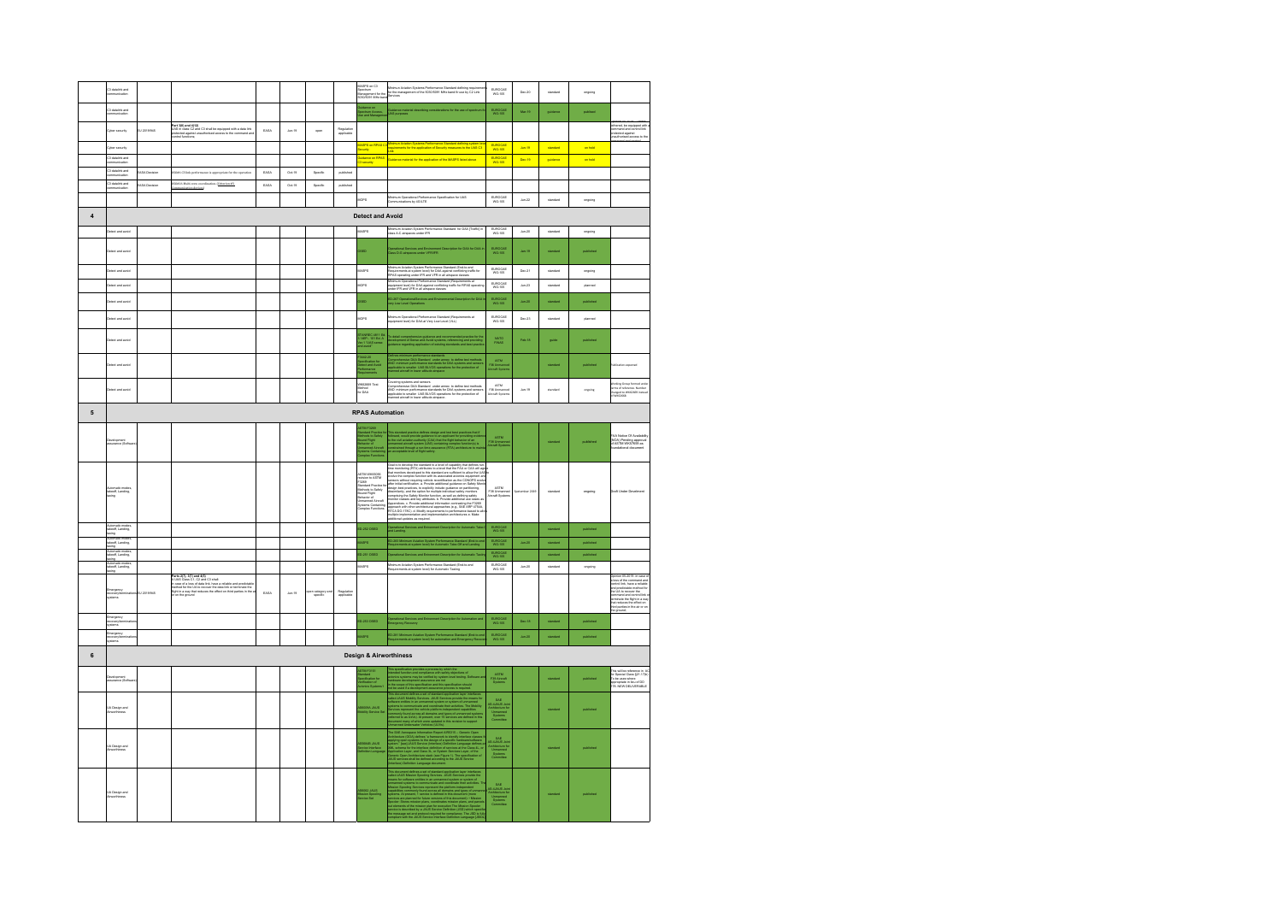|           | .<br>C3 datalink and<br>remmerkniken                                         |                      |                                                                                                                                                                                                                                            |      |                   |                           |                          | MASPS on C3<br>Spectrum<br>Management for the<br>5030/5091 MHz ban                                                                                                                                              | Minimun Aviation Systems Performance Standard defining requirem<br>for the management of the 5030/5091 MHz band fir use by C2 Link<br>Services                                                                                             | EUROCAE<br>WG-105                                                   | $Dec-20$           | standard                      | ongoing   |                                                                                                                                                                                                                                                                      |
|-----------|------------------------------------------------------------------------------|----------------------|--------------------------------------------------------------------------------------------------------------------------------------------------------------------------------------------------------------------------------------------|------|-------------------|---------------------------|--------------------------|-----------------------------------------------------------------------------------------------------------------------------------------------------------------------------------------------------------------|--------------------------------------------------------------------------------------------------------------------------------------------------------------------------------------------------------------------------------------------|---------------------------------------------------------------------|--------------------|-------------------------------|-----------|----------------------------------------------------------------------------------------------------------------------------------------------------------------------------------------------------------------------------------------------------------------------|
|           | C3 datalink and<br>communication                                             |                      |                                                                                                                                                                                                                                            |      |                   |                           |                          |                                                                                                                                                                                                                 |                                                                                                                                                                                                                                            | EUROCAE<br>WG-105                                                   | Mar-19             | guidance                      | publise   |                                                                                                                                                                                                                                                                      |
|           |                                                                              |                      |                                                                                                                                                                                                                                            | DASA |                   |                           |                          |                                                                                                                                                                                                                 |                                                                                                                                                                                                                                            |                                                                     |                    |                               |           |                                                                                                                                                                                                                                                                      |
|           | yber security                                                                | EL 2019/945          | Part 3(8) and 4(12)<br>UAS in claus C2 and C3 shall be equipped with a data link<br>prolected against unauthorised access to the command and<br>control Anctions;                                                                          |      | $_{\text{Am-12}}$ | open                      | Regulation<br>applicable |                                                                                                                                                                                                                 |                                                                                                                                                                                                                                            |                                                                     |                    |                               |           |                                                                                                                                                                                                                                                                      |
|           | yber security                                                                |                      |                                                                                                                                                                                                                                            |      |                   |                           |                          | SPS on RPAS C                                                                                                                                                                                                   | prements for the application of Security measures to the UAS CO<br>the control of the control of the control of                                                                                                                            | EUROCAE<br>WG-105                                                   | Jan-19             | standard                      | on hold   |                                                                                                                                                                                                                                                                      |
|           | C3 datalink and<br>communication<br>C3 datalink and<br>communication         | <b>EASA Decision</b> | 50#6 Cl link performance is appropriate for the operation                                                                                                                                                                                  | EASA | $OCD$ 19          | Specific                  | published                | uidance on RPAS<br>3 security                                                                                                                                                                                   | .<br>Guidance material for the application of the MASPS listed above                                                                                                                                                                       | EUROCAE<br>WG-105                                                   | Dec-19             | guidance                      | on hold   |                                                                                                                                                                                                                                                                      |
|           | C3 datalink and<br>communication                                             | <b>ASA Decisio</b>   | .<br>50#16 Malti crew coordination. <u>(Cr</u><br>resmunication devices)                                                                                                                                                                   | DASA | Q <sub>19</sub>   | Specto                    | published                |                                                                                                                                                                                                                 |                                                                                                                                                                                                                                            |                                                                     |                    |                               |           |                                                                                                                                                                                                                                                                      |
|           |                                                                              |                      |                                                                                                                                                                                                                                            |      |                   |                           |                          | asa                                                                                                                                                                                                             | Minimum Operational Performance Specification for UAS<br>Communications by 4GLTE                                                                                                                                                           | EUROCAE<br>WG-105                                                   | $_{\rm Jup-22}$    | standard                      | ongoing   |                                                                                                                                                                                                                                                                      |
|           |                                                                              |                      |                                                                                                                                                                                                                                            |      |                   |                           |                          |                                                                                                                                                                                                                 |                                                                                                                                                                                                                                            |                                                                     |                    |                               |           |                                                                                                                                                                                                                                                                      |
| $\pmb{4}$ |                                                                              |                      |                                                                                                                                                                                                                                            |      |                   |                           |                          | <b>Detect and Avoid</b>                                                                                                                                                                                         |                                                                                                                                                                                                                                            |                                                                     |                    |                               |           |                                                                                                                                                                                                                                                                      |
|           | box bnd box                                                                  |                      |                                                                                                                                                                                                                                            |      |                   |                           |                          | .<br>202                                                                                                                                                                                                        | Animum Aviation System Performance Standard for DAA (Traffic) in<br>Isas A-C airspaces under IFR                                                                                                                                           | EUROCAE<br>WG-105                                                   | $_{\text{tan-20}}$ | standard                      | ongoing   |                                                                                                                                                                                                                                                                      |
|           |                                                                              |                      |                                                                                                                                                                                                                                            |      |                   |                           |                          |                                                                                                                                                                                                                 | )<br>perational Services and Environmen<br>Jass D-G aimpaces under VFR/FR                                                                                                                                                                  | EUROCAL<br>WG-105                                                   | jan-19             |                               |           |                                                                                                                                                                                                                                                                      |
|           | tect and avoid                                                               |                      |                                                                                                                                                                                                                                            |      |                   |                           |                          | ASPS                                                                                                                                                                                                            | Minimum Aviation System Performance Standard (Dnd-to-end<br>Requirements at system level) for DAA against conflicting traffic for<br>RPAS operating under IFR and VFR in all aimpace classes                                               | EUROCAE<br>WG-105                                                   | Des21              | standard                      | ongoing   |                                                                                                                                                                                                                                                                      |
|           | tect and avoid                                                               |                      |                                                                                                                                                                                                                                            |      |                   |                           |                          | ops                                                                                                                                                                                                             | nimum Operational Performance Standard (Requirements at<br>supment level) for DAA against conflicting traffic for RPAS ope<br>der IFR and VFR in all aimpace classes                                                                       | EUROCAE<br>WG-105                                                   | $_{349-23}$        | standard                      | planned   |                                                                                                                                                                                                                                                                      |
|           | lect and avoid                                                               |                      |                                                                                                                                                                                                                                            |      |                   |                           |                          | sto                                                                                                                                                                                                             | 1-257 OperatoralServio<br>ry Low Level Operations                                                                                                                                                                                          | EUROCAE<br>WG-105                                                   | Jun-20             | standard                      | published |                                                                                                                                                                                                                                                                      |
|           | box bns bas                                                                  |                      |                                                                                                                                                                                                                                            |      |                   |                           |                          | ors                                                                                                                                                                                                             | inimum Operational Performance Standard (Requi<br>șulprnent level) for DAA at Very Low Level (VLL)                                                                                                                                         | EUROCAE<br>WG-105                                                   | $Dec-23$           | standard                      | planned   |                                                                                                                                                                                                                                                                      |
|           | lect and avoid                                                               |                      |                                                                                                                                                                                                                                            |      |                   |                           |                          | FANRED 4811 Ed<br>AEP- 101 Ed. A<br>1.1 "UAS sense<br>5 avoid"                                                                                                                                                  | sesu comprenensive guidance and recommended practice for<br>slopment of Senae and Avioid systems, referencing and provid<br>lance recarding acolication of existing standards and best crac                                                | NATO<br>FINAS                                                       | Feb-18             | guide                         | published |                                                                                                                                                                                                                                                                      |
|           | ect and avoid                                                                |                      |                                                                                                                                                                                                                                            |      |                   |                           |                          | M2-20<br>eclication for<br>fect and Avoid<br>ferrance<br>quirements                                                                                                                                             | tance standards<br>Indard under annex to define<br>The standards for DAA system<br>o amalier UAS BLVOS operati<br>craft in lower altitude aimpace                                                                                          | ASTM<br>Fäll Unma<br>Niscraft Sve                                   |                    |                               |           |                                                                                                                                                                                                                                                                      |
|           | ect and avoid                                                                |                      |                                                                                                                                                                                                                                            |      |                   |                           |                          | 052559 Text<br>Method<br>for DAA                                                                                                                                                                                | Counting systems and sensors<br>Comprehensive DAA Standard under annex to define leat methods<br>AND minimum performance standards for DAA systems and sensors<br>spplicable to smaller UAS BLVOS operations for the protection of<br>mann | ASTM<br>F38 Unmanned<br>Aircraft Systems                            | $_{\text{20-12}}$  | standard                      | ongoing   | Norking Group formed unde<br>seres of reference. Number<br>thanged to WWG 2009 instead<br>of WKG2008                                                                                                                                                                 |
| 5         |                                                                              |                      |                                                                                                                                                                                                                                            |      |                   |                           |                          | <b>RPAS Automation</b>                                                                                                                                                                                          |                                                                                                                                                                                                                                            |                                                                     |                    |                               |           |                                                                                                                                                                                                                                                                      |
|           |                                                                              |                      |                                                                                                                                                                                                                                            |      |                   |                           |                          |                                                                                                                                                                                                                 |                                                                                                                                                                                                                                            |                                                                     |                    |                               |           |                                                                                                                                                                                                                                                                      |
|           | rvelopment<br>surance (Sof                                                   |                      |                                                                                                                                                                                                                                            |      |                   |                           |                          | neard Prace<br>Incola to Sale<br>and Flight<br>write of<br>terms Contain<br>plax Functor<br>plax Functor                                                                                                        | se entroise practica delines design and test best practices that if<br>lowed, would provide guidence to an applicant for providing estimate<br>the chil aviation authority (CAA) that the flight behavior of an<br>meaned aircast syste    | ASTM<br>F38 Umman<br>Aircraft Syste                                 |                    |                               |           | AA Notice Of Availab<br>(NOA) Pending approve<br>of ASTM WK57659 as<br>foundational document                                                                                                                                                                         |
|           | takeoff, Landing,<br>taxing                                                  |                      |                                                                                                                                                                                                                                            |      |                   |                           |                          | ASTM WK05056<br>Nivision to ASTM<br>revision to ASTM<br>F3269<br>Shedard Practice fo<br>Methods to Safely<br>Bound Fight<br>Dimanned Aircraft<br>Systems Containing<br>Systems Containing<br>Systems Containing |                                                                                                                                                                                                                                            | ASTM<br>F38 Unmanned<br>Aircraft Systems                            | petember 2019      | standard                      | ongoing   | Draft Under Dev                                                                                                                                                                                                                                                      |
|           | utomatic modes<br>akeoff, Landing,                                           |                      |                                                                                                                                                                                                                                            |      |                   |                           |                          | 02520500                                                                                                                                                                                                        | xerasceae)<br>d Landing                                                                                                                                                                                                                    | EUROCAL<br>WG-105                                                   |                    | standard                      | published |                                                                                                                                                                                                                                                                      |
|           | domatic modes.<br>usoff, Landing.<br>oing<br>Armatic modes                   |                      |                                                                                                                                                                                                                                            |      |                   |                           |                          | uses.                                                                                                                                                                                                           | .<br>1-203 Minimum Aviation System Performance Standard (End-t<br>quirements at system level) for Automatic Take-Off and Landi                                                                                                             | EUROCAE<br>WG-105                                                   | $_{\rm Jup20}$     | standard                      | published |                                                                                                                                                                                                                                                                      |
|           | off, Landing,<br>sing.                                                       |                      |                                                                                                                                                                                                                                            |      |                   |                           |                          | D-251 OSED<br><b>ASPS</b>                                                                                                                                                                                       | <b>donal Services and Enironment Description for Aut</b><br>nimum Aviation System Performance Standard (End-to-end<br>epirements at system level) for Automatic Taxing                                                                     | EUROCA<br>WG-105                                                    | $_{\text{Jup-20}}$ | $\text{standard}$<br>standard | published |                                                                                                                                                                                                                                                                      |
|           | domatic modes,<br>seoff, Landing,<br>ing<br>nergency<br>covery/ter<br>sterna | EU 2019/945          | Parts 2(7), 3(7) and 4(5)<br>A UAS Chase Ct; (22 and C3 shalt<br>In case of a loss of data link, have a reliable and predictable<br>trained for the UA to recover the data link or lerminate the<br>fight in a way that reduces the effect | EASA | $_{\text{Am-19}}$ | en category a<br>specific | Regulation<br>applicable |                                                                                                                                                                                                                 |                                                                                                                                                                                                                                            | EUROCAE<br>WG-105                                                   |                    |                               | ongoing   | Opinion 05-2019: in case<br>a loss of the command are<br>control link, have a relable<br>and predictable method fo<br>the UA to recover the<br>command and control link<br>terminate the fight in a war<br>hat reduces the effect on<br>hird parties in the air or c |
|           | nargancy<br>coveryhamis<br>stoma                                             |                      |                                                                                                                                                                                                                                            |      |                   |                           |                          | 0253 05ED                                                                                                                                                                                                       | erational Services a<br>wrgency Recovery                                                                                                                                                                                                   | EUROCAL<br>WG-105                                                   | Dec-18             | standard                      | published |                                                                                                                                                                                                                                                                      |
|           | mergency<br>covery/tem<br>where                                              |                      |                                                                                                                                                                                                                                            |      |                   |                           |                          |                                                                                                                                                                                                                 | .<br>201 Meimum Aviation System Performance Standard (End-to-<br>quirements at system level) for automation and Emergency Rec                                                                                                              | EUROCAE<br>WG-105                                                   | $_{\rm Jup20}$     |                               | publish   |                                                                                                                                                                                                                                                                      |
| 6         |                                                                              |                      |                                                                                                                                                                                                                                            |      |                   |                           |                          | Design & Airworthiness                                                                                                                                                                                          |                                                                                                                                                                                                                                            |                                                                     |                    |                               |           |                                                                                                                                                                                                                                                                      |
|           | velopment<br>urance (Sc                                                      |                      |                                                                                                                                                                                                                                            |      |                   |                           |                          | <b>M F315</b>                                                                                                                                                                                                   |                                                                                                                                                                                                                                            | ASTM<br>F39 Aircraft<br>Systems                                     |                    | standard                      |           | This will be reference in A<br>for Special Class §21.17(b)<br>To be uses where<br>appropriate in lets of DO<br>178. NEW DELIVERABLE                                                                                                                                  |
|           | <b>UA Design and</b><br>Airworthiness                                        |                      |                                                                                                                                                                                                                                            |      |                   |                           |                          |                                                                                                                                                                                                                 |                                                                                                                                                                                                                                            | SAE<br>S-41AUS 1<br>Chilecture<br>Systems<br>Committe               |                    | standard                      | publishe  |                                                                                                                                                                                                                                                                      |
|           | .<br>UA Design and<br>Aireorthiness                                          |                      |                                                                                                                                                                                                                                            |      |                   |                           |                          | 36848 JAUS<br>rvice Interface<br>Snition Lancus                                                                                                                                                                 |                                                                                                                                                                                                                                            | SAE<br>US-41AUS J<br>Architecture<br>Unmanne<br>Systems<br>Committe |                    | standard                      |           |                                                                                                                                                                                                                                                                      |
|           | UA Design and<br>Airworthiness                                               |                      |                                                                                                                                                                                                                                            |      |                   |                           |                          | SEOEZ JAUS<br>Ission Spooling<br>Invine Set                                                                                                                                                                     |                                                                                                                                                                                                                                            | SAE<br>S-414US J<br>rchilecture<br>Unmanne<br>Systems<br>Committe   |                    |                               |           |                                                                                                                                                                                                                                                                      |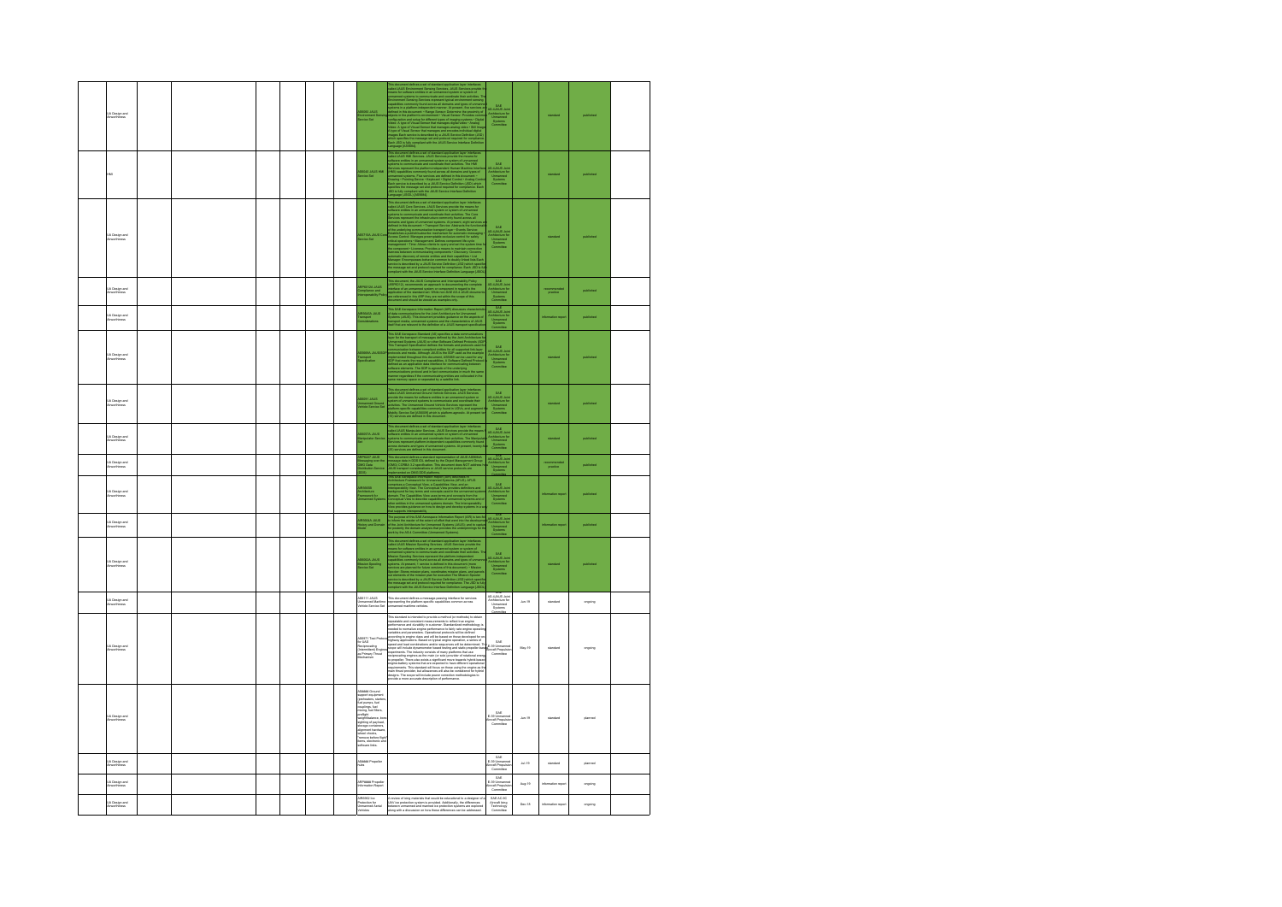| <b>JA Design and</b><br>Unvorthiness  |  |  |  | EOSO JAUS<br>Vironment Si<br>nóne Sat                                                                                                                                                                                                                                                                                                                                                                                                                                                                                                  |                                                                                                                                                                                                                                         | SAE<br>SS-41AUS Joir<br>Architecture fo<br>Committee<br>Committee             |                  | dandard               |                     |  |
|---------------------------------------|--|--|--|----------------------------------------------------------------------------------------------------------------------------------------------------------------------------------------------------------------------------------------------------------------------------------------------------------------------------------------------------------------------------------------------------------------------------------------------------------------------------------------------------------------------------------------|-----------------------------------------------------------------------------------------------------------------------------------------------------------------------------------------------------------------------------------------|-------------------------------------------------------------------------------|------------------|-----------------------|---------------------|--|
|                                       |  |  |  | ASEO40 JAUS HM<br>Service Set                                                                                                                                                                                                                                                                                                                                                                                                                                                                                                          |                                                                                                                                                                                                                                         | SAE<br>S-4JAUS Joir<br>Architecture fo<br>Unmanned<br>Systems<br>Committee    |                  |                       |                     |  |
| <b>JA Design and</b><br>Unvorthiness  |  |  |  | ASS710A.JA<br>Service Set                                                                                                                                                                                                                                                                                                                                                                                                                                                                                                              |                                                                                                                                                                                                                                         | SAE<br>AS-41AUS Joi<br>Architecture fo<br>Urmanned<br>Systems<br>Committee    |                  |                       |                     |  |
| JA Design and<br>Unvorthiness         |  |  |  | RP6012A JAUS<br>ompliance and<br>teroogrability Pi                                                                                                                                                                                                                                                                                                                                                                                                                                                                                     |                                                                                                                                                                                                                                         | SAE<br>AS-414US Joir<br>Architecture for<br>University<br>Committee           |                  | ecommend<br>practice  | <b>Park Backage</b> |  |
| UA Design and<br>Airworthiness        |  |  |  | .<br>Tanaport<br>Jonaiderationa                                                                                                                                                                                                                                                                                                                                                                                                                                                                                                        | is for the                                                                                                                                                                                                                              | SAE<br>AS-414US Job<br>Architecture fo<br>Unmanned<br>Systems<br>Committee    |                  |                       | published           |  |
| <b>JA Design and</b><br>Unvorthiness  |  |  |  | (SSODGA JA)<br>Tanaport<br>Inarifiration                                                                                                                                                                                                                                                                                                                                                                                                                                                                                               |                                                                                                                                                                                                                                         | SAE<br>AS-4JAUS Job<br>Architecture St<br>Systems<br>Committee                |                  | standard              |                     |  |
| <b>UA Design and</b><br>Airworthiness |  |  |  | 091 JAUS<br>anned Gr<br>ide Servic                                                                                                                                                                                                                                                                                                                                                                                                                                                                                                     |                                                                                                                                                                                                                                         | SAE<br>AS-41AUS Joint<br>Architecture for<br>Systems<br>Committee             |                  |                       |                     |  |
| .<br>A Design and<br>Vreorfhiness     |  |  |  | ITA JAUS<br>Jakot Se                                                                                                                                                                                                                                                                                                                                                                                                                                                                                                                   |                                                                                                                                                                                                                                         | SAE<br>AS-43435 368<br>Architecture fo<br>Committee<br>Committee              |                  | standard              | published           |  |
| JA Design and<br>Unvorthiness         |  |  |  | P6227 JAU<br>Isaging ove<br>G Data<br>Iribution Se                                                                                                                                                                                                                                                                                                                                                                                                                                                                                     |                                                                                                                                                                                                                                         | Sea<br>AS-41AUS Join<br>Architecture for<br>Systems<br>Committee              |                  | recomment<br>practice |                     |  |
| .<br>A Design and<br>Vreorthiness     |  |  |  | sitecture<br>nework for<br>sanned Sv                                                                                                                                                                                                                                                                                                                                                                                                                                                                                                   |                                                                                                                                                                                                                                         | SAE<br>AS-41AUS Job<br>Architecture fo<br>Unmanned<br>Systems<br>Committee    |                  |                       |                     |  |
| UA Design and<br>Airworthiness        |  |  |  | RSEE4A JAUS<br>Hory and Dome                                                                                                                                                                                                                                                                                                                                                                                                                                                                                                           | s purpose of this SAE As<br>nform the reader of the e<br>he Joint Anchilecture for                                                                                                                                                      | SAE<br>S-4JAUS Job<br>Architecture fo<br>Committee<br>Committee               |                  |                       | published           |  |
| .<br>UA Design and<br>Airworthiness   |  |  |  | 456062A JAUS<br>Maalon Spooling<br>Service Set                                                                                                                                                                                                                                                                                                                                                                                                                                                                                         | ed JAUS M                                                                                                                                                                                                                               | SAE<br>AS-41AUS Job<br>Architecture fo<br>Committee<br>Committee              |                  | standard              |                     |  |
| .<br>A Design and<br>Unvorthiness     |  |  |  | ASS111 JAUS<br>Unmaned Martim<br>Vehicle Service Se                                                                                                                                                                                                                                                                                                                                                                                                                                                                                    | sument defines a message-passing interface for services<br>sing the platform-specific capabilities common across<br>ed maritime vehicles.                                                                                               | SML<br>AS-4JAUS Joint<br>Architecture for<br>Unmanned<br>Systems<br>Committee | $_{\rm{248-12}}$ | standard              | ongoing             |  |
| .<br>A Design and<br>Vreorthiness     |  |  |  | ASEG71 Text Pn<br>for UAS<br>Reciprocating<br>(Intermittent) En<br>as Primary Thru<br>Mechanism                                                                                                                                                                                                                                                                                                                                                                                                                                        | This standard is beholded to provide a method (or northela) to define<br>the standard in the standard control of the standard control of the<br>standard control of the standard standard in the standard control of<br>the standard c  | 540<br>E-39 Unmanne<br>Recraft Propulsic<br>Committee                         | $May-12$         | standard              | ongoing             |  |
| .<br>A Design and<br>Vreorthiness     |  |  |  | Silvene Ground<br>www.lamin.mar<br>$\begin{array}{l} \textit{m3349494} \textit{Grouard} \\ \textit{lognormal} \\ \textit{proposition} \\ \textit{proposition} \\ \textit{to} \\ \textit{to} \\ \textit{to} \\ \textit{to} \\ \textit{to} \\ \textit{to} \\ \textit{to} \\ \textit{to} \\ \textit{to} \\ \textit{to} \\ \textit{to} \\ \textit{to} \\ \textit{to} \\ \textit{to} \\ \textit{to} \\ \textit{to} \\ \textit{to} \\ \textit{to} \\ \textit{to} \\ \textit{to} \\ \textit{to} \\ \textit{to} \\ \textit{to} \\ \textit{to}$ |                                                                                                                                                                                                                                         | 540<br>E-39 Unmanne<br>Aircraft Propulsi<br>Committee                         | Jan-19           | standard              | planned             |  |
| <b>IA Design and</b><br>invortiness   |  |  |  | Sirees Propeller<br>ubs                                                                                                                                                                                                                                                                                                                                                                                                                                                                                                                |                                                                                                                                                                                                                                         | SAE<br>E-39 Unmann<br>Aircraft Propuls<br>Committee                           | 3419             | standard              | planned             |  |
| <b>IA Design and</b><br>invortiness   |  |  |  | <b>Peere Propeler</b><br>strukke Report                                                                                                                                                                                                                                                                                                                                                                                                                                                                                                |                                                                                                                                                                                                                                         | SAE<br>E-39 Unmann<br>Nrondi Committee                                        | $Aug-19$         |                       | ongoing             |  |
| JA Design and<br>Unvorthiness         |  |  |  | AIREGEZ Ice<br>Profection for<br>Unimanned Aetal<br>Vehicles                                                                                                                                                                                                                                                                                                                                                                                                                                                                           | A review of icing materials that would be educational to a designer of a<br>UAV los protection system is provided. Additionally, the differences<br>between unmanned and manned iso protection systems are explored<br>along with a dis | SAE AC-9C<br>Aircraft long<br>Technology<br>Committee                         | Dec-18           | formation repo        | ongoing             |  |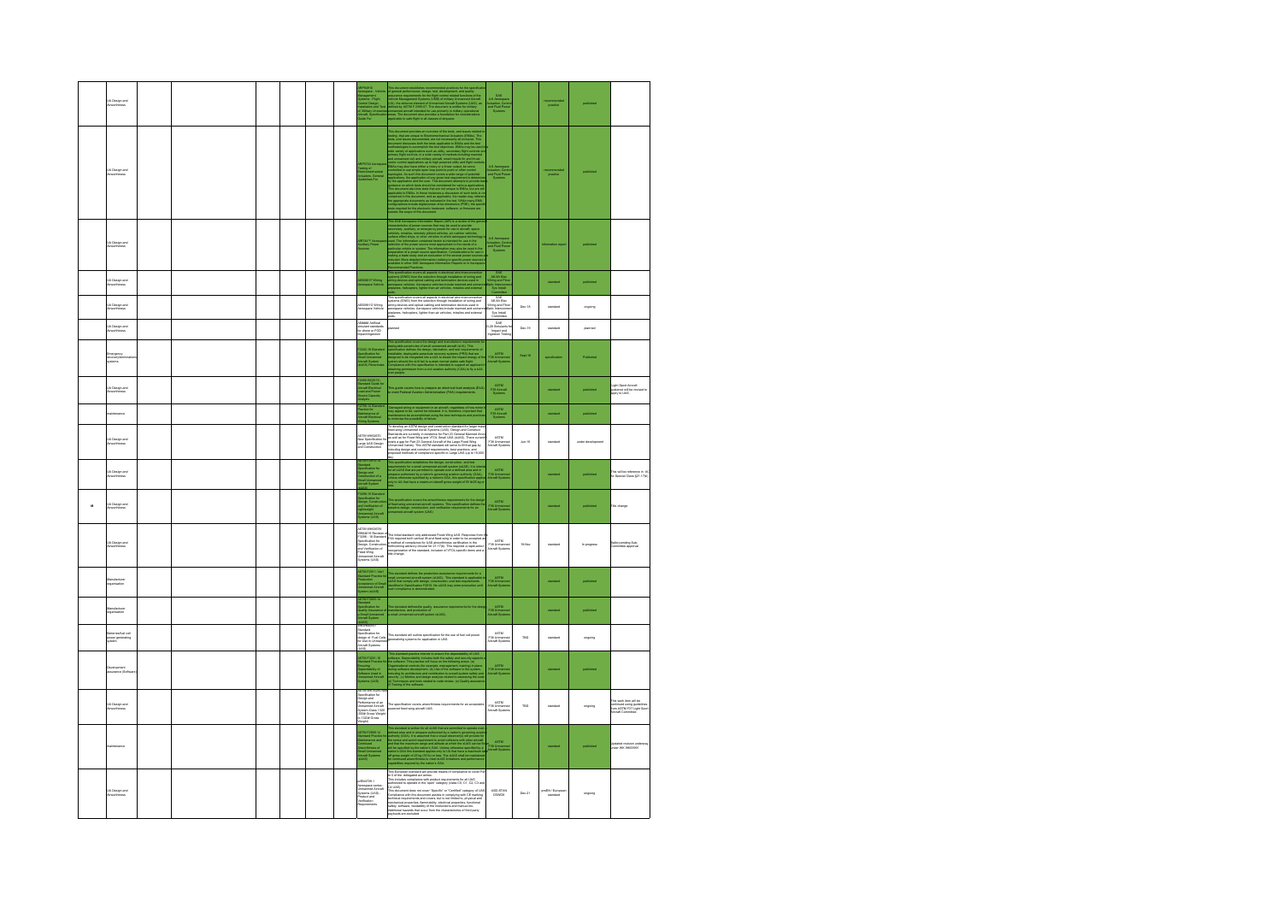| <b>JA Design and</b><br>Unvorthiness          |  |  |  | ragement<br>sterns - Flight<br>ninol Design,<br>tallation and Te<br>Military Lin<br>Incrait, Spec<br>uide For                                                                     | suration requires to Systems (VMS)<br>Which Management Systems (VMS)<br>Islined by ASTM F 2395-07. The doc<br>tanned air<br>as. The do                                                                                                                                                                                                                                                                                                                                           | 5.4E<br>A-5 Aarcepac<br>Ictuation, Con<br>and Fluid Pow<br>Rodom                                |                    | recommend<br>cractice       |                |                                                                                               |
|-----------------------------------------------|--|--|--|-----------------------------------------------------------------------------------------------------------------------------------------------------------------------------------|----------------------------------------------------------------------------------------------------------------------------------------------------------------------------------------------------------------------------------------------------------------------------------------------------------------------------------------------------------------------------------------------------------------------------------------------------------------------------------|-------------------------------------------------------------------------------------------------|--------------------|-----------------------------|----------------|-----------------------------------------------------------------------------------------------|
| <b>UA Design and</b><br>Airworthiness         |  |  |  | RP5724 Aerospa<br>Isting of<br>Iscleomechanical<br>cidelines For                                                                                                                  | Via discursant provides are convince of the lasts, and issues via<br>the gauge system of the lasts, and issues with the company of the<br>system of discusses in the last spinone control of the<br>system of the company of the last<br>o limitations instances a discussion of such learn because to a supplicate, the mader may reference<br>currents, and an applicate, the mader may reference<br>currents as indicated in the text While many EMA<br>use digital power dri | Art Asrospace<br>Actuation, Cont<br>and Fluid Pow<br>Systems                                    |                    | ecommende<br>practice       |                |                                                                                               |
| <b>A Design and</b><br>Invertisieses          |  |  |  | t744™ Aaros<br>dilary Power<br>uross                                                                                                                                              | sce technolog<br>use in the<br>seeds of a<br>be used in th                                                                                                                                                                                                                                                                                                                                                                                                                       | o Asrospac<br>clustion, Con<br>nd Fluid Pow<br>Systems                                          |                    |                             | published      |                                                                                               |
| A Design and<br>Invertisieses                 |  |  |  | :<br>0881F Wring<br>ospace Vehicle                                                                                                                                                | of wiring and                                                                                                                                                                                                                                                                                                                                                                                                                                                                    | SAE<br>AD-BA Elec<br>Wring and Fib<br>Jolic Interconn                                           |                    | standard                    | published      |                                                                                               |
| A Design and                                  |  |  |  | 10881G Wring<br>ospace Vehicle                                                                                                                                                    | his apacification covers all aspects in electrical wins intercommetion<br>paleras (EWAS) from the selected through installation of wiring and<br>eing devices and optical cabling and termination devices used in<br>errepans, helicopt                                                                                                                                                                                                                                          | SAE<br>AE-BA Elec<br>Vring and Fib<br>Mir Internoo<br>ric Intercor-<br>Syx Install<br>Committee | Dec-18             | standard                    | ongoing        |                                                                                               |
| <b>A Design and</b><br>Invortiness            |  |  |  | ASKARA Artificial<br>simulant standard<br>for drone or FCO<br>impactingestion                                                                                                     | med                                                                                                                                                                                                                                                                                                                                                                                                                                                                              | 540<br>3-28 Simulants<br>Impact and<br>Ingestion Test                                           | $Dec-19$           | standard                    | planned        |                                                                                               |
| .<br>nemary<br>relens<br>relens               |  |  |  | 022-18 Standar<br>secfication for<br>rail Unswaned<br>craft System<br>JAS) Parachule                                                                                              | i specimento cover are ossign and matematic requestions of the conditional conditional conditions of the change of the condition of the change of the change of the change of the change of the condition of the change of the<br>.<br>Sance with this specification is intended to support an applicant<br>sing permission from a civil aviation authority (CAA) to the a sUA                                                                                                   | ASTM<br>F38 Unmann<br>Aircraft System                                                           | Sept-18            |                             | Published      |                                                                                               |
| <b>JA Design and</b><br>Unvorthiness          |  |  |  | andard Guide fi<br>Ioraft Electrical<br>ad and Power<br>Iurce Capacity<br>120-14 Stand<br>clice for                                                                               | is guide covers how to prepare an electrical load analysis (ELA<br>meet Federal Aviation Administration (FAA) requirements.                                                                                                                                                                                                                                                                                                                                                      | ASTM<br>F39 Aircraft<br>Systems                                                                 |                    | standard                    |                | Light Sport Aircraft<br>guidance will be revis<br>apply to UAS.                               |
|                                               |  |  |  | aft Electrical<br>1g Systems                                                                                                                                                      | urraged witing or equipment in an aircraft, regardless of how min<br>ry appear to be, cannot be tolerated. It is, therefore, importent that<br>intervance be accomplished using the best techniques and practic                                                                                                                                                                                                                                                                  | ASTM<br>F39 Aiscra<br>Systems                                                                   |                    | standarı                    |                |                                                                                               |
| JA Design and<br>Unvorthiness                 |  |  |  | unne versusere<br>Jew Specification<br>arge UAS Design<br>nd Construction                                                                                                         | $\begin{minipage}[t]{0.9\textwidth} \begin{tabular}{ l l } \hline & \multicolumn{2}{ l l } \hline \multicolumn{2}{ l }{} & \multicolumn{2}{ l }{} \\ \hline \multicolumn{2}{ l }{} & \multicolumn{2}{ l }{} & \multicolumn{2}{ l }{} \\ \hline \multicolumn{2}{ l }{} & \multicolumn{2}{ l }{} & \multicolumn{2}{ l }{} \\ \hline \multicolumn{2}{ l }{} & \multicolumn{2}{ l }{} & \multicolumn{2}{ l }{} \\ \hline \multicolumn{2}{ l }{} & \multicolumn$                      | ASTM<br>Patter<br>F38 Unmanne<br>Aircraft System                                                | $_{\text{200-12}}$ | standard                    | under develops |                                                                                               |
| .<br>A Design and<br>Voyorthiness             |  |  |  | icification <del>nat</del><br>lign and<br>ratruction of a<br>craft System<br>craft System                                                                                         | <sup>07</sup> )<br>this specification establishes the design, construction, and lest<br>universalistic as a small screamed increat patent (slide). It is interested<br>and all USC finit are permitted to operating avoids on an descript (GAA)<br>r                                                                                                                                                                                                                             | ASTM<br>F38 Unmann<br>Aircraft Syste                                                            |                    | standard                    |                | This will be reference in A<br>for Special Class §21.17(b)                                    |
| <b>JA Design and</b><br>Ununrihinees          |  |  |  | uman<br>1238-19 Standard<br>pecification for<br>saign, Constructs<br>phawight<br>nature di Alecraft<br>nature di Alecraft<br>nature di Alecraft                                   | his specification covers the airworthiness requirements for the desi<br>I fixed-wing unmanned aircraft systems. This specification defines t<br>aseline design, construction, and verification requirements for an<br>nmanned aircraft                                                                                                                                                                                                                                           | ASTM<br>F38 Unmann<br>Aircraft System                                                           |                    | ndard                       |                | Title change                                                                                  |
| UA Design and<br>Ainvorthiness                |  |  |  | ASTM WKC3578/<br>MX54519 Revision of<br>F3298 - 18 Standard<br>Specification for<br>Direction of Verification of<br>Faust-Wing<br>Trans-Wing<br>Unmarmed Alexaft<br>Systems (UAS) | The initial standard only addressed Flood-Wing UAS. Response from<br>FAA required both verical lift and found-wing in order to be accepted<br>a mathbod of complexes for UAS alreadings conditions in the<br>foundary additional for                                                                                                                                                                                                                                             | ASTM<br>F38 Unmanne<br>Aircraft System                                                          | 19-Nov             | standard                    | In progress    | <b>Ballot pending Sub-</b><br>Committee approval                                              |
| fanufacturer<br>Iganisation                   |  |  |  | .<br>Nil F2911-14e1<br>ndard Practice I<br>duction<br>aptance of Sm<br>ranned Alecraft<br>term (sUAS)                                                                             | is standard defines the production acceptance requirements for a<br>all unmanned sircust system (sUAS). This standard is applicable<br>AS that comply with design, construction, and test requirements<br>influence is demonstrated. No                                                                                                                                                                                                                                          | ASTM<br>F38 Unmann<br>Aircraft Syste                                                            |                    |                             |                |                                                                                               |
| lanufacturer<br>ganisation                    |  |  |  | TA F3003-14<br>indard<br>ecfication for<br>ality Assurance<br>craft System<br>craft System                                                                                        | his standard defines<br>the quality assuments and production of<br>small unmanned aircraft system (sUAS).                                                                                                                                                                                                                                                                                                                                                                        | ASTM<br>F38 Unmann<br>Aircraft Syster                                                           |                    |                             |                |                                                                                               |
| atleries/had cell<br>zwer generating<br>yelem |  |  |  | nnovation<br>Specification for<br>Sesign of Fuel Cells<br>for Use in Unmanne<br>Vircraft Systems                                                                                  | a standard will outline specification for the use of fuel cell power<br>reratining systems for application in LIAS.                                                                                                                                                                                                                                                                                                                                                              | ASTM<br>F38 Unmann<br>Alscraft Syster                                                           | TEO                | standard                    | ongoing        |                                                                                               |
| velopment<br>surance (Softwa                  |  |  |  | .<br>IN F3201-16<br>Inderd Practice<br>mano Pracas<br>suring<br>pendability of<br>manned Alecrafi<br>manned Alecrafi<br>stems (UAS)                                               | m/s                                                                                                                                                                                                                                                                                                                                                                                                                                                                              | ASTM<br>F38 Unmann<br>Aircraft Syste                                                            |                    | standard                    | published      |                                                                                               |
| <b>IA Design and</b><br>Invorthiness          |  |  |  | STM WK16285 Niger<br>Specification for<br>Sesign and<br>Shmanned Alecraft<br>System-Class 1320<br>1320# Gross Weight<br>1520# Gross<br>Neirith<br>ght)                            | specification covers airworth<br>ered fixed wing aircraft UAS.                                                                                                                                                                                                                                                                                                                                                                                                                   | ASTM<br>F38 Unmanne<br>Aircraft System                                                          | TEO                | standard                    | ongoing        | This work item will be<br>continued using guideline<br>hom ASTM F37 Light Sp<br>home@ Cassett |
| nterance                                      |  |  |  | STM F2909-14<br>Iandard Practice<br>Iandardos and<br>Irworthiness of<br>mail Unmanned<br>Iomit Systems<br>Iomit Systems                                                           | the standard is written for all sLIAS that are permitted<br>free area and in statistic free and in the statistic probability relationships<br>although (GAA). It is assumed that a visual observer) is the sense are<br>discolar exper                                                                                                                                                                                                                                           | ASTM<br>T38 Unmann<br>Aircraft Syste                                                            |                    | standard                    |                | Updated revision und<br>under VIK WK63991                                                     |
| <b>JA Design and</b><br>Virworthiness         |  |  |  | eEN4709-1<br>iarospace series -<br>inmanned Aircraft<br>lystems (UAS) -<br>lerification<br>lerification<br>manor<br>culterioria                                                   | ida are exc                                                                                                                                                                                                                                                                                                                                                                                                                                                                      | ASD-STAN<br>DSWG8                                                                               | Dec-21             | preEN / Europea<br>standard | ongoing        |                                                                                               |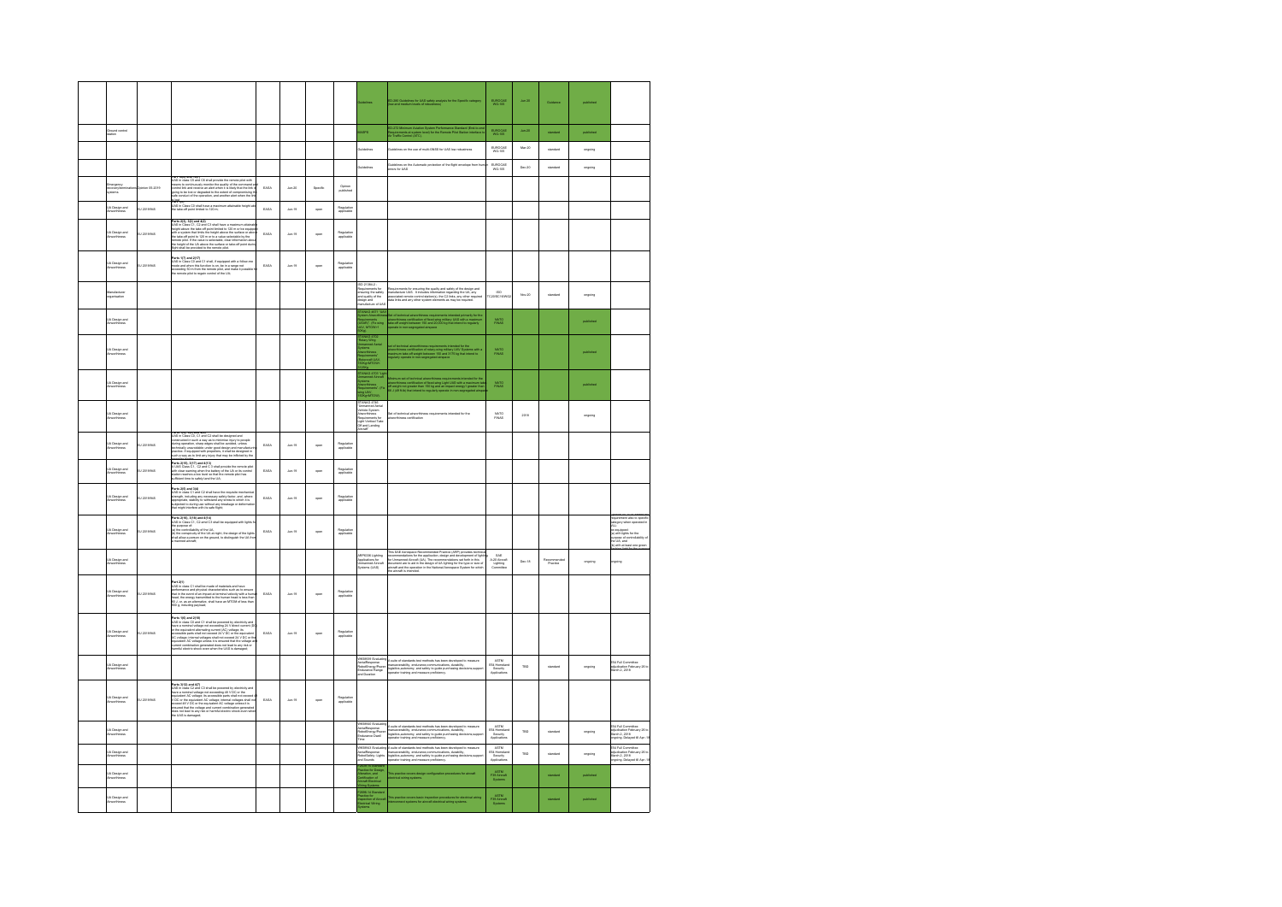|                                       |                    |                                                                                                                                                                                                                                                                                                                                                                                                                 |      |                   |      |                          |                                                                                                                                                                | D-250 Guidelines for UAS safety anal<br>low and medium levels of robustness)                                                                                                                                                                                                                                                                                                                                                                              | EUROCAE<br>WG-105                                | iun 20         |                       |           |                                                                                                                                                                                                                     |
|---------------------------------------|--------------------|-----------------------------------------------------------------------------------------------------------------------------------------------------------------------------------------------------------------------------------------------------------------------------------------------------------------------------------------------------------------------------------------------------------------|------|-------------------|------|--------------------------|----------------------------------------------------------------------------------------------------------------------------------------------------------------|-----------------------------------------------------------------------------------------------------------------------------------------------------------------------------------------------------------------------------------------------------------------------------------------------------------------------------------------------------------------------------------------------------------------------------------------------------------|--------------------------------------------------|----------------|-----------------------|-----------|---------------------------------------------------------------------------------------------------------------------------------------------------------------------------------------------------------------------|
| round control<br>ation                |                    |                                                                                                                                                                                                                                                                                                                                                                                                                 |      |                   |      |                          |                                                                                                                                                                | .<br>10-272 Minimum Aviation System Performance Standard (End-to-es<br>tequinements at system level) for the Remote Pilot Station interface<br>in Traffic Control (ATC).                                                                                                                                                                                                                                                                                  | EUROCAE<br>WG-105                                | $_{\rm Jup20}$ | standard              | published |                                                                                                                                                                                                                     |
|                                       |                    |                                                                                                                                                                                                                                                                                                                                                                                                                 |      |                   |      |                          |                                                                                                                                                                | delines on the use of mult-GNSS for UAS low robustness                                                                                                                                                                                                                                                                                                                                                                                                    | EUROCAE<br>WG-105                                | $Map-20$       | standard              | ongoing   |                                                                                                                                                                                                                     |
|                                       |                    |                                                                                                                                                                                                                                                                                                                                                                                                                 |      |                   |      |                          | sines                                                                                                                                                          | .<br>Guidelines on the Automatic protection of the flight envelope from hu<br>errors for UAS                                                                                                                                                                                                                                                                                                                                                              | EUROCAE<br>WG-105                                | $Dec-20$       | standard              | ongoing   |                                                                                                                                                                                                                     |
| nergency<br>covery/ten<br>-           | nion 05-2019       | PART TEXT ARE TEXT OF THE CONDITIONS TO THE REPORT THE RESEARCH THE RESEARCH THE RESEARCH TERM IS CONTINUOUSLY THE RESEARCH THE RESEARCH THE RESEARCH THE RESEARCH THE RESEARCH THE RESEARCH THE RESEARCH THE RESEARCH THE RES<br>an <sub>tran</sub>                                                                                                                                                            | EASA | $_{\text{Am-20}}$ |      | Opinon<br>published      |                                                                                                                                                                |                                                                                                                                                                                                                                                                                                                                                                                                                                                           |                                                  |                |                       |           |                                                                                                                                                                                                                     |
| A Design and<br>Invertisieses         | 03 2019/945        | rans rijer<br>UAS in Class C0 shall have a maximum attainable height at<br>the take-off point limited to 120 m;                                                                                                                                                                                                                                                                                                 | EASA | $Am-19$           | open | Regulation<br>applicable |                                                                                                                                                                |                                                                                                                                                                                                                                                                                                                                                                                                                                                           |                                                  |                |                       |           |                                                                                                                                                                                                                     |
| <b>IA Design and</b><br>Investitions  | <b>U 2019/945</b>  | Parts 2(2), 3(2) and 4(2)<br>UASS in Case C3 what have a moderary attenuated UAS in Cases C4, C3 and C3 what have a moderary attenuated in 120 m or be equipped to<br>with a system that limits the height above the underscore a<br>flight shall be provided to the remote plot.                                                                                                                               | DASA | $_{\text{Am-19}}$ | open | Regulation<br>applicable |                                                                                                                                                                |                                                                                                                                                                                                                                                                                                                                                                                                                                                           |                                                  |                |                       |           |                                                                                                                                                                                                                     |
| A Design and<br>Invortiness           | EU 2019/945        | Parts 1(7) and 2(17)<br>UAS in Claus CO and C1 shall, if equipped with a follow-me<br>mode and when this farction is on ), be in a range not<br>esceeding 50 m from the remote plot, and make it possible<br>the remote plot to regain con                                                                                                                                                                      | DASA | $_{\text{Am-12}}$ | open | Regulation<br>applicable |                                                                                                                                                                |                                                                                                                                                                                                                                                                                                                                                                                                                                                           |                                                  |                |                       |           |                                                                                                                                                                                                                     |
| lanufacturer<br>ganisation            |                    |                                                                                                                                                                                                                                                                                                                                                                                                                 |      |                   |      |                          | 50 21384-2<br>Transports for<br>aquirements to<br>nuring the safety<br>nd quality of the<br>lesign and<br>nanufacture of UAS                                   | .<br>Tequinements for ensuring the quality and safety of the design as<br>susociated remote control station(h), the C2 links, any other require<br>stat links and any other system elements as may be required.                                                                                                                                                                                                                                           | 50<br>205016W                                    | Now 20         | standard              | ongoing   |                                                                                                                                                                                                                     |
| <b>IA Design and</b><br>invortiness   |                    |                                                                                                                                                                                                                                                                                                                                                                                                                 |      |                   |      |                          | us 467 t °<br>LAineach<br>SARI", (Fix wing)<br>W. MTOW+1<br><b>ANAG 4702</b>                                                                                   | .<br>Into the christial almost biness requirements intended primarily for<br>sive-off weight beheaven 150 and 20,000 kg that intend to regularly<br>perate in non-segregated almpsice<br>perate in non-segregated almpsice                                                                                                                                                                                                                                | NATO<br>FINAS                                    |                |                       |           |                                                                                                                                                                                                                     |
| <b>JA Design and</b><br>Hrworthiness  |                    |                                                                                                                                                                                                                                                                                                                                                                                                                 |      |                   |      |                          | dary Wing<br>manned Aertal<br><b>ANAG 4703 'Lig</b>                                                                                                            | it of technical airworthiness requirements intended for the<br>rworthiness certification of rolary-wing military LIAV Systems wit<br>solmum take-off weight between 150 and 3175 kg that intend to<br>spitetly operate in non-eegregate                                                                                                                                                                                                                   | NATO<br>FINAS                                    |                |                       |           |                                                                                                                                                                                                                     |
| <b>JA Design and</b><br>Linuxelhiness |                    |                                                                                                                                                                                                                                                                                                                                                                                                                 |      |                   |      |                          | <b>Dealer</b>                                                                                                                                                  | inimum set or technical siniforminess tequirements interceive<br>invorthiness certification of fossilving Light UAS with a mass<br>If weight not greater than 150 kg and an impact energy! gre<br>6 J (49 fl-b) that intend to regularl                                                                                                                                                                                                                   | NATO<br>FINAS                                    |                |                       |           |                                                                                                                                                                                                                     |
| .<br>UA Design and<br>Linuxelhiness   |                    |                                                                                                                                                                                                                                                                                                                                                                                                                 |      |                   |      |                          | STANAG 4746<br>Unmanned Aerial<br>"Unmanned Aerial<br>Vehicle System<br>Airworthiness<br>Requirements for<br>Light Verical Take<br>Off and Landing<br>Aircraff | t of technical airworthiness requirements intended for the<br>vorthiness certification                                                                                                                                                                                                                                                                                                                                                                    | NATO<br>FINAS                                    | 2018           |                       | ongoing   |                                                                                                                                                                                                                     |
| <b>JA Design and</b><br>Linuxethinum  | EU 2019/945        | <b>THE LIGHT CALCULUS CONSUMER</b> IS a distinguished and the distinguished in much a steep and to minimize the property of properties the<br>disting operation, where edges what he associated unions<br>a factorizal procedure of the                                                                                                                                                                         | EASA | $_{\text{Am-12}}$ | open | Regulation<br>applicable |                                                                                                                                                                |                                                                                                                                                                                                                                                                                                                                                                                                                                                           |                                                  |                |                       |           |                                                                                                                                                                                                                     |
| .<br>A Design and<br>invorthiness     | EU 2019/945        | Francis 21 (15), 3(17) and 4(13)<br>A UAS Class C1, C2 and C 3 shall provide the remote plot<br>A UAS Class C1, C2 and C 3 shall provide the remote plot<br>while machina a low level so that the remote plot has<br>sufficient time to s                                                                                                                                                                       | EASA | $Ann-19$          | open | Regulation<br>applicable |                                                                                                                                                                |                                                                                                                                                                                                                                                                                                                                                                                                                                                           |                                                  |                |                       |           |                                                                                                                                                                                                                     |
| .<br>A Design and<br>Voyorthiness     | EU 2019/945        | Parts 2(5) and 3(4)<br>under the model of the member of the sequisite mechanical diverge<br>b, including any recommany safely factor, and, where<br>appropriate, stability to withstond any sensus to which it in<br>might interfere with                                                                                                                                                                       | EASA | $Ann-19$          | com  | Regulation<br>applicable |                                                                                                                                                                |                                                                                                                                                                                                                                                                                                                                                                                                                                                           |                                                  |                |                       |           |                                                                                                                                                                                                                     |
| <b>JA Design and</b><br>Ununritioners | EU 2019/945        | Parts 2(16), 3(18) and 4(14)<br>UAS: in Cases C <sub>1</sub> , C2 and C3 shall be equipped with lights 1<br>UAS: in Cases C1, C2 and C3 shall be equipped with lights<br>(b) the conteniusing of the UA, at night, the design of the lights<br>(b) t                                                                                                                                                            | EASA | $_{\rm{Am-19}}$   | open | Regulation<br>applicable |                                                                                                                                                                |                                                                                                                                                                                                                                                                                                                                                                                                                                                           |                                                  |                |                       |           | requirement also to specific<br>category when operated in VLL:<br>category when operated in<br>the equipped:<br>(a) with lights for the<br>the UA\ and<br>(b) with at launt one green<br>(b) with a launt one green |
| JA Design and<br>Unvorthiness         |                    |                                                                                                                                                                                                                                                                                                                                                                                                                 |      |                   |      |                          | <b>SPE336 Lighting</b><br>Tempora for<br>.<br>Imanned Aircraft<br><sub>(</sub> ratema (UAS)                                                                    | .<br>This SAE Aerospace Recommended Practice (ARP) provides techni<br>recommendations for the application, design and development of ligh<br>for Unmanned Aircraft (UA). The recommendations set forth in this<br>ser ummanned wintram (u.w.). The recommendations are some in mix<br>document and to aid in the design of UA lighting for the type or size of<br>aircraft and the operation in the National Aerospace System for which<br>the aircraft i | SAE<br>A-20 Aircraft<br>Lighting<br>Committee    | Dec-18         | Recommend<br>Practice | ongoing   | going                                                                                                                                                                                                               |
| A Design and<br>Invortiness           | EU 2019/945        | Part 2(1) $\label{eq:2} \begin{minipage}[t]{0.9\textwidth} \textbf{Part 2(1)}$ \textbf{Data 2(1)}$ \textbf{Data 3(2)}$ \textbf{Data 4(3)}$ \textbf{Data 5(4)}$ \textbf{Data 6(5)}$ \textbf{Data 7(6)}$ \textbf{Data 7(6)}$ \textbf{Data 8(6)}$ \textbf{Data 9(6)}$ \textbf{Data 9(6)}$ \textbf{Data 9(6)}$ \textbf{Data 9(6)}$ \textbf{Data 9(6)}$ \textbf{Data 9(6)}$ \textbf{Data 9(6)}$ \textbf{Data 9(6)}$$ | EASA | $Ann-19$          | open | Regulation<br>applicable |                                                                                                                                                                |                                                                                                                                                                                                                                                                                                                                                                                                                                                           |                                                  |                |                       |           |                                                                                                                                                                                                                     |
| UA Design and<br>Airworthiness        | <b>EU 2019/945</b> | <b>Parts 1(6) and 2(10)</b><br>$(100 \text{ cm/s})^2$ that be powered by electricity and the UAS in class CD and C it shall be powered by electronic II<br>these a nominal voltage not exceeding $24$ V direct current [C]<br>at the equivalent                                                                                                                                                                 | nasa | $Am-19$           | open | Regulation<br>applicable |                                                                                                                                                                |                                                                                                                                                                                                                                                                                                                                                                                                                                                           |                                                  |                |                       |           |                                                                                                                                                                                                                     |
| <b>A Design and</b><br>Investigaux    |                    |                                                                                                                                                                                                                                                                                                                                                                                                                 |      |                   |      |                          | K58939 Evaluat<br>Halfiasponse<br>ensinesponse<br>obofilmergyPowe<br>ndurance Range<br>nd Duration                                                             | A suite of standards leat methods has been developed to measure<br>manueverability, endurance,communications, durability,<br>logistics,suitonomy, and safety to guide purchasing decisions,supp<br>operator training and measure profic                                                                                                                                                                                                                   | ASTM<br>E54 Homeland<br>Security<br>Applications | TED            | standard              | ongoing   | E54 Full Committee<br>adjudication February 26 t<br>March 2, 2018                                                                                                                                                   |
| UA Design and<br>Airworthiness        | <b>EU 2019/945</b> | Parts $2(12)$ and $4(7)$<br>$\cdots$ and $4(7)$ and $50$ and the powered by electricity and<br>$10.8$ in class C2 and C3 and the powered by 4kV DC or the substitute of<br>$1/2$ where $1/2$ is a contributed<br>by the substitute of an ori                                                                                                                                                                    | DASA | $_{\text{Am-12}}$ | open | Regulation<br>applicable |                                                                                                                                                                |                                                                                                                                                                                                                                                                                                                                                                                                                                                           |                                                  |                |                       |           |                                                                                                                                                                                                                     |
| <b>A Design and</b><br>invertisieses  |                    |                                                                                                                                                                                                                                                                                                                                                                                                                 |      |                   |      |                          | ASSS40 Evaluato<br>atalResponse<br>obolErergyPowe<br>ndurance Dwell<br>n                                                                                       | A suite of standards leat methods has been developed to measure<br>manueverability, endurance,communications, durability,<br>logistics,suiteneray, and safety to guide purchasing decisions,supp.<br>operator training and measure prof                                                                                                                                                                                                                   | ASTM<br>E54 Homelan<br>Security<br>Applications  | TEO            | standard              | ongoing   | E54 Full Committee<br>adjudication February 26 to<br>March 2, 2018<br>orgoing. Delayed til Apr -1                                                                                                                   |
| <b>IA Design and</b><br>Invorthiness  |                    |                                                                                                                                                                                                                                                                                                                                                                                                                 |      |                   |      |                          | WK58943 Evaluati<br>arialResponse<br>oboťSafety: Lights<br>nd Sounds                                                                                           | A suite of stendards lead methods has been developed to measure<br>manueverability, endurance,communications, durability,<br>togistics,subonomy, and safety to guide purchasing decisions,supp<br>operator training and measure profici                                                                                                                                                                                                                   | ASTM<br>E54 Homelan<br>Security<br>Applications  | TED            | standard              | ongoing   | ES4 Full Committee<br>adjudication February 26 to<br>March 2, 2018<br>orgoing. Delayed til Apr -1                                                                                                                   |
| A Design and<br>Invertisiess          |                    |                                                                                                                                                                                                                                                                                                                                                                                                                 |      |                   |      |                          |                                                                                                                                                                | is practice covers design<br>schical wiring systems.                                                                                                                                                                                                                                                                                                                                                                                                      | ASTM<br>F39 Aiscraft<br>Systems                  |                |                       |           |                                                                                                                                                                                                                     |
| .<br>A Design and                     |                    |                                                                                                                                                                                                                                                                                                                                                                                                                 |      |                   |      |                          | 696-14 Stand<br>ection for<br>clion of Airc<br>Ical Wining                                                                                                     | his practice covers basic impection procedures for elect<br>denconnect systems for aircraft electrical wiring systems                                                                                                                                                                                                                                                                                                                                     | ASTM<br>F39 Alcoal<br>Systems                    |                |                       |           |                                                                                                                                                                                                                     |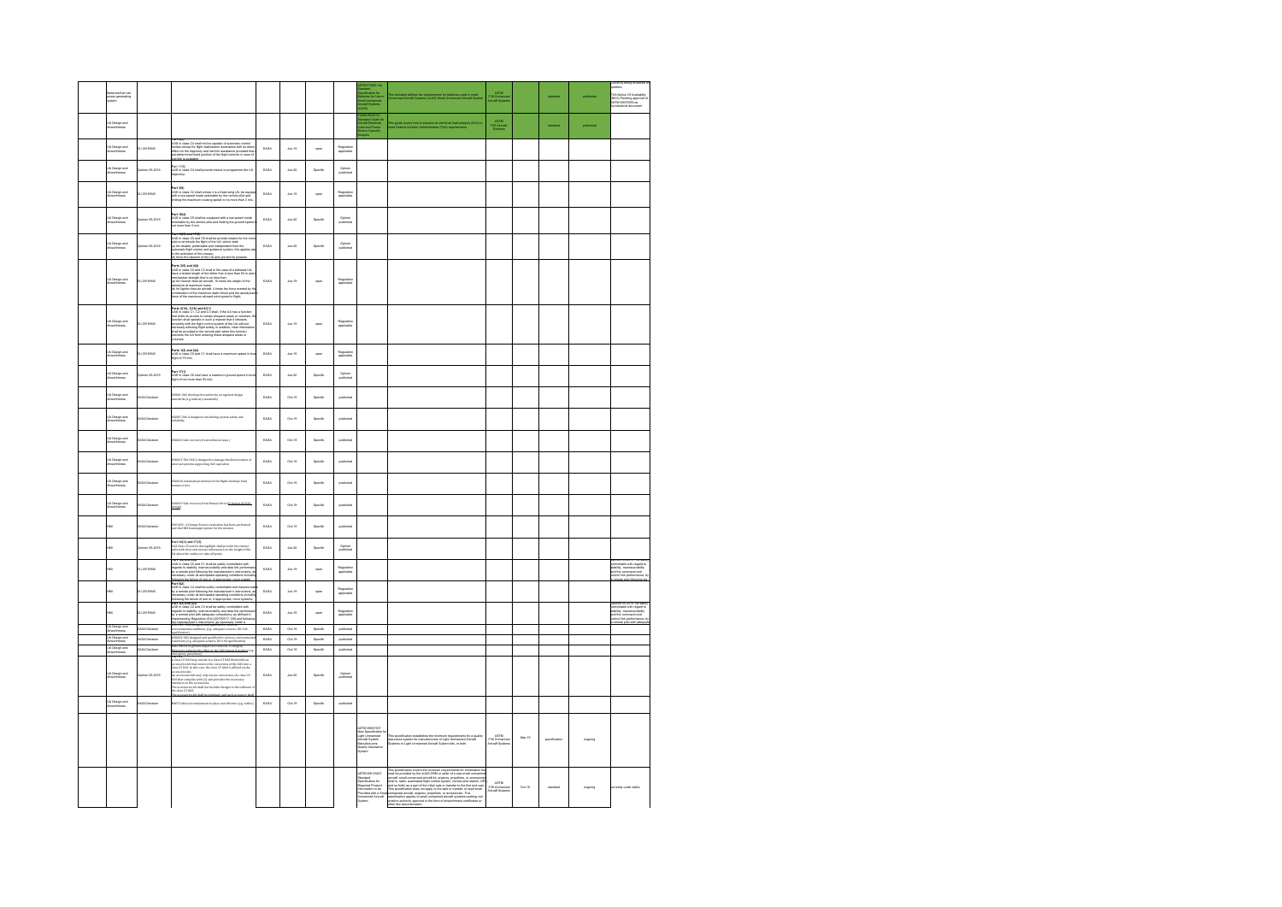|                                                    |                      |                                                                                                                                                                                                                                                                                                                                                                                                                                                                                                                                                           |               |                   |                 |                               |                                                                                                                                     |                                                                                                                                                                                                                                                                          |                                         |        |               |         | nenty being                                                                                            |
|----------------------------------------------------|----------------------|-----------------------------------------------------------------------------------------------------------------------------------------------------------------------------------------------------------------------------------------------------------------------------------------------------------------------------------------------------------------------------------------------------------------------------------------------------------------------------------------------------------------------------------------------------------|---------------|-------------------|-----------------|-------------------------------|-------------------------------------------------------------------------------------------------------------------------------------|--------------------------------------------------------------------------------------------------------------------------------------------------------------------------------------------------------------------------------------------------------------------------|-----------------------------------------|--------|---------------|---------|--------------------------------------------------------------------------------------------------------|
| <b>Iteries/fuel cell</b><br>wer generating<br>stem |                      |                                                                                                                                                                                                                                                                                                                                                                                                                                                                                                                                                           |               |                   |                 |                               | s for L                                                                                                                             | ncarc cennes the requirements for batteries used in sma<br>ned Alsoraft Systems (sLIAS Small Unmanned Alexael Sw                                                                                                                                                         | <b>F38 Unma</b><br>Versch San           |        |               |         | FAA Notice Of Availa<br>(NOA) Pending appro<br>ASTM WK57659 as                                         |
| A Design and<br>Invertisiesen                      |                      |                                                                                                                                                                                                                                                                                                                                                                                                                                                                                                                                                           |               |                   |                 |                               | d Guide                                                                                                                             | s guide covers how to prepare an electrical load analys<br>et Federal Aviation Administration (FAA) requirements.                                                                                                                                                        | ASTM<br>F39 Alcon<br>Systems            |        |               |         |                                                                                                        |
| <b>IA Design and</b><br>Invorthiness               | ELJ 2019/945         | Part 5(3)<br>UAS in class C4 shall not be capable of automatic control<br>modes escept for flight stabilisation assistance with no direct<br>effect on the trajectory and lost link assistance previded that<br>pre-determined fixed posit                                                                                                                                                                                                                                                                                                                | EASA          | $Ann-19$          | open            | Regulation<br>applicable      |                                                                                                                                     |                                                                                                                                                                                                                                                                          |                                         |        |               |         |                                                                                                        |
| <b>JA Design and</b><br>Linuxethinum               | nion 05-2019         | Part 17(6)<br>UAS in class C4 shall provide means to programme the UA<br>trajectory;                                                                                                                                                                                                                                                                                                                                                                                                                                                                      | EASA          | $\lambda n$ -20   | <b>Specific</b> | Opinon<br>published           |                                                                                                                                     |                                                                                                                                                                                                                                                                          |                                         |        |               |         |                                                                                                        |
| <b>A Design and</b>                                | .<br>2019/945        | Part 3(3)<br>UAS in class C2 shall unless it is a food-wing UA, be equip<br>with a low-speed mode selectable by the remote plot and<br>limiting the maximum cruising speed to no more than 3 mis.                                                                                                                                                                                                                                                                                                                                                         | EASA          | $_{\text{Am-12}}$ |                 | .<br>Regulation<br>applicable |                                                                                                                                     |                                                                                                                                                                                                                                                                          |                                         |        |               |         |                                                                                                        |
| JA Design and<br>Unvorthiness                      | pinion 05-2019       | Part 16(4)<br>UAS in class CS shall be equipped with a low-speed mode<br>selectable by the remote pilot and limiting the ground speed<br>not more than 5 mix                                                                                                                                                                                                                                                                                                                                                                                              | EASA          | Ann20             | Specific        | Opinon<br>published           |                                                                                                                                     |                                                                                                                                                                                                                                                                          |                                         |        |               |         |                                                                                                        |
| A Design and<br>Invertisieses                      | sinion 05-2019       | Part 14(8) and 17(8)<br>UAS in Chara CS and CS ahall be provide means for the real of the UAS in the<br>relation learning the fight of the UA, which shall:<br>(a) be relation, predicted<br>is any control of this means,<br>this incentive                                                                                                                                                                                                                                                                                                              | EASA          | $\lambda n$ -20   | <b>Specifi</b>  | Opinon<br>sublished           |                                                                                                                                     |                                                                                                                                                                                                                                                                          |                                         |        |               |         |                                                                                                        |
| UA Design and<br>Airworthiness                     | ELJ 2019/945         | .<br>Parts 3(5) and 4(4)<br>UAS in class C2 and C3 shall in the case of a tethered UA<br>$40A5$ in class C2, and C2 shall is the case of a technical UA, the country shall have to involve the state of the information of the state of the state of the production of the product of the state of the state of the st                                                                                                                                                                                                                                    | EASA          | $_{\rm{Am-19}}$   | open            | Regulation<br>applicable      |                                                                                                                                     |                                                                                                                                                                                                                                                                          |                                         |        |               |         |                                                                                                        |
| <b>IA Design and</b><br>Hrworthiness               | EU 2019/945          | Poets 2(14), 2(15) and 4(11)<br>(16), the lakk has a function field (1), the lakk has a function (16) discharged (17) and C3 which is space away or volumes, it produces the field interaction of the last control in such a spa                                                                                                                                                                                                                                                                                                                          | DASA          | $Am-19$           | open            | Regulation<br>applicable      |                                                                                                                                     |                                                                                                                                                                                                                                                                          |                                         |        |               |         |                                                                                                        |
| <b>A Design and</b><br>Invertisiese                | EU 2019/945          | Parts 1(2) and 2(2)<br>UAS in class CO and C1 shall have a maximum speed in 1<br>fight of 19 mix;                                                                                                                                                                                                                                                                                                                                                                                                                                                         | EASA          | $_{\rm{Am-19}}$   | open            | Regulation<br>applicable      |                                                                                                                                     |                                                                                                                                                                                                                                                                          |                                         |        |               |         |                                                                                                        |
| A Design and                                       | inion 05-2019        | Part 17(1)<br>UAS in class C6 shall have a maximum ground speed in le<br>flight of not more than 50 mile;                                                                                                                                                                                                                                                                                                                                                                                                                                                 | EASA          | $\lambda$ an-20   | Specifi         | Opinon<br>published           |                                                                                                                                     |                                                                                                                                                                                                                                                                          |                                         |        |               |         |                                                                                                        |
| A Design and<br>Invorthiness                       | <b>ASA Decision</b>  | .<br>SO#4 UAS developed to authority recognized design<br>andards (e.g. industry standards)                                                                                                                                                                                                                                                                                                                                                                                                                                                               | DASA          | $QCD + 19$        | Specific        | published                     |                                                                                                                                     |                                                                                                                                                                                                                                                                          |                                         |        |               |         |                                                                                                        |
| .<br>A Design and                                  | <b>DASA Decision</b> | .<br>1920#5 UAS is designed considering system safety and<br>vilability                                                                                                                                                                                                                                                                                                                                                                                                                                                                                   | EASA          | $Qc3-19$          | Specific        | published                     |                                                                                                                                     |                                                                                                                                                                                                                                                                          |                                         |        |               |         |                                                                                                        |
| <b>JA Design and</b>                               | <b>SA Decision</b>   | 20#10 Safe recovery from technical issue /                                                                                                                                                                                                                                                                                                                                                                                                                                                                                                                | EASA          | O <sub>19</sub>   | Specific        | published                     |                                                                                                                                     |                                                                                                                                                                                                                                                                          |                                         |        |               |         |                                                                                                        |
| A Design and                                       | <b>SA Decision</b>   | 20012 The UAS is designed to manage the deterioration of<br>ternal systems supporting UAS operation                                                                                                                                                                                                                                                                                                                                                                                                                                                       | EASA          | $OCD$ 19          | <b>Specific</b> |                               |                                                                                                                                     |                                                                                                                                                                                                                                                                          |                                         |        |               |         |                                                                                                        |
| <b>A Design and</b>                                | <b>SA Decision</b>   | 10#19 Automatic protection of the flight envelope from<br>man ecrors                                                                                                                                                                                                                                                                                                                                                                                                                                                                                      | EASA          | Oct-19            | <b>Specifi</b>  | published                     |                                                                                                                                     |                                                                                                                                                                                                                                                                          |                                         |        |               |         |                                                                                                        |
| <b>JA Design and</b><br>Unvorthiness               | <b>ASA Decision</b>  | 00#19 Safe recovery from Human Error ( <u>Criterion #211AS)</u><br>stiggl                                                                                                                                                                                                                                                                                                                                                                                                                                                                                 | rasa          | 0.4.19            | <b>Specific</b> | <b><i><u>ALASANA</u></i></b>  |                                                                                                                                     |                                                                                                                                                                                                                                                                          |                                         |        |               |         |                                                                                                        |
|                                                    | <b>ASA Decision</b>  | .<br>150 #20 - A Human Factors evaluation has been performed<br>and the HMI found appropriate for the mission                                                                                                                                                                                                                                                                                                                                                                                                                                             | DASA          | O <sub>19</sub>   | Specto          | published                     |                                                                                                                                     |                                                                                                                                                                                                                                                                          |                                         |        |               |         |                                                                                                        |
|                                                    | inion 05-2019        | Part 16(3) and 17(3)<br>UAS Class CS and C6 during flight shall provide the remote plitt with clear and concise information on the height of the UA above the surface or take-off point;                                                                                                                                                                                                                                                                                                                                                                  | EASA          | Ann20             | Specto          | Opinon<br>published           |                                                                                                                                     |                                                                                                                                                                                                                                                                          |                                         |        |               |         |                                                                                                        |
| w                                                  | EU 2019/945          | Part 1(4) and 2(4)<br>UAS in class CO and C1 shall be safely controllede with<br>regards to sinkilly, menosurability and data link performan<br>by a remote pilot following the manufacturer's instructions, a<br>recessary under all anti                                                                                                                                                                                                                                                                                                                | EASA          | $_{\rm{Am-19}}$   | open            | Regulation<br>applicable      |                                                                                                                                     |                                                                                                                                                                                                                                                                          |                                         |        |               |         | cercilable with regard to<br>bility, manoeuvrability<br>nd the command and<br>select link performance. |
|                                                    | EU 2019/945          | whenever yielder all structures of procedures includes<br>the control of the control of the control of the control of the control of<br>the control of the control of the control of the control of the<br>structure of the control of                                                                                                                                                                                                                                                                                                                    | EASA          | <b>Jun-19</b>     | open            | Regulation<br>applicable      |                                                                                                                                     |                                                                                                                                                                                                                                                                          |                                         |        |               |         |                                                                                                        |
|                                                    | <b>EU 2019/945</b>   |                                                                                                                                                                                                                                                                                                                                                                                                                                                                                                                                                           | DASA          | $Am-19$           | open            | Regulation<br>applicable      |                                                                                                                                     |                                                                                                                                                                                                                                                                          |                                         |        |               |         | pinion us-wirk be san<br>cetrollable with regard t<br>tability, manoeuvrability<br>ind the command and |
| <b>A Design and</b><br>invorthiness                | <b>DASA Decision</b> | ental conditions (e.g. adequate sensors, DO-160                                                                                                                                                                                                                                                                                                                                                                                                                                                                                                           | EASA          | $Ocb-19$          | Specific        | published                     |                                                                                                                                     |                                                                                                                                                                                                                                                                          |                                         |        |               |         |                                                                                                        |
| IA Design and<br>Invortiness                       | <b>DASA Decision</b> | $\label{eq:constr} \begin{minipage}[t]{.0\textwidth} \begin{tabular}{lcccc} \textbf{result} & \textbf{t} & \textbf{t} & \textbf{t} & \textbf{t} & \textbf{t} & \textbf{t} & \textbf{t} & \textbf{t} & \textbf{t} & \textbf{t} & \textbf{t} & \textbf{t} & \textbf{t} & \textbf{t} & \textbf{t} & \textbf{t} & \textbf{t} & \textbf{t} & \textbf{t} & \textbf{t} & \textbf{t} & \textbf{t} & \textbf{t} & \textbf{t} & \textbf{t} & \textbf{t}$                                                                                                            | EASA          | $Qc3-19$          | Specific        | published                     |                                                                                                                                     |                                                                                                                                                                                                                                                                          |                                         |        |               |         |                                                                                                        |
| <b>JA Design and</b>                               | <b>EASA Decision</b> |                                                                                                                                                                                                                                                                                                                                                                                                                                                                                                                                                           | $\text{EASA}$ | Oct-19            | <b>Spectic</b>  | published                     |                                                                                                                                     |                                                                                                                                                                                                                                                                          |                                         |        |               |         |                                                                                                        |
| UA Design and<br>Airworthiness                     | Opinion 05-2019      | $\begin{split} \underbrace{\mathbf{H}_{\text{eff}}^{\text{max}}(\mathbf{H}_{\text{eff}}^{\text{max}}(\mathbf{x})\mathbf{1}_{\text{eff}}^{\text{max}}(\mathbf{x})\mathbf{1}_{\text{eff}}^{\text{max}}(\mathbf{x})\mathbf{1}_{\text{eff}}^{\text{max}}(\mathbf{x})\\ &\text{A data},\text{C5 L}^{\text{max}}(\mathbf{x})\text{Ric map,} \\ \text{and } \text{a} \text{is a constant} \text{ is a constant.} \\ \text{as a constant} \text{ is a constant} \text{ is a constant} \text{ is a constant} \text{ is a constant} \\ \text{as a constant} \text{$ | EASA          | Ann20             | Specific        | Opinon<br>published           |                                                                                                                                     |                                                                                                                                                                                                                                                                          |                                         |        |               |         |                                                                                                        |
| A Design and<br>Invertisieses                      | <b>SA Decision</b>   | 083 Technical containment in place and effective (e.g. tether)                                                                                                                                                                                                                                                                                                                                                                                                                                                                                            | EASA          | $Ocb-19$          | <b>Specific</b> | published                     |                                                                                                                                     |                                                                                                                                                                                                                                                                          |                                         |        |               |         |                                                                                                        |
|                                                    |                      |                                                                                                                                                                                                                                                                                                                                                                                                                                                                                                                                                           |               |                   |                 |                               | ASIM VING/25)<br>New Specificatio<br>Light Unmanned<br>Aircraft System<br>anufacturers<br>unity Assura                              | sis specification establishes the minimum requirements for a quality<br>ssurance system for manufacturers of Light Unmanned Aircraft<br>ystems or Light Unmanned Aircraft System kits, or both.                                                                          | ASTM<br>F38 Unmanned<br>Aircraft System | Mar-19 | spectfication | ongoing |                                                                                                        |
|                                                    |                      |                                                                                                                                                                                                                                                                                                                                                                                                                                                                                                                                                           |               |                   |                 |                               | ASTM VIX 63407<br>Standard<br>Specification for<br>Neguired Product<br>Information to be<br>Provided with a Sn<br>Unmanned Alecraft | This appellication covers the minimum requirements for information in<br>a month can be considered by considerably considered by the state of<br>the constant product of the state of the state of the state of<br>$\mathcal{O}$ and archit<br>other like documentation. | ASTM<br>F38 Unmann<br>Aircraft Syste    | Oct-19 | standard      | ongoing | nty under ballot                                                                                       |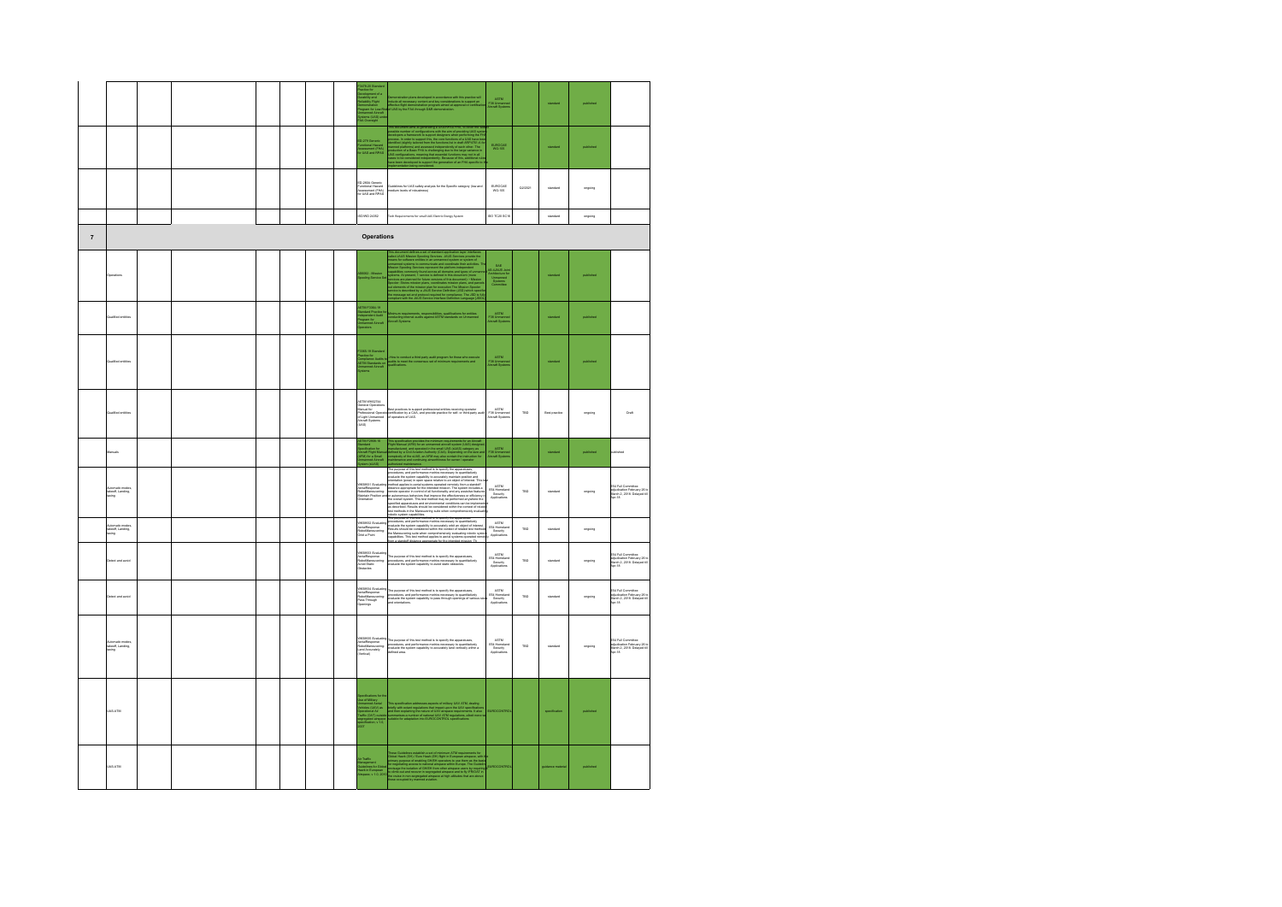|                         |                                                 |  |  |  | ability and<br>lability Flight<br>monastanon<br>gram for Lo<br>AOW                                                         | plans developed in accordance with this practice wi<br>susary content and key considerations to support an<br>demonstration program aimed at approval or oerlific<br>FAA through D&R demonstration.<br>clude all necessary<br>fective flight demons<br>UAS by the FAA for | ASTM<br>F38 Ummer<br>Aircraft Syste                                     |              |                 |         |                                                                                                                       |
|-------------------------|-------------------------------------------------|--|--|--|----------------------------------------------------------------------------------------------------------------------------|---------------------------------------------------------------------------------------------------------------------------------------------------------------------------------------------------------------------------------------------------------------------------|-------------------------------------------------------------------------|--------------|-----------------|---------|-----------------------------------------------------------------------------------------------------------------------|
|                         |                                                 |  |  |  | 1-279 Generic<br>nclional Hazard<br>sessment (FPA)<br>UAS and RPAS                                                         | aims at gen<br>it of configur                                                                                                                                                                                                                                             | EUROCAE<br>WG-105                                                       |              | <b>danciard</b> |         |                                                                                                                       |
|                         |                                                 |  |  |  | ED-280A Generic<br>Functional Hazard<br>Assessment (FPA)<br>for UAS and RPAS                                               | uidelines for LIAS safety analysis for the Specific category (low and<br>edium levels of robustness)                                                                                                                                                                      | EUROCAE<br>WG-105                                                       | 02/2021      | standard        | ongoing |                                                                                                                       |
|                         |                                                 |  |  |  | SO/WD 24352                                                                                                                | Fech Requirements for small UAS Electric Energy System                                                                                                                                                                                                                    | ISO TC20 SC10                                                           |              | standard        | ongoing |                                                                                                                       |
| $\overline{\mathbf{7}}$ |                                                 |  |  |  | Operations                                                                                                                 |                                                                                                                                                                                                                                                                           |                                                                         |              |                 |         |                                                                                                                       |
|                         |                                                 |  |  |  | 62 - Miksion<br>Ing Service S                                                                                              | <b>LAUS M</b>                                                                                                                                                                                                                                                             | SAE<br>S-41405 Job<br>Athlecture fo<br>Unmanned<br>Systems<br>Committee |              |                 |         |                                                                                                                       |
|                         |                                                 |  |  |  | ISTM F3364-19<br>Randard Practice 1<br>Independent Audit<br>Instanned Alscraft<br>Instanned Alscraft                       | .<br>Inimam requirements, responsibilities, qualifications for entities<br>Intrait Systems<br>Intrait Systems                                                                                                                                                             | ASTM<br>F38 Unmanne                                                     |              |                 |         |                                                                                                                       |
|                         |                                                 |  |  |  | actice for<br>septiance Audits<br>STM Standards of<br>street Alecraft                                                      | low to conduct a third party audit program for those who executive<br>dia to meet the consensus set of minimum requirements and<br>stifications.                                                                                                                          | ASTM<br>F38 Unmanne<br>Aircraft System                                  |              |                 |         |                                                                                                                       |
|                         | alfied entity                                   |  |  |  | ASTM WW02744<br>General Operations<br>Manual for<br>Professional Operat<br>of Light Unmanned<br>Aircraft Systems<br>(LIAS) | Best practices to support professional entities receiving operator<br>certification by a CAA, and provide practice for self- or third-party :<br>of operators of UAS.                                                                                                     | ASTM<br>F38 Unmanned<br>Aircraft Systems                                | TED          | Best practice   | ongoing | Dat                                                                                                                   |
|                         |                                                 |  |  |  | chcason<br>raft Flight M<br>Milfor a Sm                                                                                    | $\frac{1}{2}$ in the $\frac{1}{2}$<br>ufactured, and op<br>ned by a Civil Avi<br>iation Authority (CAA). De<br>AS, an AFM may also con<br>ance.                                                                                                                           | ASTM<br>F38 Unmann<br>Aircraft System                                   |              | standard        |         |                                                                                                                       |
|                         | Automatic modes,<br>takeoff, Landing,<br>taxing |  |  |  | W38931 Evaluatin<br>ierialResponse<br>lobofManesvering:<br>taintain Position as                                            |                                                                                                                                                                                                                                                                           | ASTM<br>E54 Homeland<br>Security<br>Applications                        | TED          | standard        | ongoing | ES4 Full Committee<br>adjudication February 26 to<br>March 2, 2018. Delayed til<br>Apr-18                             |
|                         | Automatic modes<br>takeoff, Landing,<br>aring   |  |  |  | .<br>MC58932 Evaluat<br>VerlalResponse<br>nesenaposas<br>Robodilaneuvering:<br>Orbit a Point                               |                                                                                                                                                                                                                                                                           | ASTM<br>ESI Homiani<br>Security<br>Applications                         | TEO          | standard        | ongoing |                                                                                                                       |
|                         | <b>Santa Book</b>                               |  |  |  | ANSB933 Evalu<br>AerialResponse<br>RoboBlaneuver<br>Avoid Static<br>Obetecles                                              | The purpose of this lest method is to specify the apparatuses,<br>procedures, and performance metrics recessary to quantitatively<br>evaluate the system capability to avoid static obstacles.                                                                            | ASTM<br>E54 Hormians<br>Security<br>Applications                        | TED          | standard        | ongoing | E54 Full Committee<br>adjudication February 26 to<br>March 2, 2018. Delayed til<br>Apr-18                             |
|                         | etect and avoid                                 |  |  |  | WK59334 Evaluatin<br>AerialResponse<br>RobofManeuvering:<br>Pass Through<br>Openings                                       | The purpose of this lead method is to specify the apparatuses,<br>procedures, and performance metrics necessary to quantitatively<br>evaluate the system capability to pass through openings of variou<br>and crientations.                                               | ASTM<br>E54 Homeland<br>Security<br>Applications                        | $_{\rm TBD}$ | standard        | ongoing | E54 Full Committee<br>adjudication February 26 to<br>March 2, 2018. Delayed til<br>Apr-18                             |
|                         | Automatic modes<br>takeoff, Landing,<br>texing  |  |  |  | <b>50335 Eval</b><br>ierialResponse<br>Isbo®llaneuvering:<br>and Accurately<br>Vertical)                                   | The purpose of this test reathed is to specify the apparatuses,<br>procedures, and performance metrics necessary to quantitatively<br>evaluate the system capability to accurately land vertically within a<br>defined area.                                              | ASTM<br>E54 Homeland<br>Security<br>Applications                        | $_{\rm TBD}$ | standard        |         | E54 Full Committee<br>nn - Free Sonditeillise<br>adjudication February 26 to<br>March 2, 2018. Delayed till<br>Apr-18 |
|                         | <b>JAS-ATM</b>                                  |  |  |  | ipecifications for the<br>lea of Military<br>Inmanned Aerial<br>Initicias (UAV) as<br>Iperational Air<br>egregated aimpac  | his specimenton modelliter<br>rielly with extent regulations that impact upon the UAV specification<br>of then explaining the nature of UAV ATM regulations, albeit none<br>offensings a rumber of rational UAV ATM regulations, albeit                                   |                                                                         |              |                 |         |                                                                                                                       |
|                         | <b>JAS-ATM</b>                                  |  |  |  |                                                                                                                            |                                                                                                                                                                                                                                                                           |                                                                         |              |                 |         |                                                                                                                       |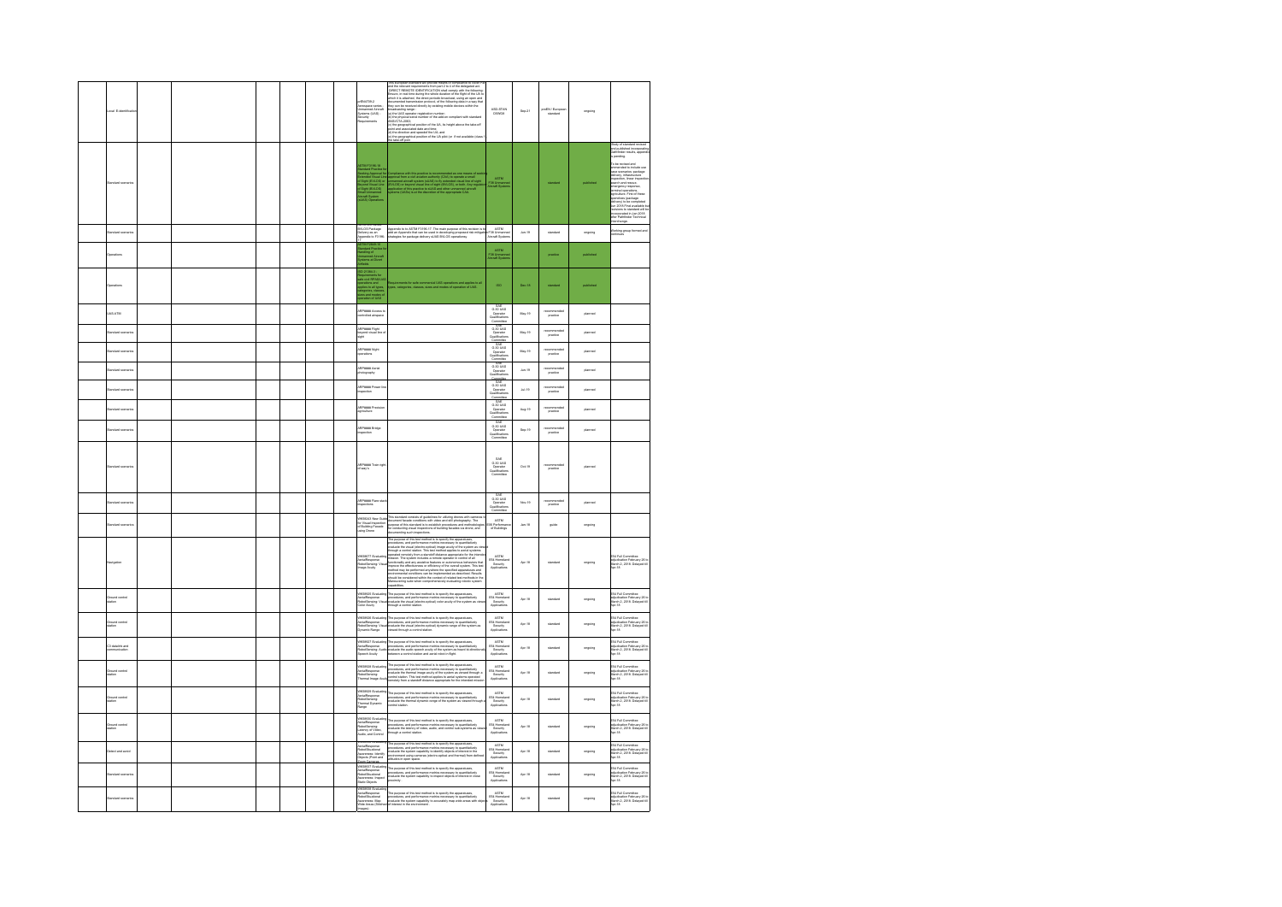| al E-lo                       |  |  | azno.c<br>ENerus-<br>arospace series -<br>hmanned Aircraft<br>ystems (UAS) -<br>ecurity<br>laquirements                                                  | This torogon simulation allows and product and control control on time the spherical state and the subset of the spheric matches and the spheric matches and the spheric matches and the spheric matches and the spheric sphe<br>(d) the direction and apsedof the LIA; and<br>(e) the geographical position of the LIA pilot (or if not available (class | ASD-STAN<br>DSWG8                                                                  | $5np-21$       | preEN / Europ<br>standard   | ongoing |                                                                                                                                                                                                                                                                                                                                                                                                                                                                                                                              |
|-------------------------------|--|--|----------------------------------------------------------------------------------------------------------------------------------------------------------|-----------------------------------------------------------------------------------------------------------------------------------------------------------------------------------------------------------------------------------------------------------------------------------------------------------------------------------------------------------|------------------------------------------------------------------------------------|----------------|-----------------------------|---------|------------------------------------------------------------------------------------------------------------------------------------------------------------------------------------------------------------------------------------------------------------------------------------------------------------------------------------------------------------------------------------------------------------------------------------------------------------------------------------------------------------------------------|
|                               |  |  | STM F3196-18<br>Bandard Practice<br>Bandard Practice<br>Idandard Visual Lin<br>I Sight (BVLOS)<br>Byond Visual Line<br>I Sight (BVLOS)<br>mail Unesanned | omplance with this practice in recommended as con means of seek<br>oproval from a civil autation authority (CAA) to operate a small<br>meanned aircraft system (sLMS) to fy extended visual line of sight<br>systemion of this practice                                                                                                                   | ASTM<br>F38 Unman<br>Aircraft Syste                                                |                |                             |         | Body of standard revised<br>and published incorporatin<br>Cathfinder results, append<br>is pending.<br>is pending<br>$\begin{tabular}{l} \hline \textbf{R} \textbf{p} \textbf{or} \textbf{d} \textbf{p} \textbf{d} \textbf{d} \textbf{d} \textbf{d} \textbf{d} \textbf{d} \textbf{d} \textbf{d} \textbf{d} \textbf{d} \textbf{d} \textbf{d} \textbf{d} \textbf{d} \textbf{d} \textbf{d} \textbf{d} \textbf{d} \textbf{d} \textbf{d} \textbf{d} \textbf{d} \textbf{d} \textbf{d} \textbf{d} \textbf{d} \textbf{d} \textbf{d}$ |
|                               |  |  | STM WK 62344<br>VLOS Package<br>elvery as an<br>ppendix to F3196                                                                                         | Appendix to to ASTM F3195-17. The main purpose of this revision is to<br>add an Appendix that can be used in developing proposed risk miligatis<br>strategies for package delivery sLIAS BVLOS operationsy                                                                                                                                                | ASTM<br>38 Unman<br>Ironalt Svali                                                  | Jan-19         | standard                    | ongoing | .<br>Vorking group formed and<br>cettrues                                                                                                                                                                                                                                                                                                                                                                                                                                                                                    |
|                               |  |  | nned Alecraf<br>ma at Divert                                                                                                                             |                                                                                                                                                                                                                                                                                                                                                           | <b>ASTM</b><br><b>F38 Unmann</b><br>Ainmaft Syste                                  |                |                             |         |                                                                                                                                                                                                                                                                                                                                                                                                                                                                                                                              |
|                               |  |  | 0213843 -<br>equirements for<br>de civil RSV45/LI<br>petallions and<br>plies to all type<br>decories .classe                                             | lequinements for safe commercial UAS operations and applies to<br>pes, categories, classes, sizes and modes of operation of UAS.                                                                                                                                                                                                                          | iso.                                                                               | Dec-18         | standard                    |         |                                                                                                                                                                                                                                                                                                                                                                                                                                                                                                                              |
| <b>AS-ATM</b>                 |  |  | Peere Access to<br>nivoled aimpace                                                                                                                       |                                                                                                                                                                                                                                                                                                                                                           | SAE<br>G-30 LMS<br>Operator<br>Qualification<br>Committee                          | May-19         | recommended<br>practice     | planned |                                                                                                                                                                                                                                                                                                                                                                                                                                                                                                                              |
| ed acenar                     |  |  | VSPeese Flight<br>eyond visual line o<br>ight                                                                                                            |                                                                                                                                                                                                                                                                                                                                                           | SAE<br>G-30 UAS<br>Operator<br>Qualification                                       | May-19         | recommended<br>practice     | planned |                                                                                                                                                                                                                                                                                                                                                                                                                                                                                                                              |
|                               |  |  | Peeer Nghi                                                                                                                                               |                                                                                                                                                                                                                                                                                                                                                           | Committee<br>SAE<br>SAE<br>G-30 UAS<br>Operator<br>Qualifications                  | $May-12$       | recommended<br>practice     | planned |                                                                                                                                                                                                                                                                                                                                                                                                                                                                                                                              |
| ndard scenari                 |  |  | Passe Autol<br>olography                                                                                                                                 |                                                                                                                                                                                                                                                                                                                                                           | Committee<br>542<br>G-30 LMS<br>Operator                                           | Jan-19         | scommendi<br>practice       | planned |                                                                                                                                                                                                                                                                                                                                                                                                                                                                                                                              |
| dard scenari                  |  |  | <b>Passe Power In</b><br>pection                                                                                                                         |                                                                                                                                                                                                                                                                                                                                                           | Qualifications<br>Committee<br>G-30 UAS<br>Cperator<br>Qualifications<br>Committee | 3449           | recommended<br>practice     | planned |                                                                                                                                                                                                                                                                                                                                                                                                                                                                                                                              |
| lard scenari                  |  |  | Peeer Pre<br>Kalibre                                                                                                                                     |                                                                                                                                                                                                                                                                                                                                                           | SAE<br>G-30 UAS<br>Operator<br>--------<br>---------                               | $Aug-19$       | ecommended<br>practice      | planned |                                                                                                                                                                                                                                                                                                                                                                                                                                                                                                                              |
|                               |  |  | Peeee Bridge<br>pection                                                                                                                                  |                                                                                                                                                                                                                                                                                                                                                           | SAE<br>G-30 UAS<br>Operator<br>Qualifications<br>Committee                         | $5ap-19$       | recommended<br>practice     |         |                                                                                                                                                                                                                                                                                                                                                                                                                                                                                                                              |
|                               |  |  | <b>FD'esse Train ngh</b><br>Isaay's                                                                                                                      |                                                                                                                                                                                                                                                                                                                                                           | 5AE<br>G-30 LIAS<br>Operator<br>Qualifications<br>Committee                        | Oct-19         | $recorm method$<br>$pratio$ |         |                                                                                                                                                                                                                                                                                                                                                                                                                                                                                                                              |
| at anno                       |  |  | IS-NHHH Flare at<br>spections                                                                                                                            |                                                                                                                                                                                                                                                                                                                                                           | SAE<br>G-30 UAS<br>Operator                                                        | Nov-19         | practice                    | planned |                                                                                                                                                                                                                                                                                                                                                                                                                                                                                                                              |
|                               |  |  | K58243 New Guit<br>for Visual Inspection<br>of Building Facade<br>using Drone                                                                            | This standard consists of guidelines for utilizing drones with careers<br>document facede conditions with video and still photography. The purpose of this standard is to establish procedures and methodologie<br>purpose of this                                                                                                                        | ASTM<br><b>16 Performan</b><br>of Buildings                                        | <b>Section</b> | guide                       | ongoing |                                                                                                                                                                                                                                                                                                                                                                                                                                                                                                                              |
|                               |  |  | K58577 Evaluati<br>Coorresses<br>talResponse<br>botSensing: Vis<br>age Acuity                                                                            | decompting to the interaction is to specify the approximately contained the contact of the contact of the contact of the contact of the contact of the contact of the contact of the contact of the contact of the contact of                                                                                                                             | ASTM<br>E54 Homelan<br>Security<br>Applications                                    | Apr-18         | standard                    | ongoing | —⊶ Full Committee<br>adjudication February 26 to<br>March 2, 2018. Delayed till<br>Apr-18                                                                                                                                                                                                                                                                                                                                                                                                                                    |
| und control<br>Ion            |  |  | AS9925 Evaluate<br>ariaResponse<br>obotSensing: Vau<br>obr Acuity                                                                                        | The purpose of this test method is to specify the appenniuses,<br>procedures, and performance metrics necessary to quantitatively<br>evaluate the visual (electro-optical) color aculty of the system as vie<br>through a control stati                                                                                                                   | ASTM<br>E54 Homela<br>Security<br>Application                                      | Apr-18         | standard                    | ongoing | ES4 Full Committee<br>adjudication February 26 to<br>March 2, 2018. Delayed 98<br>Apr-18                                                                                                                                                                                                                                                                                                                                                                                                                                     |
| und control                   |  |  | .<br>ASB23 Evaluato<br>eris/Response<br>Conco Evacas<br>daResponse<br>botSensing: Vis<br>namic Range                                                     | The purpose of this test method is to specify the apparatuses,<br>procedures, and performance metrics necessary to quantitatively<br>evaluate the visual (electro-aplical) dynamic range of the system as<br>viewed through a control s                                                                                                                   | ASTM<br>ES4 Homel<br>Security<br>Applications                                      | Apr-18         | standard                    | ongoing | ES4 Full Committee<br>adjudication February 26 to<br>March 2, 2015. Delayed till<br>Apr-18                                                                                                                                                                                                                                                                                                                                                                                                                                   |
| 3 datalink and<br>mmunication |  |  | .<br>ASSI27 Evaluate<br>arialRescons<br>unnayona<br>botSensing: Aud<br>sech Aculty                                                                       | The purpose of this lead method is to specify the apparatuses,<br>procedures, and performance metrics necessary to quantitatively<br>evaluate the audio specify accely of the system as heard bi-directi<br>between a control station a                                                                                                                   | ASTM<br>E54 Homelas<br>Security<br>Applications                                    | Apr-18         | dandard                     | ongoing | E54 Full Committee<br>adjudication February 26 to<br>March 2, 2018. Delayed til<br>Apr-18                                                                                                                                                                                                                                                                                                                                                                                                                                    |
| und control<br>ion            |  |  | CS023 Evaluat<br>botSensing:<br>ermal Image Acu                                                                                                          | The purpose of this test method is to specify the apparatuses,<br>procedures, and performance metrics recossary to quantitatively<br>evaluate the fhermal maps aculy of the system as viewed through<br>control station. This test meth                                                                                                                   | ASTM<br>ES4 Homel<br>Security<br>Applications                                      | Apr-18         | standard                    | ongoing | ES4 Full Committee<br>adjudication February 26 to<br>March 2, 2018. Delayed till<br>Apr-18                                                                                                                                                                                                                                                                                                                                                                                                                                   |
| round control<br>ation        |  |  | .<br>W30229 Evaluat<br>nuwara anausu<br>ataResponse<br>bermal Dynamic<br>ange                                                                            | The purpose of this test method is to specify the apparatuses,<br>procedures, and performance metrics necessary to quantitatively<br>exativate the flermal dynamic range of the system as viewed thro<br>control station.                                                                                                                                 | ASTM<br>E54 Homelan<br>Security<br>Applications                                    | Apr-18         |                             | ongoing | ES4 Full Committee<br>adjudication February 26 to<br>March 2, 2018. Delayed til<br>Apr-18                                                                                                                                                                                                                                                                                                                                                                                                                                    |
| und control                   |  |  | .<br>K58930 Evaluat<br>IrlaiResponse<br>stoffensing:<br>tenty of Video,<br>idio, and Control                                                             | The purpose of this test method is to specify the apparatuses,<br>procedures, and performance metrics necessary to quantitatively<br>evaluate the latency of video, audio, and control sub-systems as vie<br>through a control station.                                                                                                                   | ASTM<br>ES4 Homel<br>Security<br>Applications                                      | Apr-18         | standard                    | ongoing | <b>ES4 Pull Committee</b><br>or committee<br>adjudication February 26 to<br>March 2, 2018. Delayed til<br>Apr-18                                                                                                                                                                                                                                                                                                                                                                                                             |
| ect and avoid                 |  |  | <b>39430 LYBUR</b><br>Anreness: Identify<br>bjects (Point and<br>56                                                                                      | The purpose of this test method is to specify the apparatuses,<br>procedures, and performance metrics necessary to quantitatively evaluate the system<br>requelisting to significantly desired and the exceptional of the system<br>is                                                                                                                    | ASTM<br>E54 Homela<br>Security<br>Applications                                     | Apr-18         | standard                    | ongoing | ES4 Full Committee<br>adjudication February 26 to<br>March 2, 2018. Delayed til<br>Apr-18                                                                                                                                                                                                                                                                                                                                                                                                                                    |
|                               |  |  | MC58937 Evaluate<br>VerialResponse<br>TobotShustional<br>wareness: Inspect<br>tatic Objects                                                              | The purpose of this leat method is to specify the apparatuses,<br>procedures, and performance metrics necessary to quantitatively<br>evaluate the system capability to impect objects of interest in close<br>prosimity .                                                                                                                                 | ASTM<br>E54 Homela<br>Security<br>Application                                      | Apr-18         | .<br>Herbert                | ongoing | ES4 Full Committee<br>adjudication February 26 to<br>March 2, 2018. Delayed til<br>Apr-18                                                                                                                                                                                                                                                                                                                                                                                                                                    |
| ndard scenario                |  |  | ,<br>K58338 Evaluati<br>IntalResponse<br>Interness: Map<br>Interness: Map<br>Interness: (SBIch<br>Interness)                                             | The purpose of this lest method is to specify the apparatuses,<br>procedures, and performance metrics necessary to quantitatively<br>exaluate the system capability to accurately map wide areas with obj<br>of interest in the environ                                                                                                                   | ASTM<br>E54 Homelan<br>Security<br>Applications                                    | Apr-18         | standard                    | ongoing | ES4 Full Committee<br>adjudication February 26 to<br>March 2, 2018. Delayed til<br>Apr-18                                                                                                                                                                                                                                                                                                                                                                                                                                    |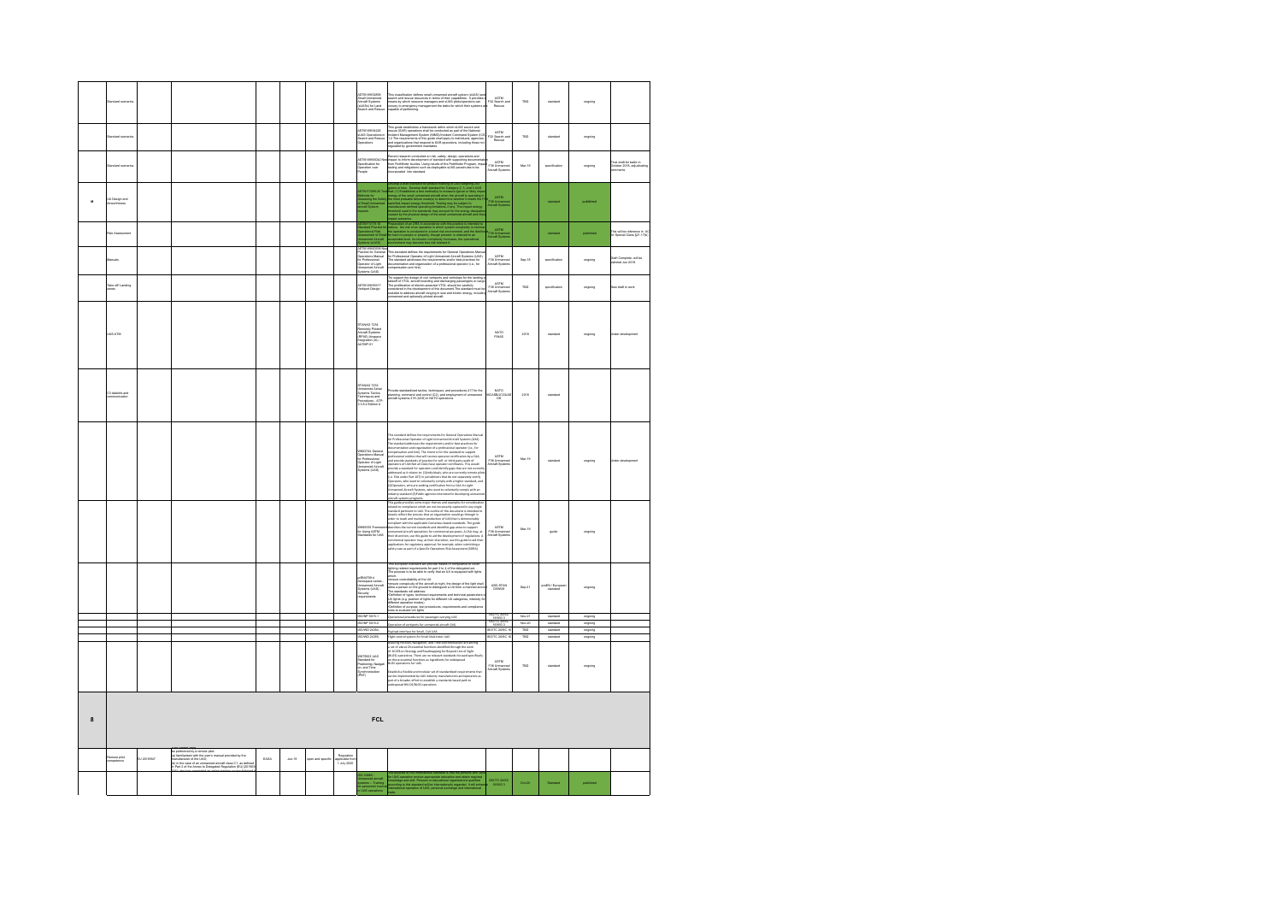|                  |                                       |              |                                                                                                                                                                                                                                                    |      |                   |                                             | ASTM VIKS2050<br>Small Unmanned<br>Alcoalt Systems<br>(sCIASs) for Land<br>Search and Reacu                                                           | i ros classification defines annat unreanned sécrait system (xLIAS) land<br>exects and rescue resources in terms of their capabilities. It provides s<br>means by witch mascures rranagers and sLIAS plotatoperators can<br>cover to ex                                                                                                                                                                                                                                                                                                                                        | ASTM<br>F32 Search an<br>e Rescue                    | TEO                | absoluted.                 | ongoing            |                                                                  |
|------------------|---------------------------------------|--------------|----------------------------------------------------------------------------------------------------------------------------------------------------------------------------------------------------------------------------------------------------|------|-------------------|---------------------------------------------|-------------------------------------------------------------------------------------------------------------------------------------------------------|--------------------------------------------------------------------------------------------------------------------------------------------------------------------------------------------------------------------------------------------------------------------------------------------------------------------------------------------------------------------------------------------------------------------------------------------------------------------------------------------------------------------------------------------------------------------------------|------------------------------------------------------|--------------------|----------------------------|--------------------|------------------------------------------------------------------|
|                  | lard scenario                         |              |                                                                                                                                                                                                                                                    |      |                   |                                             | STM WIGHZ26<br>LIAS Operations in<br>Search and Reacue                                                                                                | This guide establishes a framework within which sUACS search and resource (SAPI) committee in particular as part of the National Indianal incidental match of the National Indiana Incident III and published in all of the Na                                                                                                                                                                                                                                                                                                                                                 | ASTM<br>F32 Search and<br>Rescue                     | TED                | standard                   | ongoing            |                                                                  |
|                  | anderd scenario                       |              |                                                                                                                                                                                                                                                    |      |                   |                                             | <br>Specification for<br>.<br>Operation over<br>Peccle                                                                                                | Recent research conducted on risk, safety, design, operations and<br>Impact to Intern development of standard with supporting document<br>form Pathfinder studies. Using results of the Pathfinder Program, im<br>Isnorg.costed Into st                                                                                                                                                                                                                                                                                                                                        | <sup>1</sup> ASTM<br>F38 Ummanned<br>Aircraft System | Mar-19             | spectfication              | ongoing            | Final draft for ballot in<br>October 2018, adjudio<br>comments   |
| $\boldsymbol{M}$ | <b>UA Design and</b><br>Almosthiness  |              |                                                                                                                                                                                                                                                    |      |                   |                                             | N F3389-20 Th<br>hods for<br>sssing the Safe<br>krail Unmanne<br>raft System                                                                          | tanking of UAS weighing 25<br>I for Category 2, 3, and 4 Ui<br>arm or sea<br>at (1) Establ<br>sergy of the a<br>e most proba<br>secified impact<br>anutacturer d<br>old used in the star<br><b>Inergy dissi</b><br>External set                                                                                                                                                                                                                                                                                                                                                |                                                      |                    | standard                   | published          |                                                                  |
|                  | in An                                 |              |                                                                                                                                                                                                                                                    |      |                   |                                             |                                                                                                                                                       | eparation of an ORA in accordance with t<br>duce, the risk of an operation in which sy                                                                                                                                                                                                                                                                                                                                                                                                                                                                                         | ASTM<br>F38 Unmann<br>Aircraft Syster                |                    |                            |                    | .<br>This will be reference in AC<br>for Special Class §21.17(b) |
|                  |                                       |              |                                                                                                                                                                                                                                                    |      |                   |                                             | ASTM VIKOZOZO Neu<br>Practice for General<br>Practice for General<br>Operations Manual<br>Operator of Light<br>Unmanued Aincraft<br>Unmanued Aincraft | 'his standard defines the requirements for General Operations Manua<br>or Professional Operator of Light Unnuarned Aircraft Systems (UAS):<br>he standard addresses the requirements and/or best practices for<br>tourpertation and hir                                                                                                                                                                                                                                                                                                                                        | ASTM<br>F38 Unmann<br>Aircraft Syster                | $540-15$           |                            | angaing            | Draft Complete -will be<br>balloted Jun 2018                     |
|                  | Take off Landing<br>×в                |              |                                                                                                                                                                                                                                                    |      |                   |                                             | STM WK59317<br>stiport Design                                                                                                                         | The nupport the design of civil vertiports and verticing<br>an fact the landing fished of VTCL, alterated park designing passengers or carge<br>The profillmation of electric-powered VTCL aboutd be carefully considered in the de                                                                                                                                                                                                                                                                                                                                            | ASTM<br>F38 Unmanne<br>Aircraft System               | TED                | spectfication              | ongoing            | lew draft in work                                                |
|                  | <b>AS-ATM</b>                         |              |                                                                                                                                                                                                                                                    |      |                   |                                             | STANAG 7234<br>Remotely Pilotes<br>Alcoraft Systems<br>(RPAS) Alcapaca<br>Integration (Al) -<br>AATMP-51                                              |                                                                                                                                                                                                                                                                                                                                                                                                                                                                                                                                                                                | NATO<br>FINAS                                        | 2018               | standard                   | ongoing            |                                                                  |
|                  | .<br>C3 datalink and<br>communication |              |                                                                                                                                                                                                                                                    |      |                   |                                             | STANAG 7232<br>Unmanned Aerial<br>Systems Tactics<br>Techniques and<br>Procedures - ATP-<br>3.3.8.2 Edition A                                         | frovide atomdardized tectics, fechniques, and procedures 217 for the<br>tenning, command and control (CI2), and employment of unmanned<br>troatt systems 218 (UAS) in NATO operations                                                                                                                                                                                                                                                                                                                                                                                          | NATO<br>MCASBUCGUI<br>OS                             | 2018               | standard                   |                    |                                                                  |
|                  |                                       |              |                                                                                                                                                                                                                                                    |      |                   |                                             | WK62744 General<br>Operations Manual<br>for Professional<br>Operator of Light<br>Unmanuad Aircraft<br>Systems (UAS)                                   | The interaction of the main contraction of the state (spectra in<br>the state of the state of the state contraction of the state of<br>$\mathcal{H}$ is contract to the state of the state of the state<br>and the state of the state of th                                                                                                                                                                                                                                                                                                                                    | ASTM<br>F38 Unmann<br>Aircraft Syste                 | Mar-19             | standard                   |                    |                                                                  |
|                  |                                       |              |                                                                                                                                                                                                                                                    |      |                   |                                             | WX09335 Framew<br>for Using ASTM<br>Standards for UAS                                                                                                 | This gada provides nowe may<br>be there a not many there are determined in the consideration of<br>noise that the complete service and the service of the complete service<br>provides a non-termined by the service of the service of<br>ommercial operator may, at their discretion, use this guide to aid the<br>pplications for regulatory approval; for example, when submitting a<br>slety case as part of a Specific Operations Risk Assessment (SORA)                                                                                                                  | ASTM<br>F38 Unmann<br>Aircraft Syster                | Mar-19             | quide                      | ongoing            |                                                                  |
|                  |                                       |              |                                                                                                                                                                                                                                                    |      |                   |                                             | pellW709-4<br>Aerospace series -<br>Unmanned Ainzaft<br>Security<br>Security<br>requirements                                                          | Fris European standard will provide means of compliance to cover<br>(ghting related requirements for part 2 to 4 of the delegated act<br>The purpose is to be able to verify that an U.A is equipped with lights<br>vitich:<br>which, and controllability of the UA<br>which we remove controllability of the UA<br>were accordinability of the UA and the philoph chan design of the light shall<br>The assume the system of the ground to distinguish a UA born                                                                                                              | ASD-STAN<br>DSWG8                                    | $5ap-21$           | preEN / Europe<br>standard | ongoing            |                                                                  |
|                  |                                       |              |                                                                                                                                                                                                                                                    |      |                   |                                             | SONP 5015-1<br>SONP 5015-2                                                                                                                            | perational procedures for passenger-carrying LIAS                                                                                                                                                                                                                                                                                                                                                                                                                                                                                                                              | 16/WG 3<br>150/TC 20/SC<br>16/WG 3                   | Now 21<br>$Nov-20$ | standard<br>standard       | ongoing<br>ongoing |                                                                  |
|                  |                                       |              |                                                                                                                                                                                                                                                    |      |                   |                                             | SO/WD 24354                                                                                                                                           | peration of vertiports for unmanned aircraft (UA)                                                                                                                                                                                                                                                                                                                                                                                                                                                                                                                              | SO/TC 20/SC 16                                       | TED                | standard                   | ongoing            |                                                                  |
|                  |                                       |              |                                                                                                                                                                                                                                                    |      |                   |                                             | SOME 24355                                                                                                                                            |                                                                                                                                                                                                                                                                                                                                                                                                                                                                                                                                                                                | <b>SOITC 20/SC 16</b>                                | TED                | standard                   | ongoin             |                                                                  |
|                  |                                       |              |                                                                                                                                                                                                                                                    |      |                   |                                             | WK75923 UAS<br>Standard for<br>Positioning, Navigati<br>on, and Time<br>Synchronization<br>(PNT)                                                      | Payland interface for Small, Chil UAS<br>Fight control system for Small Multisstar UAS<br>Anuaring Poulism, Navigation, and Time Systems<br>interface and About 20 exemples functions identified through the work<br>of ACAT is construeng<br>n these essential functions as ingredients for widespread<br>LOS operations for LIAS.<br>Establish a flexible and modular set of standardized requirements that<br>can be implemented by UAS industry manufacturers and operators as<br>part of a broader effort to establish a standardi-based path to<br>widespread WiLOS/WLOS | ASTM<br>F38 Unmanned<br>Aircraft Systems             | TED                | standard                   | ongoing            |                                                                  |
| 8                |                                       |              |                                                                                                                                                                                                                                                    |      |                   |                                             | <b>FCL</b>                                                                                                                                            |                                                                                                                                                                                                                                                                                                                                                                                                                                                                                                                                                                                |                                                      |                    |                            |                    |                                                                  |
|                  | emore pilot<br>rripetence             | ELJ 2019/947 | <b>ureacer except</b><br>$\mu$ be performed by a neurole pilot:<br>(a) familianised with the user's manual provided by the<br>manufacturer of the UAG;<br>(b) in the case of an unmunrend aircraft class C1, as define<br>in Part 2 of the Annex t | EASA | $_{\text{Am-19}}$ | Regulation<br>spplicable fro<br>1 July 2020 |                                                                                                                                                       |                                                                                                                                                                                                                                                                                                                                                                                                                                                                                                                                                                                |                                                      |                    |                            |                    |                                                                  |
|                  |                                       |              |                                                                                                                                                                                                                                                    |      |                   |                                             | id aircraft<br>— Training                                                                                                                             | <b>Uks</b> e                                                                                                                                                                                                                                                                                                                                                                                                                                                                                                                                                                   | SOITC 2015                                           | osas               |                            |                    |                                                                  |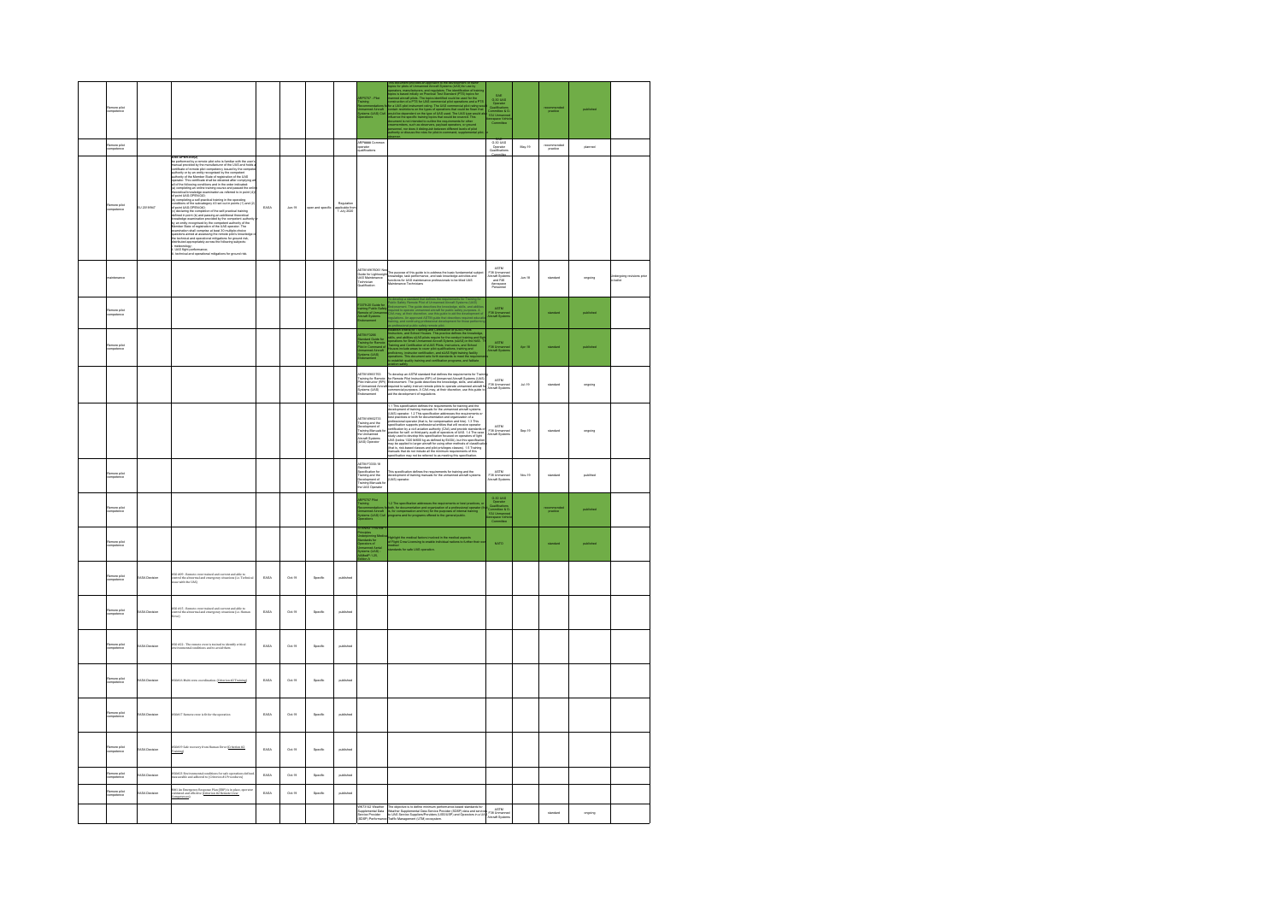| emore pilot<br>empetence   |                     |                                                                                                                                                                                                                                                                                                                                                                                                                                                                    |             |                 |                  |                                             | wood Alrowt                                                                                                                      |                                                                                                                                                                                                                                                       | SAE<br>G-30 LMS<br>Operator<br>Qualifications<br>Committee & G<br>NGU Librancence<br>Vehic |        | recommend<br>practice   |           |                             |
|----------------------------|---------------------|--------------------------------------------------------------------------------------------------------------------------------------------------------------------------------------------------------------------------------------------------------------------------------------------------------------------------------------------------------------------------------------------------------------------------------------------------------------------|-------------|-----------------|------------------|---------------------------------------------|----------------------------------------------------------------------------------------------------------------------------------|-------------------------------------------------------------------------------------------------------------------------------------------------------------------------------------------------------------------------------------------------------|--------------------------------------------------------------------------------------------|--------|-------------------------|-----------|-----------------------------|
| amore pilot<br>ompetence   |                     |                                                                                                                                                                                                                                                                                                                                                                                                                                                                    |             |                 |                  |                                             | RPWWW Cor<br>serator<br>valifications                                                                                            |                                                                                                                                                                                                                                                       | SAL<br>G-30 UAS<br>Qualifications                                                          | May-19 | recommended<br>practice | planned   |                             |
| enore pilot<br>moetence    | CU 2019/947         | <b>EXERCISE CONTINUES IN the control of the control of the control of the control of the control of the control of the control of the control of the control of the control of the control of the control of the control of the</b><br>he technical and operational miligations for ground risk.<br>Intributed appropriately across the following subjects:<br>meteorology;<br>LUAS fight performance;<br>L technical and operational mitigations for ground risk. | EASA        | $_{\rm{Am-19}}$ | open and specifi | Regulation<br>applicable fro<br>1 July 2020 |                                                                                                                                  |                                                                                                                                                                                                                                                       |                                                                                            |        |                         |           |                             |
| ince                       |                     |                                                                                                                                                                                                                                                                                                                                                                                                                                                                    |             |                 |                  |                                             | ASTM VACT6061 N<br>Guide for Lightweig<br>LIAS Maintenance<br>Technician<br>Qualification                                        | The purpose of this guide is to address the basic fundamental a<br>knowledge, task performance, and task knowledge activities are<br>fundions for UAS maintenance professionals to be titled UAS<br>Maintenance Technicians                           | ASTM<br>F38 Unmanne<br>Aircraft System<br>and F46<br>Aerospace<br>Personnel                | Jan-18 | standard                | ongoing   | Undergoing rev<br>to ballot |
| lamore pilot<br>ompetence  |                     |                                                                                                                                                                                                                                                                                                                                                                                                                                                                    |             |                 |                  |                                             | 379-20 Guide f<br>Ining Public Sa<br>mote of Unmar<br>craft Systems                                                              |                                                                                                                                                                                                                                                       | ASTM<br>F38 Unmanne<br>Aircraft System                                                     |        | standard                | published |                             |
| temore pilot<br>competence |                     |                                                                                                                                                                                                                                                                                                                                                                                                                                                                    |             |                 |                  |                                             | 33268.147<br>andard Guide<br>Sining for Rem<br>Ist in Component<br>in Comma<br>sned Alec<br>ma (UAS)<br>caeroest                 | th, and abilit                                                                                                                                                                                                                                        | ASTM<br>F38 Unmann<br>Aircraft Syster                                                      | Apr-18 |                         |           |                             |
|                            |                     |                                                                                                                                                                                                                                                                                                                                                                                                                                                                    |             |                 |                  |                                             | STM VING1763<br>raining for Remote<br>lict Instructor (RPI)<br>yaterra (UAS)<br>yaterra (UAS)<br>ndomement                       | o develop an ASTM standard that defines the requirements for Train<br>in Remote Plot Interuction (RPI) of Unramond Aircraft Systems (UAS)<br>indorsement. The guide describes the knowledge, skills, and abilities<br>equival to sately               | ASTM<br>F38 Unmanned<br>Alrcraft Systems                                                   | 3449   | standard                | ongoing   |                             |
|                            |                     |                                                                                                                                                                                                                                                                                                                                                                                                                                                                    |             |                 |                  |                                             | ASTM WAS2733<br>Training and the<br>Development of<br>Training Manuals 5<br>Necraft Systems<br>Necraft Systems<br>(UAS) Operator | 1. This quantization defines the regular<br>metric by starting and the spin of the control of the spin of the<br>spin of the spin of the spin of the spin of the spin of the spin of<br>$\mathcal{H}$ and $\mathcal{H}$ and $\mathcal{H}$ is the spin | ASTM<br>F38 Unmanns<br>Aircraft System                                                     | Sep-19 | standard                | ongoing   |                             |
| Remore pilot<br>competence |                     |                                                                                                                                                                                                                                                                                                                                                                                                                                                                    |             |                 |                  |                                             | STM F3330-18<br>scandard<br>Specification for<br>Training and the<br>Development of<br>Training Manuals f<br>the UAS Operator    | .<br>Nix specification defines the requirements for training and the<br>UAS) operator.<br>UAS) operator.                                                                                                                                              | ASTM<br>F38 Unmanne<br>Aircraft System                                                     | Nov-19 | standard                | publined  |                             |
| Remore pilot<br>competence |                     |                                                                                                                                                                                                                                                                                                                                                                                                                                                                    |             |                 |                  |                                             | PSJOJ Plot<br>Ning<br>narned Alstraft<br>sterra (UAS) Civ                                                                        | 2 The specification addresses the requirement of Jeve<br>oth, for documentation and organization of a profession<br>i, for compensation and hire) for the purposes of internal<br>comans and for programs offered to the general public               | G-30 UAS<br>Operator<br>Qualifications<br>Committee & G<br>NGU Unmannes<br>Committee       |        | ecommend<br>practice    | published |                             |
| Remore pilot<br>competence |                     |                                                                                                                                                                                                                                                                                                                                                                                                                                                                    |             |                 |                  |                                             | copies<br>desinning Manufacts for<br>erators of<br>manned Aeris<br>sterra (UAS)<br>MedP-1.25,<br>MedP-1.25,<br>m.                | Highlight the medical factors involved in the medical aspects<br>of Fight Crew Licensing to enable individual nations to further<br>tor safe UAS on                                                                                                   | <b>NATO</b>                                                                                |        | standard                | published |                             |
| temore pilot<br>ompetence  | .<br>IASA Decision  | .<br>150 #09 - Remote crew trained and current and able to<br>corred the abnormal and emergency situations (i.e. Technic:<br>suse with the UAS)                                                                                                                                                                                                                                                                                                                    | EASA        | Oct-19          | Specto           | published                                   |                                                                                                                                  |                                                                                                                                                                                                                                                       |                                                                                            |        |                         |           |                             |
| lemore pilot<br>propetence | .<br>XSA Deck       | 150 #15 - Remote crew trained and current and able to<br>corrol the abnormal and emergency situations (i.e. Human<br>iron)                                                                                                                                                                                                                                                                                                                                         | EASA        | Oct-19          | Specto           | published                                   |                                                                                                                                  |                                                                                                                                                                                                                                                       |                                                                                            |        |                         |           |                             |
| amore pilot<br>impetence   | <b>ASA Decision</b> | 50 #22 - The remote crew is trained to identify critical<br>refronmental conditions and to avoid them                                                                                                                                                                                                                                                                                                                                                              | DASA        | $Qc3-19$        | Specto           | published                                   |                                                                                                                                  |                                                                                                                                                                                                                                                       |                                                                                            |        |                         |           |                             |
| emore pilot<br>empetence   | .<br>ASA Decision   | 0#16 Malti crew coordin<br>dios. (Criterios #2 Training)                                                                                                                                                                                                                                                                                                                                                                                                           | EASA        | $Ocb-19$        | Specto           | published                                   |                                                                                                                                  |                                                                                                                                                                                                                                                       |                                                                                            |        |                         |           |                             |
| lamore pilot<br>ompetence  | ASA Decision        | 20017 Remote crew is fit for the operation                                                                                                                                                                                                                                                                                                                                                                                                                         | <b>EASA</b> | Oct-19          | Specto           | published                                   |                                                                                                                                  |                                                                                                                                                                                                                                                       |                                                                                            |        |                         |           |                             |
| temore pilot<br>competence | .<br>ASA Decision   | 50#19 Safe recovery from Human Error (Criterion #2,<br>raining)                                                                                                                                                                                                                                                                                                                                                                                                    | EASA        | $Ocb-19$        | Specific         | published                                   |                                                                                                                                  |                                                                                                                                                                                                                                                       |                                                                                            |        |                         |           |                             |
| imore pilot<br>mpetence    | ASA Decision        | .<br>50#23 Environmental conditions for safe operations defin<br>resourable and adhered to (Criterion #1 Procedures)                                                                                                                                                                                                                                                                                                                                               | EASA        | $Ocb-19$        | Specific         | published                                   |                                                                                                                                  |                                                                                                                                                                                                                                                       |                                                                                            |        |                         |           |                             |
| more pilot<br>Toetence     | ASA Decision        | .<br>041 An Emergency Response Plan (ERP) is in place, open<br>alidated and effective ( <u>Criterion #2 Remote Crew-</u>                                                                                                                                                                                                                                                                                                                                           | DASA        | $Qc3-19$        | Specific         | published                                   |                                                                                                                                  |                                                                                                                                                                                                                                                       |                                                                                            |        |                         |           |                             |
|                            |                     |                                                                                                                                                                                                                                                                                                                                                                                                                                                                    |             |                 |                  |                                             | WK73142 Weather<br>Supplemental Data<br>Service Provider<br>(SDSP) Performanc                                                    | The objective is to define minimum performance-based standards for Weather Supplemental Data and service To UAS Service Provider (ISOSP) data and service<br>Weather Supplemental Data Service Provider (ISOSP) data and service<br>                  | ASTM<br>F38 Unmanne<br>Aircraft System                                                     |        | standard                | ongoing   |                             |
|                            |                     |                                                                                                                                                                                                                                                                                                                                                                                                                                                                    |             |                 |                  |                                             |                                                                                                                                  |                                                                                                                                                                                                                                                       |                                                                                            |        |                         |           |                             |